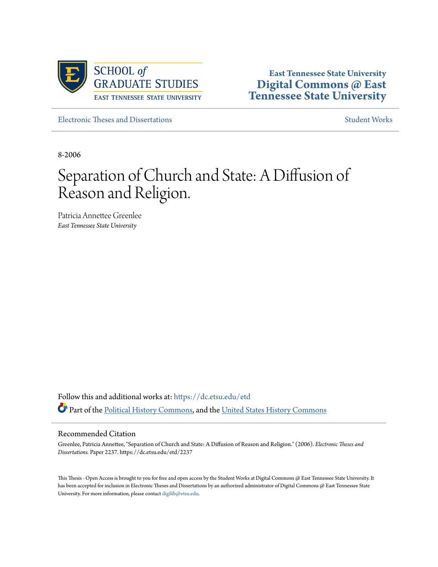

**East Tennessee State University [Digital Commons @ East](https://dc.etsu.edu?utm_source=dc.etsu.edu%2Fetd%2F2237&utm_medium=PDF&utm_campaign=PDFCoverPages) [Tennessee State University](https://dc.etsu.edu?utm_source=dc.etsu.edu%2Fetd%2F2237&utm_medium=PDF&utm_campaign=PDFCoverPages)**

[Electronic Theses and Dissertations](https://dc.etsu.edu/etd?utm_source=dc.etsu.edu%2Fetd%2F2237&utm_medium=PDF&utm_campaign=PDFCoverPages) [Student Works](https://dc.etsu.edu/student-works?utm_source=dc.etsu.edu%2Fetd%2F2237&utm_medium=PDF&utm_campaign=PDFCoverPages) Student Works Student Works

8-2006

# Separation of Church and State: A Diffusion of Reason and Religion.

Patricia Annettee Greenlee *East Tennessee State University*

Follow this and additional works at: [https://dc.etsu.edu/etd](https://dc.etsu.edu/etd?utm_source=dc.etsu.edu%2Fetd%2F2237&utm_medium=PDF&utm_campaign=PDFCoverPages) Part of the [Political History Commons](http://network.bepress.com/hgg/discipline/505?utm_source=dc.etsu.edu%2Fetd%2F2237&utm_medium=PDF&utm_campaign=PDFCoverPages), and the [United States History Commons](http://network.bepress.com/hgg/discipline/495?utm_source=dc.etsu.edu%2Fetd%2F2237&utm_medium=PDF&utm_campaign=PDFCoverPages)

#### Recommended Citation

Greenlee, Patricia Annettee, "Separation of Church and State: A Diffusion of Reason and Religion." (2006). *Electronic Theses and Dissertations.* Paper 2237. https://dc.etsu.edu/etd/2237

This Thesis - Open Access is brought to you for free and open access by the Student Works at Digital Commons @ East Tennessee State University. It has been accepted for inclusion in Electronic Theses and Dissertations by an authorized administrator of Digital Commons @ East Tennessee State University. For more information, please contact [digilib@etsu.edu.](mailto:digilib@etsu.edu)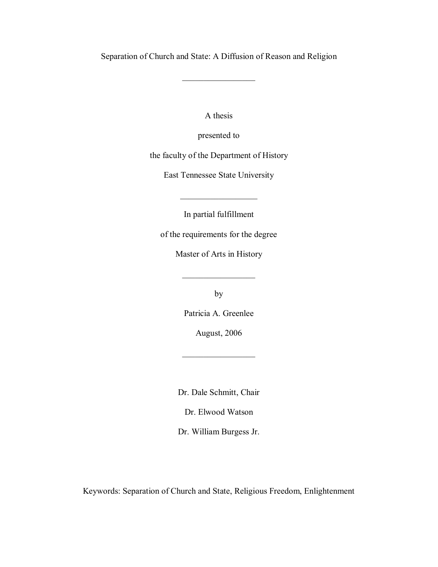Separation of Church and State: A Diffusion of Reason and Religion

 $\frac{1}{2}$  ,  $\frac{1}{2}$  ,  $\frac{1}{2}$  ,  $\frac{1}{2}$  ,  $\frac{1}{2}$  ,  $\frac{1}{2}$  ,  $\frac{1}{2}$  ,  $\frac{1}{2}$  ,  $\frac{1}{2}$ 

A thesis

presented to

the faculty of the Department of History

East Tennessee State University

In partial fulfillment

 $\overline{\phantom{a}}$  , where  $\overline{\phantom{a}}$ 

of the requirements for the degree

Master of Arts in History

 $\frac{1}{2}$  ,  $\frac{1}{2}$  ,  $\frac{1}{2}$  ,  $\frac{1}{2}$  ,  $\frac{1}{2}$  ,  $\frac{1}{2}$  ,  $\frac{1}{2}$  ,  $\frac{1}{2}$  ,  $\frac{1}{2}$ 

by

Patricia A. Greenlee

August, 2006

 $\mathcal{L}_\text{max}$ 

Dr. Dale Schmitt, Chair

Dr. Elwood Watson

Dr. William Burgess Jr.

Keywords: Separation of Church and State, Religious Freedom, Enlightenment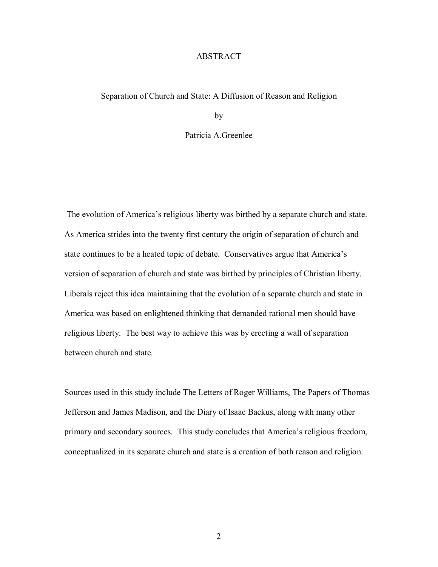## ABSTRACT

#### Separation of Church and State: A Diffusion of Reason and Religion

by

## Patricia A.Greenlee

The evolution of America's religious liberty was birthed by a separate church and state. As America strides into the twenty first century the origin of separation of church and state continues to be a heated topic of debate. Conservatives argue that America's version of separation of church and state was birthed by principles of Christian liberty. Liberals reject this idea maintaining that the evolution of a separate church and state in America was based on enlightened thinking that demanded rational men should have religious liberty. The best way to achieve this was by erecting a wall of separation between church and state.

Sources used in this study include The Letters of Roger Williams, The Papers of Thomas Jefferson and James Madison, and the Diary of Isaac Backus, along with many other primary and secondary sources. This study concludes that America's religious freedom, conceptualized in its separate church and state is a creation of both reason and religion.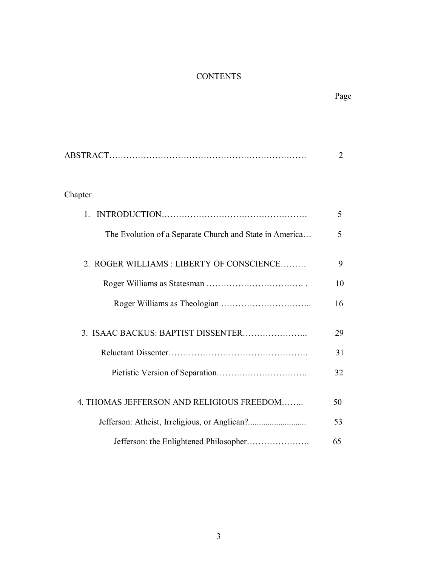## **CONTENTS**

|                                                         | $\overline{2}$ |
|---------------------------------------------------------|----------------|
|                                                         |                |
| Chapter                                                 |                |
| $\mathbf{1}$ .                                          | 5              |
| The Evolution of a Separate Church and State in America | 5              |
| 2. ROGER WILLIAMS: LIBERTY OF CONSCIENCE                | 9              |
|                                                         | 10             |
|                                                         | 16             |
| 3. ISAAC BACKUS: BAPTIST DISSENTER                      | 29             |
|                                                         | 31             |
|                                                         | 32             |
| 4. THOMAS JEFFERSON AND RELIGIOUS FREEDOM               | 50             |
|                                                         | 53             |
|                                                         | 65             |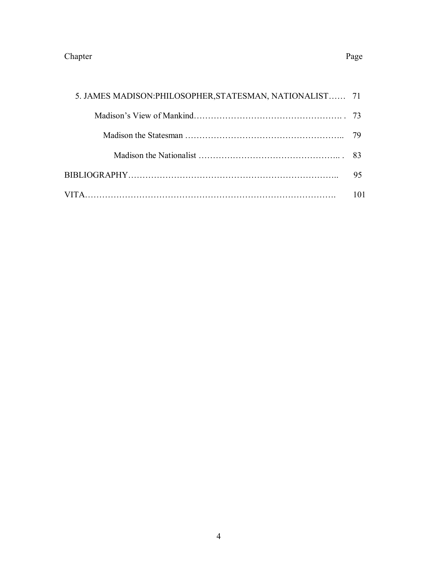## Chapter Page

| 5. JAMES MADISON: PHILOSOPHER, STATESMAN, NATIONALIST 71 |    |
|----------------------------------------------------------|----|
|                                                          |    |
|                                                          |    |
|                                                          |    |
|                                                          | 95 |
|                                                          |    |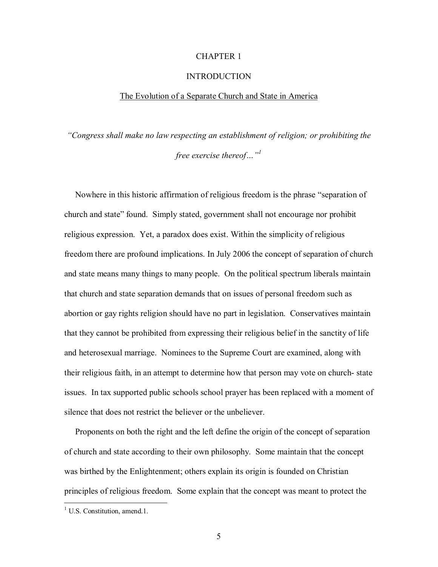## CHAPTER 1

#### INTRODUCTION

#### The Evolution of a Separate Church and State in America

*ìCongress shall make no law respecting an establishment of religion; or prohibiting the free exercise thereof*<sup>11</sup>

Nowhere in this historic affirmation of religious freedom is the phrase "separation of church and state" found. Simply stated, government shall not encourage nor prohibit religious expression. Yet, a paradox does exist. Within the simplicity of religious freedom there are profound implications. In July 2006 the concept of separation of church and state means many things to many people. On the political spectrum liberals maintain that church and state separation demands that on issues of personal freedom such as abortion or gay rights religion should have no part in legislation. Conservatives maintain that they cannot be prohibited from expressing their religious belief in the sanctity of life and heterosexual marriage. Nominees to the Supreme Court are examined, along with their religious faith, in an attempt to determine how that person may vote on church- state issues. In tax supported public schools school prayer has been replaced with a moment of silence that does not restrict the believer or the unbeliever.

 Proponents on both the right and the left define the origin of the concept of separation of church and state according to their own philosophy. Some maintain that the concept was birthed by the Enlightenment; others explain its origin is founded on Christian principles of religious freedom. Some explain that the concept was meant to protect the

<sup>&</sup>lt;sup>1</sup> U.S. Constitution, amend.1.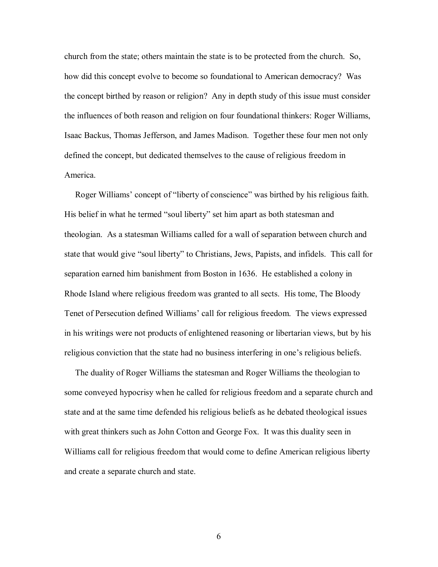church from the state; others maintain the state is to be protected from the church. So, how did this concept evolve to become so foundational to American democracy? Was the concept birthed by reason or religion? Any in depth study of this issue must consider the influences of both reason and religion on four foundational thinkers: Roger Williams, Isaac Backus, Thomas Jefferson, and James Madison. Together these four men not only defined the concept, but dedicated themselves to the cause of religious freedom in America.

Roger Williams' concept of "liberty of conscience" was birthed by his religious faith. His belief in what he termed "soul liberty" set him apart as both statesman and theologian. As a statesman Williams called for a wall of separation between church and state that would give "soul liberty" to Christians, Jews, Papists, and infidels. This call for separation earned him banishment from Boston in 1636. He established a colony in Rhode Island where religious freedom was granted to all sects. His tome, The Bloody Tenet of Persecution defined Williams' call for religious freedom. The views expressed in his writings were not products of enlightened reasoning or libertarian views, but by his religious conviction that the state had no business interfering in one's religious beliefs.

 The duality of Roger Williams the statesman and Roger Williams the theologian to some conveyed hypocrisy when he called for religious freedom and a separate church and state and at the same time defended his religious beliefs as he debated theological issues with great thinkers such as John Cotton and George Fox. It was this duality seen in Williams call for religious freedom that would come to define American religious liberty and create a separate church and state.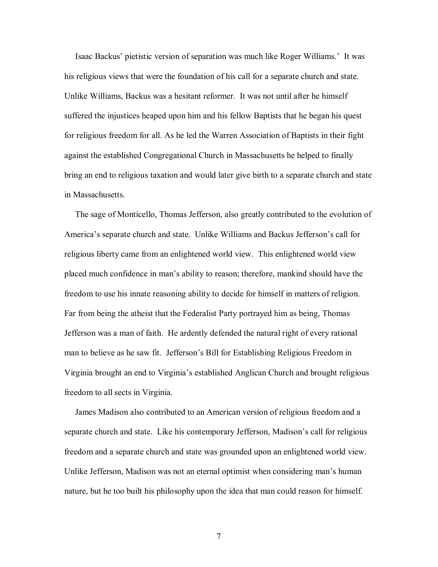Isaac Backus' pietistic version of separation was much like Roger Williams.' It was his religious views that were the foundation of his call for a separate church and state. Unlike Williams, Backus was a hesitant reformer. It was not until after he himself suffered the injustices heaped upon him and his fellow Baptists that he began his quest for religious freedom for all. As he led the Warren Association of Baptists in their fight against the established Congregational Church in Massachusetts he helped to finally bring an end to religious taxation and would later give birth to a separate church and state in Massachusetts.

 The sage of Monticello, Thomas Jefferson, also greatly contributed to the evolution of America's separate church and state. Unlike Williams and Backus Jefferson's call for religious liberty came from an enlightened world view. This enlightened world view placed much confidence in manís ability to reason; therefore, mankind should have the freedom to use his innate reasoning ability to decide for himself in matters of religion. Far from being the atheist that the Federalist Party portrayed him as being, Thomas Jefferson was a man of faith. He ardently defended the natural right of every rational man to believe as he saw fit. Jefferson's Bill for Establishing Religious Freedom in Virginia brought an end to Virginiaís established Anglican Church and brought religious freedom to all sects in Virginia.

 James Madison also contributed to an American version of religious freedom and a separate church and state. Like his contemporary Jefferson, Madison's call for religious freedom and a separate church and state was grounded upon an enlightened world view. Unlike Jefferson, Madison was not an eternal optimist when considering man's human nature, but he too built his philosophy upon the idea that man could reason for himself.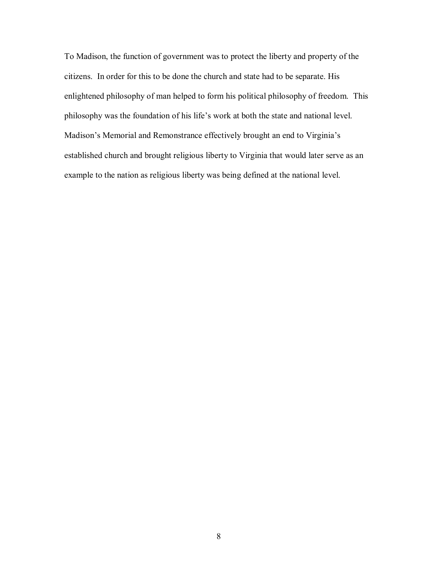To Madison, the function of government was to protect the liberty and property of the citizens. In order for this to be done the church and state had to be separate. His enlightened philosophy of man helped to form his political philosophy of freedom. This philosophy was the foundation of his life's work at both the state and national level. Madison's Memorial and Remonstrance effectively brought an end to Virginia's established church and brought religious liberty to Virginia that would later serve as an example to the nation as religious liberty was being defined at the national level.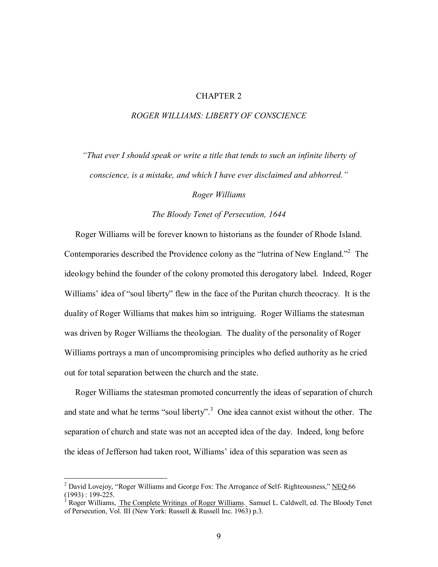## CHAPTER 2

## *ROGER WILLIAMS: LIBERTY OF CONSCIENCE*

*ìThat ever I should speak or write a title that tends to such an infinite liberty of conscience, is a mistake, and which I have ever disclaimed and abhorred.*"

*Roger Williams* 

## *The Bloody Tenet of Persecution, 1644*

 Roger Williams will be forever known to historians as the founder of Rhode Island. Contemporaries described the Providence colony as the "lutrina of New England."<sup>2</sup> The ideology behind the founder of the colony promoted this derogatory label. Indeed, Roger Williams' idea of "soul liberty" flew in the face of the Puritan church theocracy. It is the duality of Roger Williams that makes him so intriguing. Roger Williams the statesman was driven by Roger Williams the theologian. The duality of the personality of Roger Williams portrays a man of uncompromising principles who defied authority as he cried out for total separation between the church and the state.

 Roger Williams the statesman promoted concurrently the ideas of separation of church and state and what he terms "soul liberty".<sup>3</sup> One idea cannot exist without the other. The separation of church and state was not an accepted idea of the day. Indeed, long before the ideas of Jefferson had taken root, Williams' idea of this separation was seen as

<sup>&</sup>lt;sup>2</sup> David Lovejoy, "Roger Williams and George Fox: The Arrogance of Self- Righteousness," NEQ 66  $(1993): 199-225.$ 

Roger Williams, The Complete Writings of Roger Williams. Samuel L. Caldwell, ed. The Bloody Tenet of Persecution, Vol. III (New York: Russell & Russell Inc. 1963) p.3.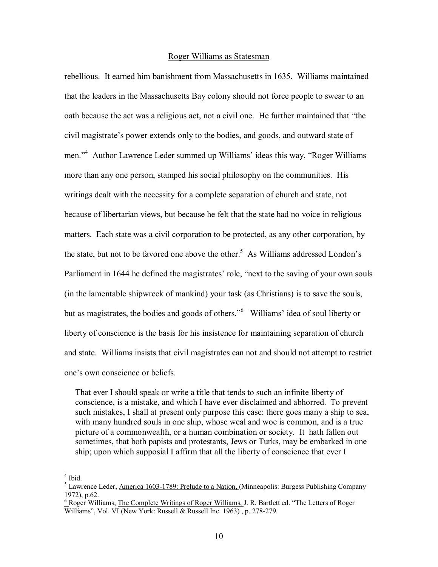#### Roger Williams as Statesman

rebellious. It earned him banishment from Massachusetts in 1635. Williams maintained that the leaders in the Massachusetts Bay colony should not force people to swear to an oath because the act was a religious act, not a civil one. He further maintained that "the civil magistrate's power extends only to the bodies, and goods, and outward state of men."<sup>4</sup> Author Lawrence Leder summed up Williams' ideas this way, "Roger Williams" more than any one person, stamped his social philosophy on the communities. His writings dealt with the necessity for a complete separation of church and state, not because of libertarian views, but because he felt that the state had no voice in religious matters. Each state was a civil corporation to be protected, as any other corporation, by the state, but not to be favored one above the other.<sup>5</sup> As Williams addressed London's Parliament in 1644 he defined the magistrates' role, "next to the saving of your own souls (in the lamentable shipwreck of mankind) your task (as Christians) is to save the souls, but as magistrates, the bodies and goods of others."<sup>6</sup> Williams' idea of soul liberty or liberty of conscience is the basis for his insistence for maintaining separation of church and state. Williams insists that civil magistrates can not and should not attempt to restrict one's own conscience or beliefs.

 That ever I should speak or write a title that tends to such an infinite liberty of conscience, is a mistake, and which I have ever disclaimed and abhorred. To prevent such mistakes, I shall at present only purpose this case: there goes many a ship to sea, with many hundred souls in one ship, whose weal and woe is common, and is a true picture of a commonwealth, or a human combination or society. It hath fallen out sometimes, that both papists and protestants, Jews or Turks, may be embarked in one ship; upon which supposial I affirm that all the liberty of conscience that ever I

<sup>4</sup> Ibid.

<sup>&</sup>lt;sup>5</sup> Lawrence Leder, America 1603-1789: Prelude to a Nation, (Minneapolis: Burgess Publishing Company 1972), p.62.

 $6$  Roger Williams, The Complete Writings of Roger Williams, J. R. Bartlett ed. "The Letters of Roger Williams", Vol. VI (New York: Russell & Russell Inc. 1963), p. 278-279.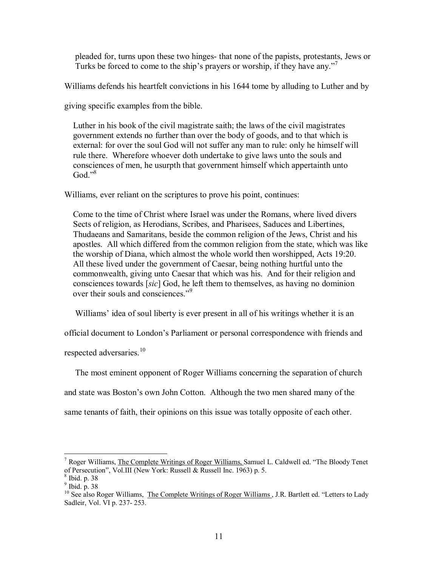pleaded for, turns upon these two hinges- that none of the papists, protestants, Jews or Turks be forced to come to the ship's prayers or worship, if they have any.<sup>77</sup>

Williams defends his heartfelt convictions in his 1644 tome by alluding to Luther and by

giving specific examples from the bible.

 Luther in his book of the civil magistrate saith; the laws of the civil magistrates government extends no further than over the body of goods, and to that which is external: for over the soul God will not suffer any man to rule: only he himself will rule there. Wherefore whoever doth undertake to give laws unto the souls and consciences of men, he usurpth that government himself which appertainth unto God." $8$ 

Williams, ever reliant on the scriptures to prove his point, continues:

 Come to the time of Christ where Israel was under the Romans, where lived divers Sects of religion, as Herodians, Scribes, and Pharisees, Saduces and Libertines, Thudaeans and Samaritans, beside the common religion of the Jews, Christ and his apostles. All which differed from the common religion from the state, which was like the worship of Diana, which almost the whole world then worshipped, Acts 19:20. All these lived under the government of Caesar, being nothing hurtful unto the commonwealth, giving unto Caesar that which was his. And for their religion and consciences towards [*sic*] God, he left them to themselves, as having no dominion over their souls and consciences.<sup>39</sup>

Williams' idea of soul liberty is ever present in all of his writings whether it is an

official document to London's Parliament or personal correspondence with friends and

respected adversaries.<sup>10</sup>

 The most eminent opponent of Roger Williams concerning the separation of church and state was Boston's own John Cotton. Although the two men shared many of the

same tenants of faith, their opinions on this issue was totally opposite of each other.

<sup>&</sup>lt;sup>7</sup> Roger Williams, The Complete Writings of Roger Williams, Samuel L. Caldwell ed. "The Bloody Tenet of Persecutionî, Vol.III (New York: Russell & Russell Inc. 1963) p. 5.

<sup>8</sup> Ibid. p. 38

<sup>9</sup> Ibid. p. 38

<sup>&</sup>lt;sup>10</sup> See also Roger Williams, The Complete Writings of Roger Williams, J.R. Bartlett ed. "Letters to Lady Sadleir, Vol. VI p. 237- 253.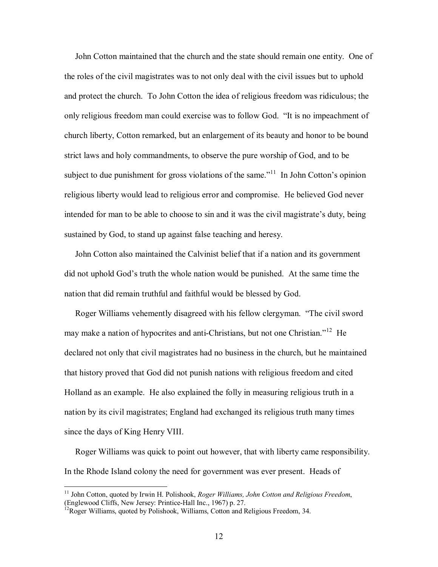John Cotton maintained that the church and the state should remain one entity. One of the roles of the civil magistrates was to not only deal with the civil issues but to uphold and protect the church. To John Cotton the idea of religious freedom was ridiculous; the only religious freedom man could exercise was to follow God. "It is no impeachment of church liberty, Cotton remarked, but an enlargement of its beauty and honor to be bound strict laws and holy commandments, to observe the pure worship of God, and to be subject to due punishment for gross violations of the same.<sup> $11$ </sup> In John Cotton's opinion religious liberty would lead to religious error and compromise. He believed God never intended for man to be able to choose to sin and it was the civil magistrate's duty, being sustained by God, to stand up against false teaching and heresy.

 John Cotton also maintained the Calvinist belief that if a nation and its government did not uphold God's truth the whole nation would be punished. At the same time the nation that did remain truthful and faithful would be blessed by God.

Roger Williams vehemently disagreed with his fellow clergyman. "The civil sword may make a nation of hypocrites and anti-Christians, but not one Christian.<sup> $12$ </sup> He declared not only that civil magistrates had no business in the church, but he maintained that history proved that God did not punish nations with religious freedom and cited Holland as an example. He also explained the folly in measuring religious truth in a nation by its civil magistrates; England had exchanged its religious truth many times since the days of King Henry VIII.

 Roger Williams was quick to point out however, that with liberty came responsibility. In the Rhode Island colony the need for government was ever present. Heads of

<u>.</u>

<sup>11</sup> John Cotton, quoted by Irwin H. Polishook, *Roger Williams, John Cotton and Religious Freedom*, (Englewood Cliffs, New Jersey: Printice-Hall Inc., 1967) p. 27.

 $12$ Roger Williams, quoted by Polishook, Williams, Cotton and Religious Freedom, 34.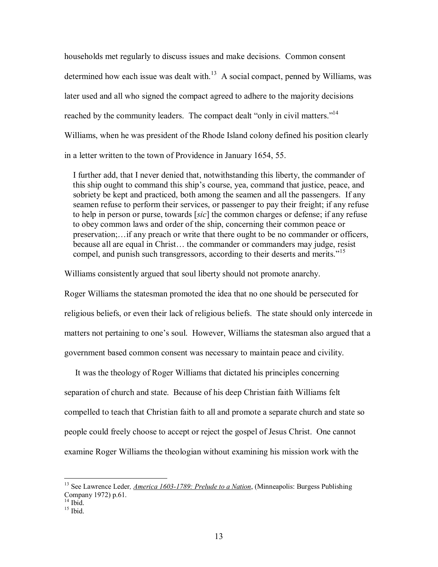households met regularly to discuss issues and make decisions. Common consent determined how each issue was dealt with.<sup>13</sup> A social compact, penned by Williams, was later used and all who signed the compact agreed to adhere to the majority decisions reached by the community leaders. The compact dealt "only in civil matters."<sup>14</sup> Williams, when he was president of the Rhode Island colony defined his position clearly in a letter written to the town of Providence in January 1654, 55.

 I further add, that I never denied that, notwithstanding this liberty, the commander of this ship ought to command this ship's course, yea, command that justice, peace, and sobriety be kept and practiced, both among the seamen and all the passengers. If any seamen refuse to perform their services, or passenger to pay their freight; if any refuse to help in person or purse, towards [*sic*] the common charges or defense; if any refuse to obey common laws and order of the ship, concerning their common peace or preservation;... if any preach or write that there ought to be no commander or officers, because all are equal in Christ... the commander or commanders may judge, resist compel, and punish such transgressors, according to their deserts and merits.<sup>715</sup>

Williams consistently argued that soul liberty should not promote anarchy.

Roger Williams the statesman promoted the idea that no one should be persecuted for religious beliefs, or even their lack of religious beliefs. The state should only intercede in matters not pertaining to one's soul. However, Williams the statesman also argued that a government based common consent was necessary to maintain peace and civility.

 It was the theology of Roger Williams that dictated his principles concerning separation of church and state. Because of his deep Christian faith Williams felt compelled to teach that Christian faith to all and promote a separate church and state so people could freely choose to accept or reject the gospel of Jesus Christ. One cannot examine Roger Williams the theologian without examining his mission work with the

<sup>&</sup>lt;sup>13</sup> See Lawrence Leder, *America 1603-1789: Prelude to a Nation*, (Minneapolis: Burgess Publishing Company 1972) p.61.

 $14$  Ibid.

 $15$  Ibid.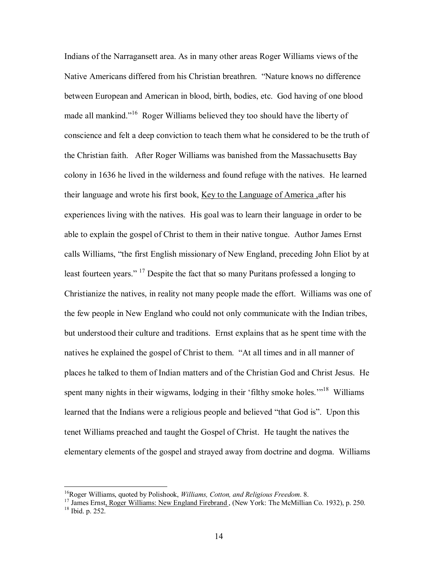Indians of the Narragansett area. As in many other areas Roger Williams views of the Native Americans differed from his Christian breathren. "Nature knows no difference between European and American in blood, birth, bodies, etc. God having of one blood made all mankind.<sup> $16$ </sup> Roger Williams believed they too should have the liberty of conscience and felt a deep conviction to teach them what he considered to be the truth of the Christian faith. After Roger Williams was banished from the Massachusetts Bay colony in 1636 he lived in the wilderness and found refuge with the natives. He learned their language and wrote his first book, Key to the Language of America ,after his experiences living with the natives. His goal was to learn their language in order to be able to explain the gospel of Christ to them in their native tongue. Author James Ernst calls Williams, "the first English missionary of New England, preceding John Eliot by at least fourteen years." <sup>17</sup> Despite the fact that so many Puritans professed a longing to Christianize the natives, in reality not many people made the effort. Williams was one of the few people in New England who could not only communicate with the Indian tribes, but understood their culture and traditions. Ernst explains that as he spent time with the natives he explained the gospel of Christ to them. "At all times and in all manner of places he talked to them of Indian matters and of the Christian God and Christ Jesus. He spent many nights in their wigwams, lodging in their 'filthy smoke holes.<sup> $118$ </sup> Williams learned that the Indians were a religious people and believed "that God is". Upon this tenet Williams preached and taught the Gospel of Christ. He taught the natives the elementary elements of the gospel and strayed away from doctrine and dogma. Williams

<u>.</u>

<sup>&</sup>lt;sup>16</sup>Roger Williams, quoted by Polishook, *Williams, Cotton, and Religious Freedom*. 8.<br><sup>17</sup> James Ernst<u>, Roger Williams: New England Firebrand</u>, (New York: The McMillian Co. 1932), p. 250.<br><sup>18</sup> Ibid. p. 252.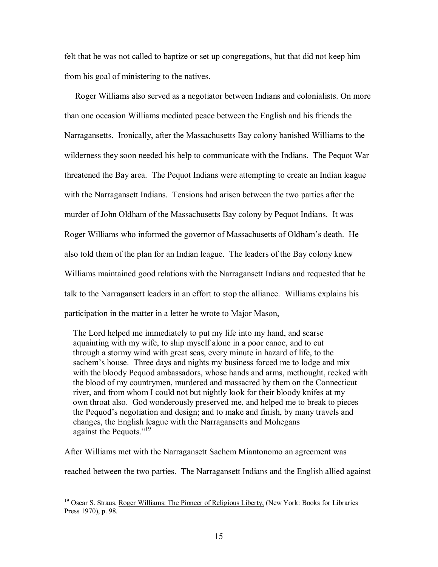felt that he was not called to baptize or set up congregations, but that did not keep him from his goal of ministering to the natives.

 Roger Williams also served as a negotiator between Indians and colonialists. On more than one occasion Williams mediated peace between the English and his friends the Narragansetts. Ironically, after the Massachusetts Bay colony banished Williams to the wilderness they soon needed his help to communicate with the Indians. The Pequot War threatened the Bay area. The Pequot Indians were attempting to create an Indian league with the Narragansett Indians. Tensions had arisen between the two parties after the murder of John Oldham of the Massachusetts Bay colony by Pequot Indians. It was Roger Williams who informed the governor of Massachusetts of Oldham's death. He also told them of the plan for an Indian league. The leaders of the Bay colony knew Williams maintained good relations with the Narragansett Indians and requested that he talk to the Narragansett leaders in an effort to stop the alliance. Williams explains his participation in the matter in a letter he wrote to Major Mason,

 The Lord helped me immediately to put my life into my hand, and scarse aquainting with my wife, to ship myself alone in a poor canoe, and to cut through a stormy wind with great seas, every minute in hazard of life, to the sachem's house. Three days and nights my business forced me to lodge and mix with the bloody Pequod ambassadors, whose hands and arms, methought, reeked with the blood of my countrymen, murdered and massacred by them on the Connecticut river, and from whom I could not but nightly look for their bloody knifes at my own throat also. God wonderously preserved me, and helped me to break to pieces the Pequod's negotiation and design; and to make and finish, by many travels and changes, the English league with the Narragansetts and Mohegans against the Pequots."<sup>19</sup>

After Williams met with the Narragansett Sachem Miantonomo an agreement was reached between the two parties. The Narragansett Indians and the English allied against

<u>.</u>

<sup>&</sup>lt;sup>19</sup> Oscar S. Straus, Roger Williams: The Pioneer of Religious Liberty, (New York: Books for Libraries Press 1970), p. 98.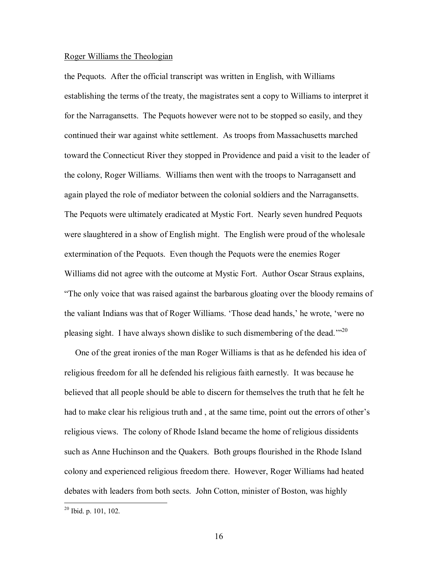#### Roger Williams the Theologian

the Pequots. After the official transcript was written in English, with Williams establishing the terms of the treaty, the magistrates sent a copy to Williams to interpret it for the Narragansetts. The Pequots however were not to be stopped so easily, and they continued their war against white settlement. As troops from Massachusetts marched toward the Connecticut River they stopped in Providence and paid a visit to the leader of the colony, Roger Williams. Williams then went with the troops to Narragansett and again played the role of mediator between the colonial soldiers and the Narragansetts. The Pequots were ultimately eradicated at Mystic Fort. Nearly seven hundred Pequots were slaughtered in a show of English might. The English were proud of the wholesale extermination of the Pequots. Even though the Pequots were the enemies Roger Williams did not agree with the outcome at Mystic Fort. Author Oscar Straus explains, ìThe only voice that was raised against the barbarous gloating over the bloody remains of the valiant Indians was that of Roger Williams. 'Those dead hands,' he wrote, 'were no pleasing sight. I have always shown dislike to such dismembering of the dead.<sup> $120$ </sup>

 One of the great ironies of the man Roger Williams is that as he defended his idea of religious freedom for all he defended his religious faith earnestly. It was because he believed that all people should be able to discern for themselves the truth that he felt he had to make clear his religious truth and, at the same time, point out the errors of other's religious views. The colony of Rhode Island became the home of religious dissidents such as Anne Huchinson and the Quakers. Both groups flourished in the Rhode Island colony and experienced religious freedom there. However, Roger Williams had heated debates with leaders from both sects. John Cotton, minister of Boston, was highly

<sup>&</sup>lt;sup>20</sup> Ibid. p. 101, 102.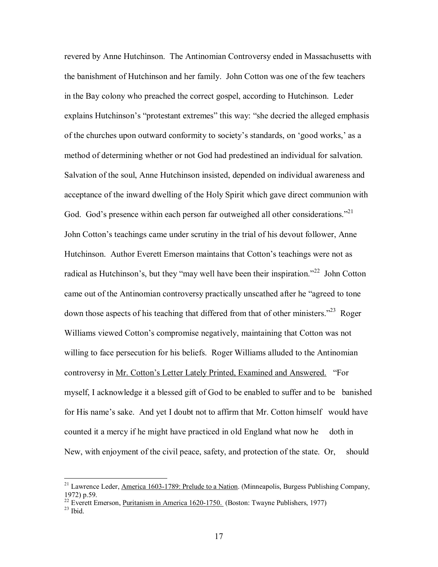revered by Anne Hutchinson. The Antinomian Controversy ended in Massachusetts with the banishment of Hutchinson and her family. John Cotton was one of the few teachers in the Bay colony who preached the correct gospel, according to Hutchinson. Leder explains Hutchinson's "protestant extremes" this way: "she decried the alleged emphasis of the churches upon outward conformity to society's standards, on 'good works,' as a method of determining whether or not God had predestined an individual for salvation. Salvation of the soul, Anne Hutchinson insisted, depended on individual awareness and acceptance of the inward dwelling of the Holy Spirit which gave direct communion with God. God's presence within each person far outweighed all other considerations.<sup> $21$ </sup> John Cotton's teachings came under scrutiny in the trial of his devout follower, Anne Hutchinson. Author Everett Emerson maintains that Cotton's teachings were not as radical as Hutchinson's, but they "may well have been their inspiration.<sup> $22$ </sup> John Cotton came out of the Antinomian controversy practically unscathed after he "agreed to tone" down those aspects of his teaching that differed from that of other ministers.<sup> $23$ </sup> Roger Williams viewed Cotton's compromise negatively, maintaining that Cotton was not willing to face persecution for his beliefs. Roger Williams alluded to the Antinomian controversy in Mr. Cotton's Letter Lately Printed, Examined and Answered. *For* myself, I acknowledge it a blessed gift of God to be enabled to suffer and to be banished for His name's sake. And yet I doubt not to affirm that Mr. Cotton himself would have counted it a mercy if he might have practiced in old England what now he doth in New, with enjoyment of the civil peace, safety, and protection of the state. Or, should

<sup>&</sup>lt;sup>21</sup> Lawrence Leder, America 1603-1789: Prelude to a Nation. (Minneapolis, Burgess Publishing Company, 1972) p.59.

<sup>&</sup>lt;sup>22</sup> Everett Emerson, <u>Puritanism in America 1620-1750.</u> (Boston: Twayne Publishers, 1977)<br><sup>23</sup> Ibid.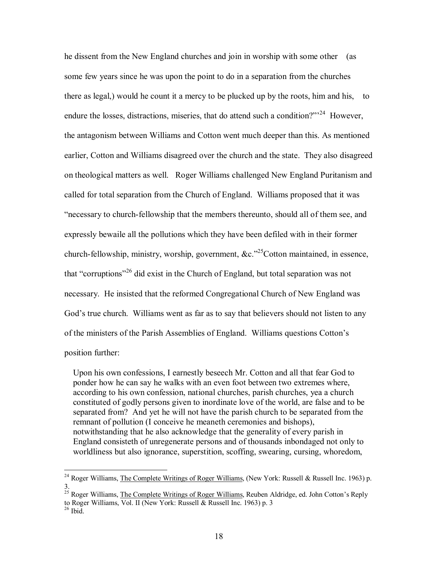he dissent from the New England churches and join in worship with some other (as some few years since he was upon the point to do in a separation from the churches there as legal,) would he count it a mercy to be plucked up by the roots, him and his, to endure the losses, distractions, miseries, that do attend such a condition?"<sup>24</sup> However, the antagonism between Williams and Cotton went much deeper than this. As mentioned earlier, Cotton and Williams disagreed over the church and the state. They also disagreed on theological matters as well. Roger Williams challenged New England Puritanism and called for total separation from the Church of England. Williams proposed that it was ìnecessary to church-fellowship that the members thereunto, should all of them see, and expressly bewaile all the pollutions which they have been defiled with in their former church-fellowship, ministry, worship, government,  $\&c.^{25}$ Cotton maintained, in essence, that "corruptions"<sup>26</sup> did exist in the Church of England, but total separation was not necessary. He insisted that the reformed Congregational Church of New England was God's true church. Williams went as far as to say that believers should not listen to any of the ministers of the Parish Assemblies of England. Williams questions Cotton's position further:

 Upon his own confessions, I earnestly beseech Mr. Cotton and all that fear God to ponder how he can say he walks with an even foot between two extremes where, according to his own confession, national churches, parish churches, yea a church constituted of godly persons given to inordinate love of the world, are false and to be separated from? And yet he will not have the parish church to be separated from the remnant of pollution (I conceive he meaneth ceremonies and bishops), notwithstanding that he also acknowledge that the generality of every parish in England consisteth of unregenerate persons and of thousands inbondaged not only to worldliness but also ignorance, superstition, scoffing, swearing, cursing, whoredom,

<sup>&</sup>lt;sup>24</sup> Roger Williams, The Complete Writings of Roger Williams, (New York: Russell & Russell Inc. 1963) p. 3.

<sup>&</sup>lt;sup>25</sup> Roger Williams, The Complete Writings of Roger Williams, Reuben Aldridge, ed. John Cotton's Reply to Roger Williams, Vol. II (New York: Russell & Russell Inc. 1963) p. 3

 $26$  Ibid.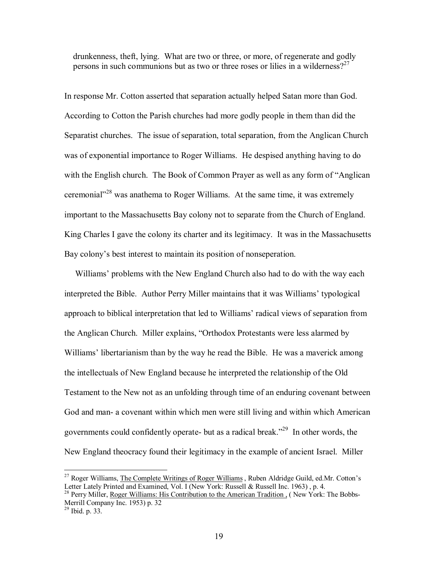drunkenness, theft, lying. What are two or three, or more, of regenerate and godly persons in such communions but as two or three roses or lilies in a wilderness?<sup>27</sup>

In response Mr. Cotton asserted that separation actually helped Satan more than God. According to Cotton the Parish churches had more godly people in them than did the Separatist churches. The issue of separation, total separation, from the Anglican Church was of exponential importance to Roger Williams. He despised anything having to do with the English church. The Book of Common Prayer as well as any form of "Anglican" ceremonial<sup> $28$ </sup> was anathema to Roger Williams. At the same time, it was extremely important to the Massachusetts Bay colony not to separate from the Church of England. King Charles I gave the colony its charter and its legitimacy. It was in the Massachusetts Bay colony's best interest to maintain its position of nonseperation.

Williams' problems with the New England Church also had to do with the way each interpreted the Bible. Author Perry Miller maintains that it was Williams' typological approach to biblical interpretation that led to Williams' radical views of separation from the Anglican Church. Miller explains, "Orthodox Protestants were less alarmed by Williams' libertarianism than by the way he read the Bible. He was a maverick among the intellectuals of New England because he interpreted the relationship of the Old Testament to the New not as an unfolding through time of an enduring covenant between God and man- a covenant within which men were still living and within which American governments could confidently operate- but as a radical break.<sup> $29$ </sup> In other words, the New England theocracy found their legitimacy in the example of ancient Israel. Miller

<sup>&</sup>lt;sup>27</sup> Roger Williams, The Complete Writings of Roger Williams, Ruben Aldridge Guild, ed.Mr. Cotton's Letter Lately Printed and Examined, Vol. I (New York: Russell & Russell Inc. 1963) , p. 4.

<sup>&</sup>lt;sup>28</sup> Perry Miller, Roger Williams: His Contribution to the American Tradition, (New York: The Bobbs-Merrill Company Inc. 1953) p. 32

 $^{29}$  Ibid. p. 33.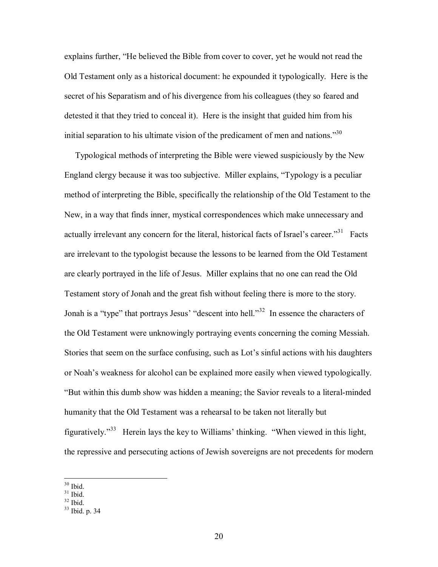explains further, "He believed the Bible from cover to cover, yet he would not read the Old Testament only as a historical document: he expounded it typologically. Here is the secret of his Separatism and of his divergence from his colleagues (they so feared and detested it that they tried to conceal it). Here is the insight that guided him from his initial separation to his ultimate vision of the predicament of men and nations.<sup>30</sup>

 Typological methods of interpreting the Bible were viewed suspiciously by the New England clergy because it was too subjective. Miller explains, "Typology is a peculiar method of interpreting the Bible, specifically the relationship of the Old Testament to the New, in a way that finds inner, mystical correspondences which make unnecessary and actually irrelevant any concern for the literal, historical facts of Israel's career. $131$  Facts are irrelevant to the typologist because the lessons to be learned from the Old Testament are clearly portrayed in the life of Jesus. Miller explains that no one can read the Old Testament story of Jonah and the great fish without feeling there is more to the story. Jonah is a "type" that portrays Jesus' "descent into hell.<sup>33</sup> In essence the characters of the Old Testament were unknowingly portraying events concerning the coming Messiah. Stories that seem on the surface confusing, such as Lot's sinful actions with his daughters or Noah's weakness for alcohol can be explained more easily when viewed typologically. ìBut within this dumb show was hidden a meaning; the Savior reveals to a literal-minded humanity that the Old Testament was a rehearsal to be taken not literally but figuratively.<sup> $33$ </sup> Herein lays the key to Williams' thinking. "When viewed in this light, the repressive and persecuting actions of Jewish sovereigns are not precedents for modern

<sup>30</sup> Ibid.

 $31$  Ibid.

 $32$  Ibid.

 $33$  Ibid. p. 34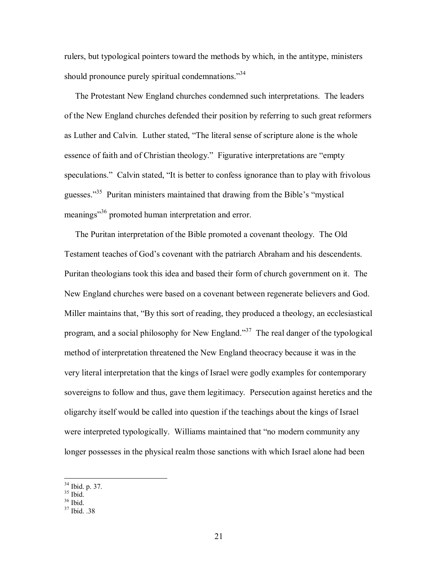rulers, but typological pointers toward the methods by which, in the antitype, ministers should pronounce purely spiritual condemnations.<sup>34</sup>

 The Protestant New England churches condemned such interpretations. The leaders of the New England churches defended their position by referring to such great reformers as Luther and Calvin. Luther stated, "The literal sense of scripture alone is the whole essence of faith and of Christian theology." Figurative interpretations are "empty speculations." Calvin stated, "It is better to confess ignorance than to play with frivolous guesses. $135$  Puritan ministers maintained that drawing from the Bible's "mystical" meanings<sup>36</sup> promoted human interpretation and error.

 The Puritan interpretation of the Bible promoted a covenant theology. The Old Testament teaches of God's covenant with the patriarch Abraham and his descendents. Puritan theologians took this idea and based their form of church government on it. The New England churches were based on a covenant between regenerate believers and God. Miller maintains that, "By this sort of reading, they produced a theology, an ecclesiastical program, and a social philosophy for New England.<sup>37</sup> The real danger of the typological method of interpretation threatened the New England theocracy because it was in the very literal interpretation that the kings of Israel were godly examples for contemporary sovereigns to follow and thus, gave them legitimacy. Persecution against heretics and the oligarchy itself would be called into question if the teachings about the kings of Israel were interpreted typologically. Williams maintained that "no modern community any longer possesses in the physical realm those sanctions with which Israel alone had been

 $36$  Ibid.

<sup>34</sup> Ibid. p. 37.

 $35$  Ibid.

 $37$  Ibid.  $.38$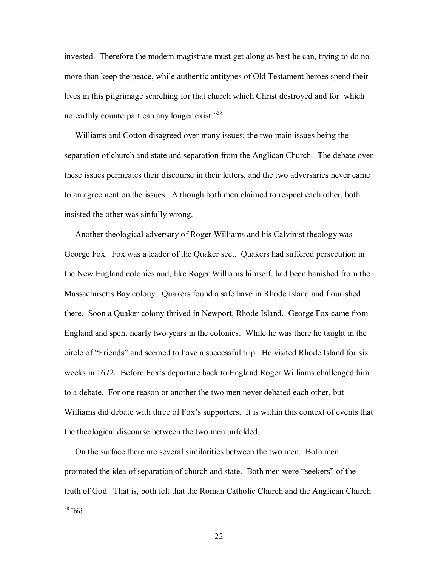invested. Therefore the modern magistrate must get along as best he can, trying to do no more than keep the peace, while authentic antitypes of Old Testament heroes spend their lives in this pilgrimage searching for that church which Christ destroyed and for which no earthly counterpart can any longer exist.<sup>338</sup>

 Williams and Cotton disagreed over many issues; the two main issues being the separation of church and state and separation from the Anglican Church. The debate over these issues permeates their discourse in their letters, and the two adversaries never came to an agreement on the issues. Although both men claimed to respect each other, both insisted the other was sinfully wrong.

 Another theological adversary of Roger Williams and his Calvinist theology was George Fox. Fox was a leader of the Quaker sect. Quakers had suffered persecution in the New England colonies and, like Roger Williams himself, had been banished from the Massachusetts Bay colony. Quakers found a safe have in Rhode Island and flourished there. Soon a Quaker colony thrived in Newport, Rhode Island. George Fox came from England and spent nearly two years in the colonies. While he was there he taught in the circle of "Friends" and seemed to have a successful trip. He visited Rhode Island for six weeks in 1672. Before Fox's departure back to England Roger Williams challenged him to a debate. For one reason or another the two men never debated each other, but Williams did debate with three of Fox's supporters. It is within this context of events that the theological discourse between the two men unfolded.

 On the surface there are several similarities between the two men. Both men promoted the idea of separation of church and state. Both men were "seekers" of the truth of God. That is, both felt that the Roman Catholic Church and the Anglican Church

1 38 Ibid.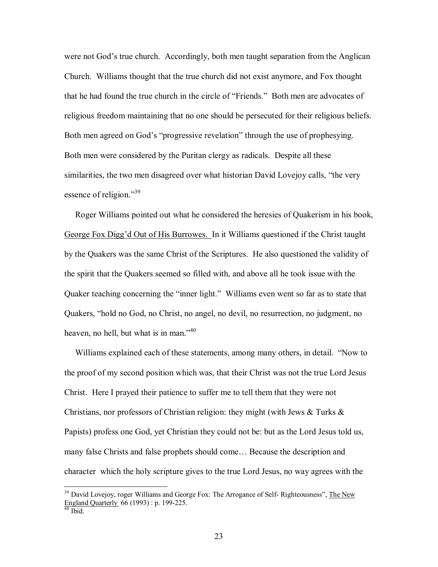were not God's true church. Accordingly, both men taught separation from the Anglican Church. Williams thought that the true church did not exist anymore, and Fox thought that he had found the true church in the circle of "Friends." Both men are advocates of religious freedom maintaining that no one should be persecuted for their religious beliefs. Both men agreed on God's "progressive revelation" through the use of prophesying. Both men were considered by the Puritan clergy as radicals. Despite all these similarities, the two men disagreed over what historian David Lovejoy calls, "the very essence of religion.<sup> $39$ </sup>

 Roger Williams pointed out what he considered the heresies of Quakerism in his book, George Fox Diggíd Out of His Burrowes. In it Williams questioned if the Christ taught by the Quakers was the same Christ of the Scriptures. He also questioned the validity of the spirit that the Quakers seemed so filled with, and above all he took issue with the Quaker teaching concerning the "inner light." Williams even went so far as to state that Quakers, "hold no God, no Christ, no angel, no devil, no resurrection, no judgment, no heaven, no hell, but what is in man.<sup> $,40$ </sup>

Williams explained each of these statements, among many others, in detail. *'Now to* the proof of my second position which was, that their Christ was not the true Lord Jesus Christ. Here I prayed their patience to suffer me to tell them that they were not Christians, nor professors of Christian religion: they might (with Jews  $\&$  Turks  $\&$ Papists) profess one God, yet Christian they could not be: but as the Lord Jesus told us, many false Christs and false prophets should come... Because the description and character which the holy scripture gives to the true Lord Jesus, no way agrees with the

<u>.</u>

 $39$  David Lovejoy, roger Williams and George Fox: The Arrogance of Self- Righteousness", The New England Quarterly 66 (1993) : p. 199-225.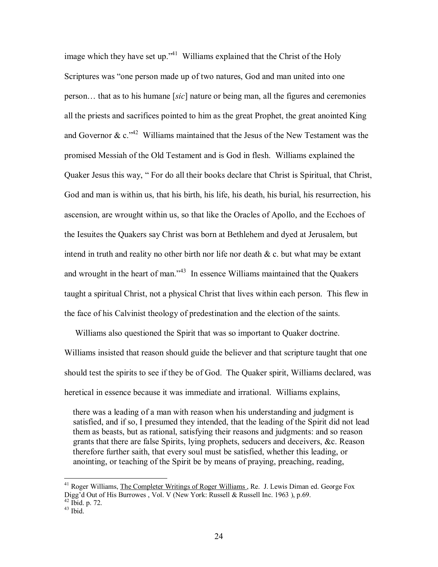image which they have set up.<sup> $341$ </sup> Williams explained that the Christ of the Holy Scriptures was "one person made up of two natures, God and man united into one person... that as to his humane [*sic*] nature or being man, all the figures and ceremonies all the priests and sacrifices pointed to him as the great Prophet, the great anointed King and Governor & c.<sup> $142$ </sup> Williams maintained that the Jesus of the New Testament was the promised Messiah of the Old Testament and is God in flesh. Williams explained the Quaker Jesus this way, "For do all their books declare that Christ is Spiritual, that Christ, God and man is within us, that his birth, his life, his death, his burial, his resurrection, his ascension, are wrought within us, so that like the Oracles of Apollo, and the Ecchoes of the Iesuites the Quakers say Christ was born at Bethlehem and dyed at Jerusalem, but intend in truth and reality no other birth nor life nor death  $\&c$ . but what may be extant and wrought in the heart of man.<sup> $343$ </sup> In essence Williams maintained that the Quakers taught a spiritual Christ, not a physical Christ that lives within each person. This flew in the face of his Calvinist theology of predestination and the election of the saints.

 Williams also questioned the Spirit that was so important to Quaker doctrine. Williams insisted that reason should guide the believer and that scripture taught that one should test the spirits to see if they be of God. The Quaker spirit, Williams declared, was heretical in essence because it was immediate and irrational. Williams explains,

 there was a leading of a man with reason when his understanding and judgment is satisfied, and if so, I presumed they intended, that the leading of the Spirit did not lead them as beasts, but as rational, satisfying their reasons and judgments: and so reason grants that there are false Spirits, lying prophets, seducers and deceivers, &c. Reason therefore further saith, that every soul must be satisfied, whether this leading, or anointing, or teaching of the Spirit be by means of praying, preaching, reading,

<sup>&</sup>lt;sup>41</sup> Roger Williams, The Completer Writings of Roger Williams, Re. J. Lewis Diman ed. George Fox Digg'd Out of His Burrowes, Vol. V (New York: Russell & Russell Inc. 1963), p.69.

 $42$  Ibid. p. 72.

 $43$  Ibid.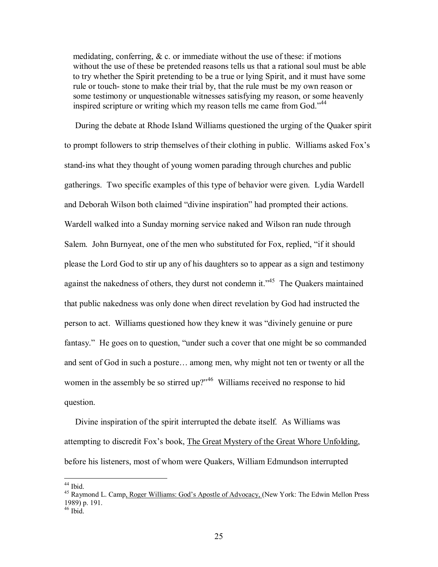medidating, conferring,  $\& c$  or immediate without the use of these: if motions without the use of these be pretended reasons tells us that a rational soul must be able to try whether the Spirit pretending to be a true or lying Spirit, and it must have some rule or touch- stone to make their trial by, that the rule must be my own reason or some testimony or unquestionable witnesses satisfying my reason, or some heavenly inspired scripture or writing which my reason tells me came from  $God.^{44}$ 

 During the debate at Rhode Island Williams questioned the urging of the Quaker spirit to prompt followers to strip themselves of their clothing in public. Williams asked Fox's stand-ins what they thought of young women parading through churches and public gatherings. Two specific examples of this type of behavior were given. Lydia Wardell and Deborah Wilson both claimed "divine inspiration" had prompted their actions. Wardell walked into a Sunday morning service naked and Wilson ran nude through Salem. John Burnyeat, one of the men who substituted for Fox, replied, "if it should please the Lord God to stir up any of his daughters so to appear as a sign and testimony against the nakedness of others, they durst not condemn it.<sup> $345$ </sup> The Quakers maintained that public nakedness was only done when direct revelation by God had instructed the person to act. Williams questioned how they knew it was "divinely genuine or pure fantasy." He goes on to question, "under such a cover that one might be so commanded and sent of God in such a posture... among men, why might not ten or twenty or all the women in the assembly be so stirred up? $146$  Williams received no response to hid question.

 Divine inspiration of the spirit interrupted the debate itself. As Williams was attempting to discredit Foxís book, The Great Mystery of the Great Whore Unfolding, before his listeners, most of whom were Quakers, William Edmundson interrupted

 $44$  Ibid.

<sup>&</sup>lt;sup>45</sup> Raymond L. Camp<u>, Roger Williams: God's Apostle of Advocacy, (New York: The Edwin Mellon Press</u> 1989) p. 191.

 $46$  Ibid.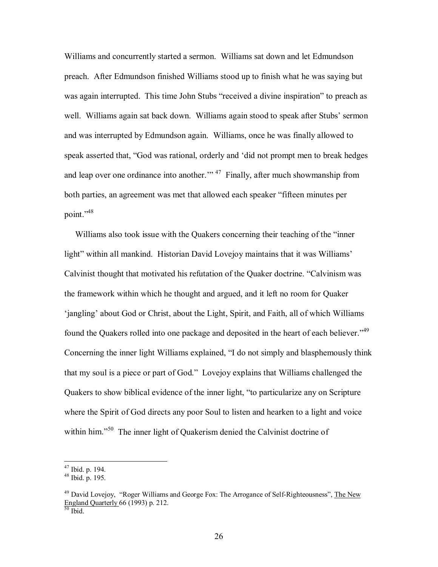Williams and concurrently started a sermon. Williams sat down and let Edmundson preach. After Edmundson finished Williams stood up to finish what he was saying but was again interrupted. This time John Stubs "received a divine inspiration" to preach as well. Williams again sat back down. Williams again stood to speak after Stubs' sermon and was interrupted by Edmundson again. Williams, once he was finally allowed to speak asserted that, "God was rational, orderly and 'did not prompt men to break hedges and leap over one ordinance into another.<sup> $\frac{1}{4}$ </sup> Finally, after much showmanship from both parties, an agreement was met that allowed each speaker "fifteen minutes per point."<sup>48</sup>

Williams also took issue with the Quakers concerning their teaching of the "inner light" within all mankind. Historian David Lovejoy maintains that it was Williams' Calvinist thought that motivated his refutation of the Quaker doctrine. "Calvinism was the framework within which he thought and argued, and it left no room for Quaker 'jangling' about God or Christ, about the Light, Spirit, and Faith, all of which Williams found the Quakers rolled into one package and deposited in the heart of each believer.<sup>49</sup> Concerning the inner light Williams explained, "I do not simply and blasphemously think that my soul is a piece or part of God." Lovejoy explains that Williams challenged the Quakers to show biblical evidence of the inner light, "to particularize any on Scripture where the Spirit of God directs any poor Soul to listen and hearken to a light and voice within him.<sup>50</sup> The inner light of Quakerism denied the Calvinist doctrine of

 $47$  Ibid. p. 194.

 $48$  Ibid. p. 195.

<sup>&</sup>lt;sup>49</sup> David Lovejoy, "Roger Williams and George Fox: The Arrogance of Self-Righteousness", The New England Quarterly 66 (1993) p. 212.<br> $\frac{50}{50}$  Ibid.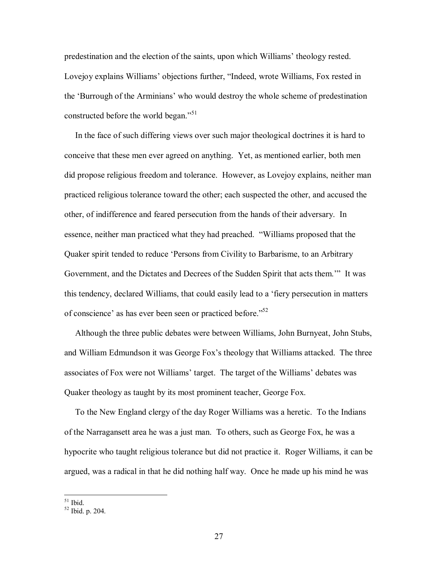predestination and the election of the saints, upon which Williams' theology rested. Lovejoy explains Williams' objections further, "Indeed, wrote Williams, Fox rested in the 'Burrough of the Arminians' who would destroy the whole scheme of predestination constructed before the world began.<sup> $51$ </sup>

 In the face of such differing views over such major theological doctrines it is hard to conceive that these men ever agreed on anything. Yet, as mentioned earlier, both men did propose religious freedom and tolerance. However, as Lovejoy explains, neither man practiced religious tolerance toward the other; each suspected the other, and accused the other, of indifference and feared persecution from the hands of their adversary. In essence, neither man practiced what they had preached. "Williams proposed that the Quaker spirit tended to reduce 'Persons from Civility to Barbarisme, to an Arbitrary Government, and the Dictates and Decrees of the Sudden Spirit that acts them." It was this tendency, declared Williams, that could easily lead to a ëfiery persecution in matters of conscience' as has ever been seen or practiced before.<sup> $52$ </sup>

 Although the three public debates were between Williams, John Burnyeat, John Stubs, and William Edmundson it was George Fox's theology that Williams attacked. The three associates of Fox were not Williams' target. The target of the Williams' debates was Quaker theology as taught by its most prominent teacher, George Fox.

 To the New England clergy of the day Roger Williams was a heretic. To the Indians of the Narragansett area he was a just man. To others, such as George Fox, he was a hypocrite who taught religious tolerance but did not practice it. Roger Williams, it can be argued, was a radical in that he did nothing half way. Once he made up his mind he was

<sup>51</sup> Ibid.

 $52$  Ibid. p. 204.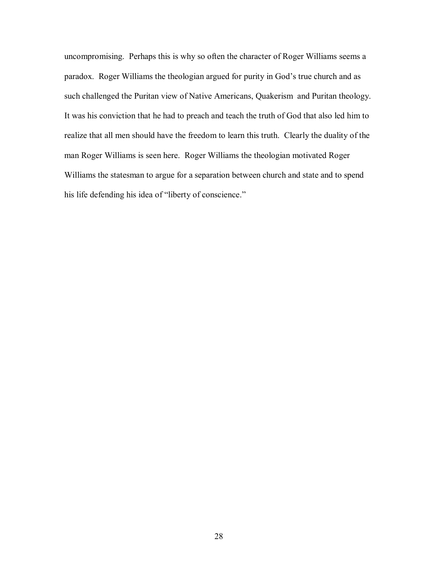uncompromising. Perhaps this is why so often the character of Roger Williams seems a paradox. Roger Williams the theologian argued for purity in God's true church and as such challenged the Puritan view of Native Americans, Quakerism and Puritan theology. It was his conviction that he had to preach and teach the truth of God that also led him to realize that all men should have the freedom to learn this truth. Clearly the duality of the man Roger Williams is seen here. Roger Williams the theologian motivated Roger Williams the statesman to argue for a separation between church and state and to spend his life defending his idea of "liberty of conscience."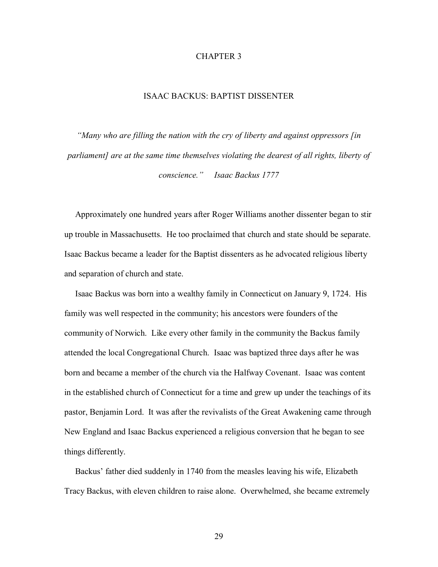## CHAPTER 3

## ISAAC BACKUS: BAPTIST DISSENTER

*ìMany who are filling the nation with the cry of liberty and against oppressors [in parliament] are at the same time themselves violating the dearest of all rights, liberty of conscience.î Isaac Backus 1777* 

 Approximately one hundred years after Roger Williams another dissenter began to stir up trouble in Massachusetts. He too proclaimed that church and state should be separate. Isaac Backus became a leader for the Baptist dissenters as he advocated religious liberty and separation of church and state.

 Isaac Backus was born into a wealthy family in Connecticut on January 9, 1724. His family was well respected in the community; his ancestors were founders of the community of Norwich. Like every other family in the community the Backus family attended the local Congregational Church. Isaac was baptized three days after he was born and became a member of the church via the Halfway Covenant. Isaac was content in the established church of Connecticut for a time and grew up under the teachings of its pastor, Benjamin Lord. It was after the revivalists of the Great Awakening came through New England and Isaac Backus experienced a religious conversion that he began to see things differently.

Backus' father died suddenly in 1740 from the measles leaving his wife, Elizabeth Tracy Backus, with eleven children to raise alone. Overwhelmed, she became extremely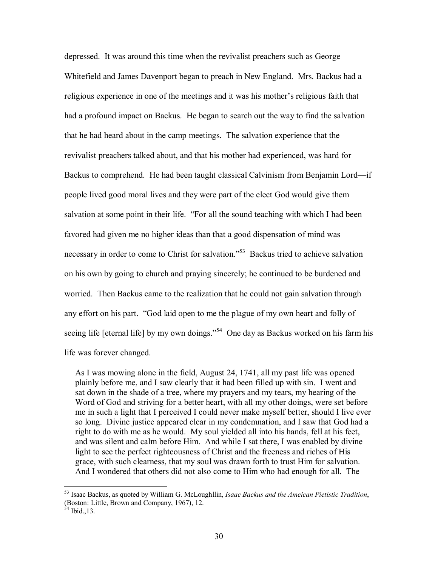depressed. It was around this time when the revivalist preachers such as George Whitefield and James Davenport began to preach in New England. Mrs. Backus had a religious experience in one of the meetings and it was his mother's religious faith that had a profound impact on Backus. He began to search out the way to find the salvation that he had heard about in the camp meetings. The salvation experience that the revivalist preachers talked about, and that his mother had experienced, was hard for Backus to comprehend. He had been taught classical Calvinism from Benjamin Lord—if people lived good moral lives and they were part of the elect God would give them salvation at some point in their life. "For all the sound teaching with which I had been favored had given me no higher ideas than that a good dispensation of mind was necessary in order to come to Christ for salvation.<sup>553</sup> Backus tried to achieve salvation on his own by going to church and praying sincerely; he continued to be burdened and worried. Then Backus came to the realization that he could not gain salvation through any effort on his part. "God laid open to me the plague of my own heart and folly of seeing life [eternal life] by my own doings.<sup> $54$ </sup> One day as Backus worked on his farm his life was forever changed.

 As I was mowing alone in the field, August 24, 1741, all my past life was opened plainly before me, and I saw clearly that it had been filled up with sin. I went and sat down in the shade of a tree, where my prayers and my tears, my hearing of the Word of God and striving for a better heart, with all my other doings, were set before me in such a light that I perceived I could never make myself better, should I live ever so long. Divine justice appeared clear in my condemnation, and I saw that God had a right to do with me as he would. My soul yielded all into his hands, fell at his feet, and was silent and calm before Him. And while I sat there, I was enabled by divine light to see the perfect righteousness of Christ and the freeness and riches of His grace, with such clearness, that my soul was drawn forth to trust Him for salvation. And I wondered that others did not also come to Him who had enough for all. The

<sup>53</sup> Isaac Backus, as quoted by William G. McLoughllin, *Isaac Backus and the Ameican Pietistic Tradition*, (Boston: Little, Brown and Company, 1967), 12.

 $54$  Ibid., 13.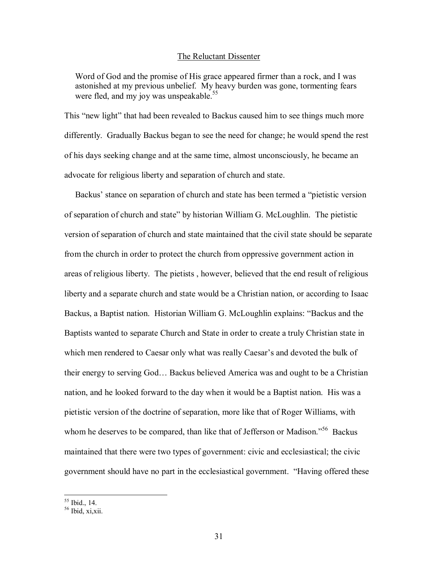#### The Reluctant Dissenter

 Word of God and the promise of His grace appeared firmer than a rock, and I was astonished at my previous unbelief. My heavy burden was gone, tormenting fears were fled, and my joy was unspeakable.<sup>55</sup>

This "new light" that had been revealed to Backus caused him to see things much more differently. Gradually Backus began to see the need for change; he would spend the rest of his days seeking change and at the same time, almost unconsciously, he became an advocate for religious liberty and separation of church and state.

Backus' stance on separation of church and state has been termed a "pietistic version" of separation of church and stateî by historian William G. McLoughlin. The pietistic version of separation of church and state maintained that the civil state should be separate from the church in order to protect the church from oppressive government action in areas of religious liberty. The pietists , however, believed that the end result of religious liberty and a separate church and state would be a Christian nation, or according to Isaac Backus, a Baptist nation. Historian William G. McLoughlin explains: "Backus and the Baptists wanted to separate Church and State in order to create a truly Christian state in which men rendered to Caesar only what was really Caesar's and devoted the bulk of their energy to serving God... Backus believed America was and ought to be a Christian nation, and he looked forward to the day when it would be a Baptist nation. His was a pietistic version of the doctrine of separation, more like that of Roger Williams, with whom he deserves to be compared, than like that of Jefferson or Madison.<sup> $556$ </sup> Backus maintained that there were two types of government: civic and ecclesiastical; the civic government should have no part in the ecclesiastical government. "Having offered these

<u>.</u>

<sup>55</sup> Ibid., 14.

 $56$  Ibid, xi,xii.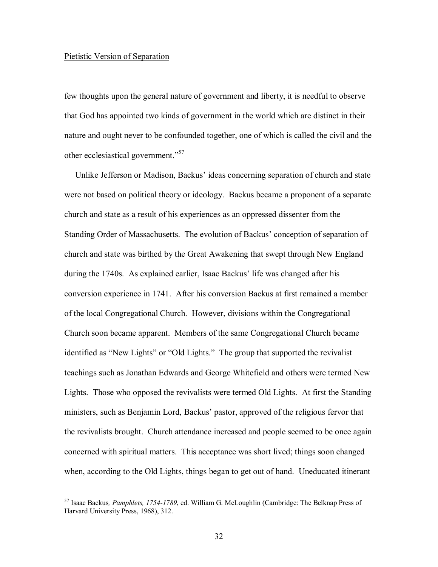#### Pietistic Version of Separation

<u>.</u>

few thoughts upon the general nature of government and liberty, it is needful to observe that God has appointed two kinds of government in the world which are distinct in their nature and ought never to be confounded together, one of which is called the civil and the other ecclesiastical government."<sup>57</sup>

Unlike Jefferson or Madison, Backus' ideas concerning separation of church and state were not based on political theory or ideology. Backus became a proponent of a separate church and state as a result of his experiences as an oppressed dissenter from the Standing Order of Massachusetts. The evolution of Backus' conception of separation of church and state was birthed by the Great Awakening that swept through New England during the 1740s. As explained earlier, Isaac Backus' life was changed after his conversion experience in 1741. After his conversion Backus at first remained a member of the local Congregational Church. However, divisions within the Congregational Church soon became apparent. Members of the same Congregational Church became identified as "New Lights" or "Old Lights." The group that supported the revivalist teachings such as Jonathan Edwards and George Whitefield and others were termed New Lights. Those who opposed the revivalists were termed Old Lights. At first the Standing ministers, such as Benjamin Lord, Backus' pastor, approved of the religious fervor that the revivalists brought. Church attendance increased and people seemed to be once again concerned with spiritual matters. This acceptance was short lived; things soon changed when, according to the Old Lights, things began to get out of hand. Uneducated itinerant

<sup>57</sup> Isaac Backus*, Pamphlets, 1754-1789*, ed. William G. McLoughlin (Cambridge: The Belknap Press of Harvard University Press, 1968), 312.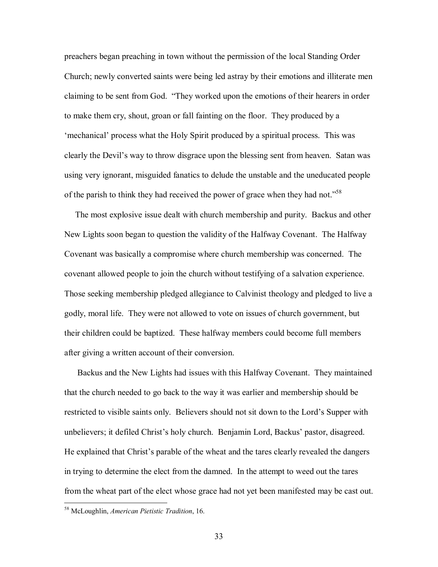preachers began preaching in town without the permission of the local Standing Order Church; newly converted saints were being led astray by their emotions and illiterate men claiming to be sent from God. "They worked upon the emotions of their hearers in order to make them cry, shout, groan or fall fainting on the floor. They produced by a ëmechanicalí process what the Holy Spirit produced by a spiritual process. This was clearly the Devil's way to throw disgrace upon the blessing sent from heaven. Satan was using very ignorant, misguided fanatics to delude the unstable and the uneducated people of the parish to think they had received the power of grace when they had not.<sup> $58$ </sup>

 The most explosive issue dealt with church membership and purity. Backus and other New Lights soon began to question the validity of the Halfway Covenant. The Halfway Covenant was basically a compromise where church membership was concerned. The covenant allowed people to join the church without testifying of a salvation experience. Those seeking membership pledged allegiance to Calvinist theology and pledged to live a godly, moral life. They were not allowed to vote on issues of church government, but their children could be baptized. These halfway members could become full members after giving a written account of their conversion.

 Backus and the New Lights had issues with this Halfway Covenant. They maintained that the church needed to go back to the way it was earlier and membership should be restricted to visible saints only. Believers should not sit down to the Lord's Supper with unbelievers; it defiled Christ's holy church. Benjamin Lord, Backus' pastor, disagreed. He explained that Christ's parable of the wheat and the tares clearly revealed the dangers in trying to determine the elect from the damned. In the attempt to weed out the tares from the wheat part of the elect whose grace had not yet been manifested may be cast out.

<sup>58</sup> McLoughlin, *American Pietistic Tradition*, 16.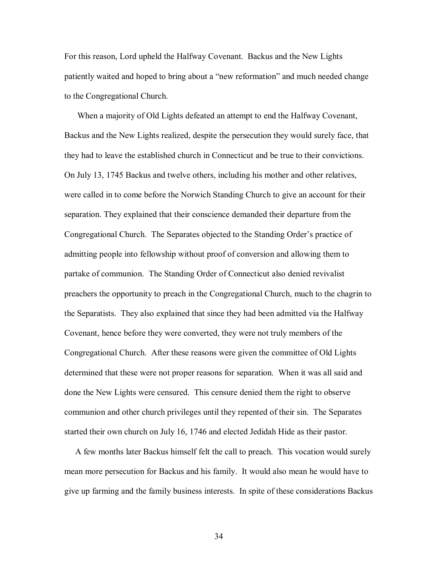For this reason, Lord upheld the Halfway Covenant. Backus and the New Lights patiently waited and hoped to bring about a "new reformation" and much needed change to the Congregational Church.

 When a majority of Old Lights defeated an attempt to end the Halfway Covenant, Backus and the New Lights realized, despite the persecution they would surely face, that they had to leave the established church in Connecticut and be true to their convictions. On July 13, 1745 Backus and twelve others, including his mother and other relatives, were called in to come before the Norwich Standing Church to give an account for their separation. They explained that their conscience demanded their departure from the Congregational Church. The Separates objected to the Standing Order's practice of admitting people into fellowship without proof of conversion and allowing them to partake of communion. The Standing Order of Connecticut also denied revivalist preachers the opportunity to preach in the Congregational Church, much to the chagrin to the Separatists. They also explained that since they had been admitted via the Halfway Covenant, hence before they were converted, they were not truly members of the Congregational Church. After these reasons were given the committee of Old Lights determined that these were not proper reasons for separation. When it was all said and done the New Lights were censured. This censure denied them the right to observe communion and other church privileges until they repented of their sin. The Separates started their own church on July 16, 1746 and elected Jedidah Hide as their pastor.

 A few months later Backus himself felt the call to preach. This vocation would surely mean more persecution for Backus and his family. It would also mean he would have to give up farming and the family business interests. In spite of these considerations Backus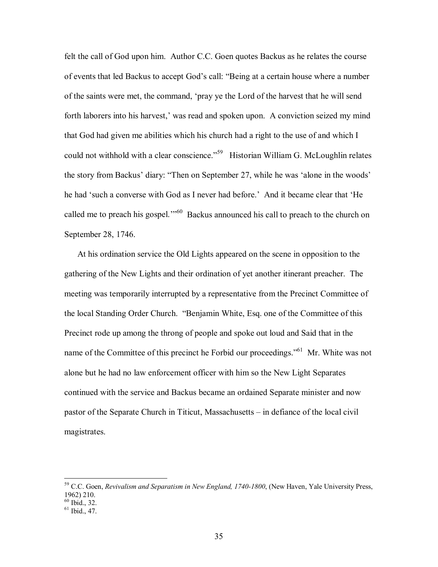felt the call of God upon him. Author C.C. Goen quotes Backus as he relates the course of events that led Backus to accept God's call: "Being at a certain house where a number of the saints were met, the command, ëpray ye the Lord of the harvest that he will send forth laborers into his harvest,' was read and spoken upon. A conviction seized my mind that God had given me abilities which his church had a right to the use of and which I could not withhold with a clear conscience.<sup>59</sup> Historian William G. McLoughlin relates the story from Backus' diary: "Then on September 27, while he was 'alone in the woods' he had 'such a converse with God as I never had before.' And it became clear that 'He called me to preach his gospel.<sup> $1060$ </sup> Backus announced his call to preach to the church on September 28, 1746.

 At his ordination service the Old Lights appeared on the scene in opposition to the gathering of the New Lights and their ordination of yet another itinerant preacher. The meeting was temporarily interrupted by a representative from the Precinct Committee of the local Standing Order Church. "Benjamin White, Esq. one of the Committee of this Precinct rode up among the throng of people and spoke out loud and Said that in the name of the Committee of this precinct he Forbid our proceedings.<sup>561</sup> Mr. White was not alone but he had no law enforcement officer with him so the New Light Separates continued with the service and Backus became an ordained Separate minister and now pastor of the Separate Church in Titicut, Massachusetts  $-\text{ in}$  defiance of the local civil magistrates.

<sup>59</sup> C.C. Goen, *Revivalism and Separatism in New England, 1740-1800*, (New Haven, Yale University Press, 1962) 210.

<sup>60</sup> Ibid., 32.

 $61$  Ibid., 47.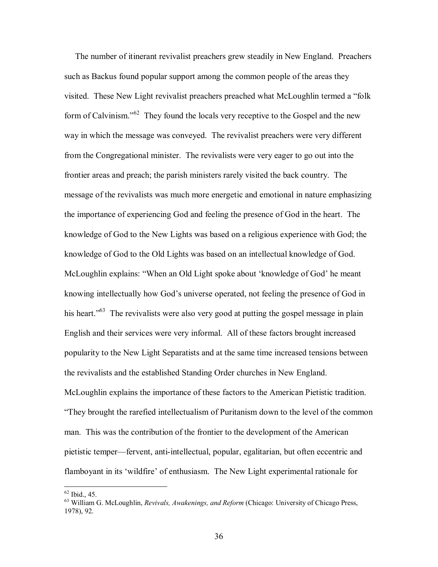The number of itinerant revivalist preachers grew steadily in New England. Preachers such as Backus found popular support among the common people of the areas they visited. These New Light revivalist preachers preached what McLoughlin termed a "folk" form of Calvinism.<sup> $562$ </sup> They found the locals very receptive to the Gospel and the new way in which the message was conveyed. The revivalist preachers were very different from the Congregational minister. The revivalists were very eager to go out into the frontier areas and preach; the parish ministers rarely visited the back country. The message of the revivalists was much more energetic and emotional in nature emphasizing the importance of experiencing God and feeling the presence of God in the heart. The knowledge of God to the New Lights was based on a religious experience with God; the knowledge of God to the Old Lights was based on an intellectual knowledge of God. McLoughlin explains: "When an Old Light spoke about 'knowledge of God' he meant knowing intellectually how God's universe operated, not feeling the presence of God in his heart.<sup> $63$ </sup> The revivalists were also very good at putting the gospel message in plain English and their services were very informal. All of these factors brought increased popularity to the New Light Separatists and at the same time increased tensions between the revivalists and the established Standing Order churches in New England. McLoughlin explains the importance of these factors to the American Pietistic tradition. ìThey brought the rarefied intellectualism of Puritanism down to the level of the common man. This was the contribution of the frontier to the development of the American pietistic temper—fervent, anti-intellectual, popular, egalitarian, but often eccentric and flamboyant in its 'wildfire' of enthusiasm. The New Light experimental rationale for

 $62$  Ibid., 45.

<sup>63</sup> William G. McLoughlin, *Revivals, Awakenings, and Reform* (Chicago: University of Chicago Press, 1978), 92.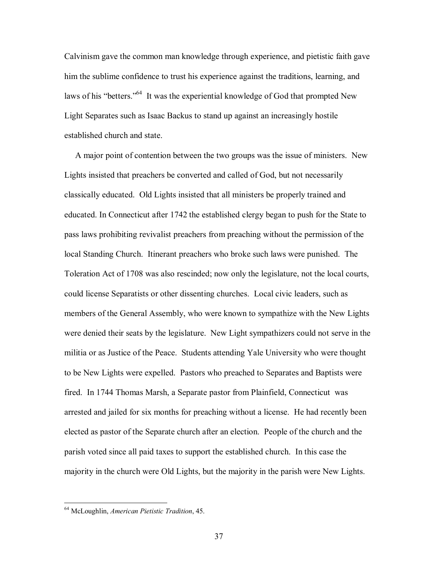Calvinism gave the common man knowledge through experience, and pietistic faith gave him the sublime confidence to trust his experience against the traditions, learning, and laws of his "betters."<sup>64</sup> It was the experiential knowledge of God that prompted New Light Separates such as Isaac Backus to stand up against an increasingly hostile established church and state.

 A major point of contention between the two groups was the issue of ministers. New Lights insisted that preachers be converted and called of God, but not necessarily classically educated. Old Lights insisted that all ministers be properly trained and educated. In Connecticut after 1742 the established clergy began to push for the State to pass laws prohibiting revivalist preachers from preaching without the permission of the local Standing Church. Itinerant preachers who broke such laws were punished. The Toleration Act of 1708 was also rescinded; now only the legislature, not the local courts, could license Separatists or other dissenting churches. Local civic leaders, such as members of the General Assembly, who were known to sympathize with the New Lights were denied their seats by the legislature. New Light sympathizers could not serve in the militia or as Justice of the Peace. Students attending Yale University who were thought to be New Lights were expelled. Pastors who preached to Separates and Baptists were fired. In 1744 Thomas Marsh, a Separate pastor from Plainfield, Connecticut was arrested and jailed for six months for preaching without a license. He had recently been elected as pastor of the Separate church after an election. People of the church and the parish voted since all paid taxes to support the established church. In this case the majority in the church were Old Lights, but the majority in the parish were New Lights.

<sup>64</sup> McLoughlin, *American Pietistic Tradition*, 45.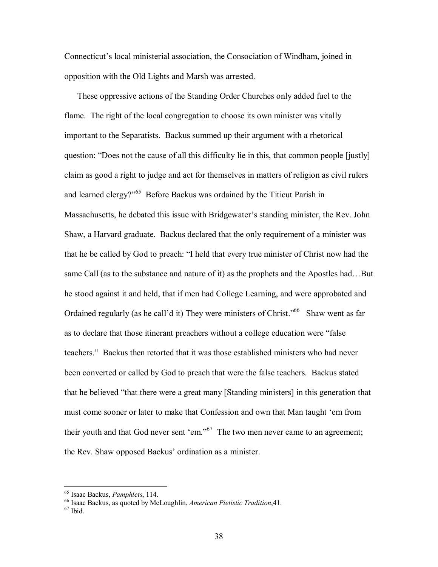Connecticut's local ministerial association, the Consociation of Windham, joined in opposition with the Old Lights and Marsh was arrested.

 These oppressive actions of the Standing Order Churches only added fuel to the flame. The right of the local congregation to choose its own minister was vitally important to the Separatists. Backus summed up their argument with a rhetorical question: "Does not the cause of all this difficulty lie in this, that common people [justly] claim as good a right to judge and act for themselves in matters of religion as civil rulers and learned clergy?"<sup>65</sup> Before Backus was ordained by the Titicut Parish in Massachusetts, he debated this issue with Bridgewater's standing minister, the Rev. John Shaw, a Harvard graduate. Backus declared that the only requirement of a minister was that he be called by God to preach: "I held that every true minister of Christ now had the same Call (as to the substance and nature of it) as the prophets and the Apostles had...But he stood against it and held, that if men had College Learning, and were approbated and Ordained regularly (as he call'd it) They were ministers of Christ.<sup> $,66$ </sup> Shaw went as far as to declare that those itinerant preachers without a college education were "false" teachers." Backus then retorted that it was those established ministers who had never been converted or called by God to preach that were the false teachers. Backus stated that he believed "that there were a great many [Standing ministers] in this generation that must come sooner or later to make that Confession and own that Man taught 'em from their youth and that God never sent 'em."<sup>67</sup> The two men never came to an agreement; the Rev. Shaw opposed Backus' ordination as a minister.

<sup>&</sup>lt;sup>65</sup> Isaac Backus, *Pamphlets*, 114.<br><sup>66</sup> Isaac Backus, as quoted by McLoughlin, *American Pietistic Tradition*, 41.<br><sup>67</sup> Ibid.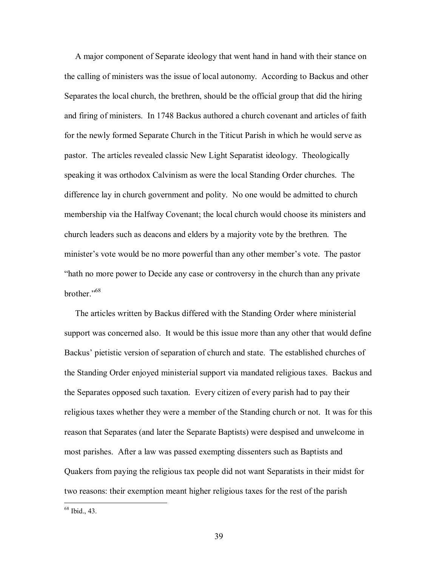A major component of Separate ideology that went hand in hand with their stance on the calling of ministers was the issue of local autonomy. According to Backus and other Separates the local church, the brethren, should be the official group that did the hiring and firing of ministers. In 1748 Backus authored a church covenant and articles of faith for the newly formed Separate Church in the Titicut Parish in which he would serve as pastor. The articles revealed classic New Light Separatist ideology. Theologically speaking it was orthodox Calvinism as were the local Standing Order churches. The difference lay in church government and polity. No one would be admitted to church membership via the Halfway Covenant; the local church would choose its ministers and church leaders such as deacons and elders by a majority vote by the brethren. The minister's vote would be no more powerful than any other member's vote. The pastor "hath no more power to Decide any case or controversy in the church than any private brother.<sup> $,68$ </sup>

 The articles written by Backus differed with the Standing Order where ministerial support was concerned also. It would be this issue more than any other that would define Backus' pietistic version of separation of church and state. The established churches of the Standing Order enjoyed ministerial support via mandated religious taxes. Backus and the Separates opposed such taxation. Every citizen of every parish had to pay their religious taxes whether they were a member of the Standing church or not. It was for this reason that Separates (and later the Separate Baptists) were despised and unwelcome in most parishes. After a law was passed exempting dissenters such as Baptists and Quakers from paying the religious tax people did not want Separatists in their midst for two reasons: their exemption meant higher religious taxes for the rest of the parish

68 Ibid., 43.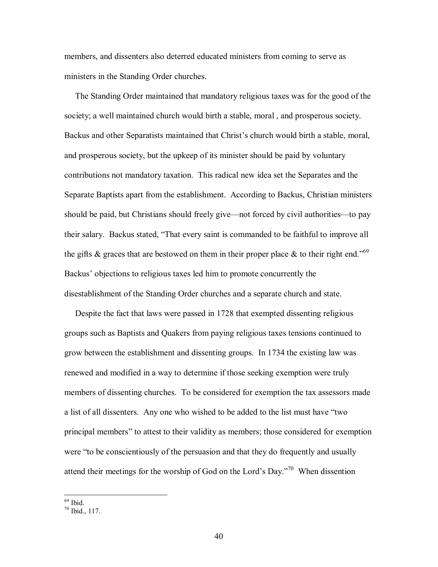members, and dissenters also deterred educated ministers from coming to serve as ministers in the Standing Order churches.

 The Standing Order maintained that mandatory religious taxes was for the good of the society; a well maintained church would birth a stable, moral , and prosperous society. Backus and other Separatists maintained that Christ's church would birth a stable, moral, and prosperous society, but the upkeep of its minister should be paid by voluntary contributions not mandatory taxation. This radical new idea set the Separates and the Separate Baptists apart from the establishment. According to Backus, Christian ministers should be paid, but Christians should freely give—not forced by civil authorities—to pay their salary. Backus stated, "That every saint is commanded to be faithful to improve all the gifts  $\&$  graces that are bestowed on them in their proper place  $\&$  to their right end.<sup>769</sup> Backus' objections to religious taxes led him to promote concurrently the disestablishment of the Standing Order churches and a separate church and state.

 Despite the fact that laws were passed in 1728 that exempted dissenting religious groups such as Baptists and Quakers from paying religious taxes tensions continued to grow between the establishment and dissenting groups. In 1734 the existing law was renewed and modified in a way to determine if those seeking exemption were truly members of dissenting churches. To be considered for exemption the tax assessors made a list of all dissenters. Any one who wished to be added to the list must have "two principal membersî to attest to their validity as members; those considered for exemption were "to be conscientiously of the persuasion and that they do frequently and usually attend their meetings for the worship of God on the Lord's Day.<sup> $70$ </sup> When dissention

<sup>69</sup> Ibid.

 $70$  Ibid., 117.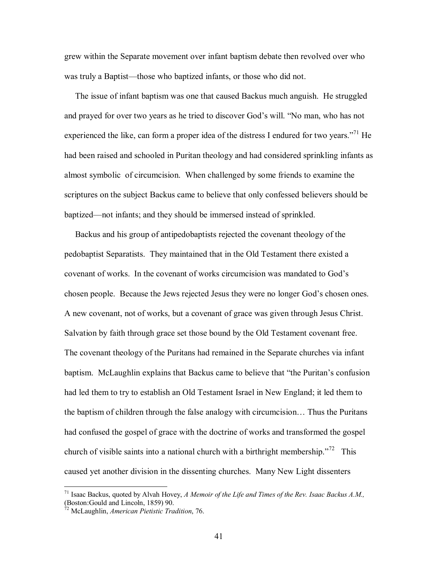grew within the Separate movement over infant baptism debate then revolved over who was truly a Baptist—those who baptized infants, or those who did not.

 The issue of infant baptism was one that caused Backus much anguish. He struggled and prayed for over two years as he tried to discover God's will. "No man, who has not experienced the like, can form a proper idea of the distress I endured for two years.<sup> $71$ </sup> He had been raised and schooled in Puritan theology and had considered sprinkling infants as almost symbolic of circumcision. When challenged by some friends to examine the scriptures on the subject Backus came to believe that only confessed believers should be baptized—not infants; and they should be immersed instead of sprinkled.

 Backus and his group of antipedobaptists rejected the covenant theology of the pedobaptist Separatists. They maintained that in the Old Testament there existed a covenant of works. In the covenant of works circumcision was mandated to Godís chosen people. Because the Jews rejected Jesus they were no longer God's chosen ones. A new covenant, not of works, but a covenant of grace was given through Jesus Christ. Salvation by faith through grace set those bound by the Old Testament covenant free. The covenant theology of the Puritans had remained in the Separate churches via infant baptism. McLaughlin explains that Backus came to believe that "the Puritan's confusion had led them to try to establish an Old Testament Israel in New England; it led them to the baptism of children through the false analogy with circumcision... Thus the Puritans had confused the gospel of grace with the doctrine of works and transformed the gospel church of visible saints into a national church with a birthright membership.<sup>772</sup> This caused yet another division in the dissenting churches. Many New Light dissenters

<sup>71</sup> Isaac Backus, quoted by Alvah Hovey, *A Memoir of the Life and Times of the Rev. Isaac Backus A.M.,*  (Boston:Gould and Lincoln, 1859) 90.

<sup>72</sup> McLaughlin, *American Pietistic Tradition*, 76.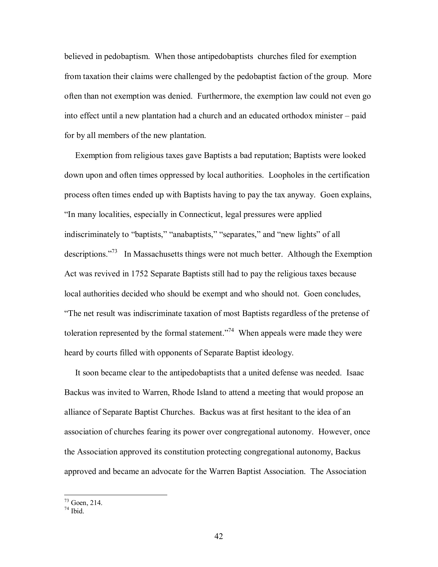believed in pedobaptism. When those antipedobaptists churches filed for exemption from taxation their claims were challenged by the pedobaptist faction of the group. More often than not exemption was denied. Furthermore, the exemption law could not even go into effect until a new plantation had a church and an educated orthodox minister  $-$  paid for by all members of the new plantation.

 Exemption from religious taxes gave Baptists a bad reputation; Baptists were looked down upon and often times oppressed by local authorities. Loopholes in the certification process often times ended up with Baptists having to pay the tax anyway. Goen explains, *In many localities, especially in Connecticut, legal pressures were applied* indiscriminately to "baptists," "anabaptists," "separates," and "new lights" of all descriptions.<sup>773</sup> In Massachusetts things were not much better. Although the Exemption Act was revived in 1752 Separate Baptists still had to pay the religious taxes because local authorities decided who should be exempt and who should not. Goen concludes, ìThe net result was indiscriminate taxation of most Baptists regardless of the pretense of toleration represented by the formal statement.<sup> $274$ </sup> When appeals were made they were heard by courts filled with opponents of Separate Baptist ideology.

 It soon became clear to the antipedobaptists that a united defense was needed. Isaac Backus was invited to Warren, Rhode Island to attend a meeting that would propose an alliance of Separate Baptist Churches. Backus was at first hesitant to the idea of an association of churches fearing its power over congregational autonomy. However, once the Association approved its constitution protecting congregational autonomy, Backus approved and became an advocate for the Warren Baptist Association. The Association

 $73$  Goen, 214.

 $74$  Ibid.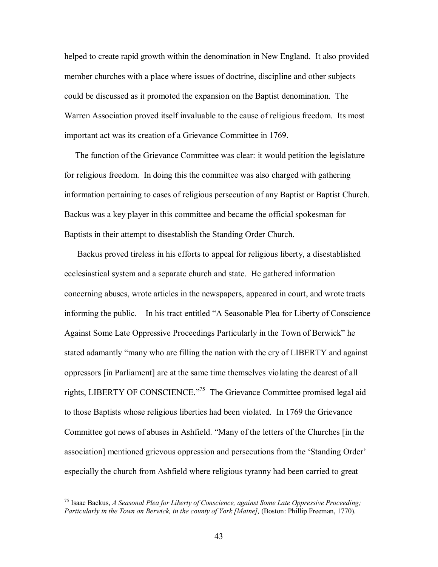helped to create rapid growth within the denomination in New England. It also provided member churches with a place where issues of doctrine, discipline and other subjects could be discussed as it promoted the expansion on the Baptist denomination. The Warren Association proved itself invaluable to the cause of religious freedom. Its most important act was its creation of a Grievance Committee in 1769.

 The function of the Grievance Committee was clear: it would petition the legislature for religious freedom. In doing this the committee was also charged with gathering information pertaining to cases of religious persecution of any Baptist or Baptist Church. Backus was a key player in this committee and became the official spokesman for Baptists in their attempt to disestablish the Standing Order Church.

 Backus proved tireless in his efforts to appeal for religious liberty, a disestablished ecclesiastical system and a separate church and state. He gathered information concerning abuses, wrote articles in the newspapers, appeared in court, and wrote tracts informing the public. In his tract entitled "A Seasonable Plea for Liberty of Conscience Against Some Late Oppressive Proceedings Particularly in the Town of Berwick<sup>\*</sup> he stated adamantly "many who are filling the nation with the cry of LIBERTY and against oppressors [in Parliament] are at the same time themselves violating the dearest of all rights, LIBERTY OF CONSCIENCE.<sup> $,75$ </sup> The Grievance Committee promised legal aid to those Baptists whose religious liberties had been violated. In 1769 the Grievance Committee got news of abuses in Ashfield. "Many of the letters of the Churches [in the association] mentioned grievous oppression and persecutions from the 'Standing Order' especially the church from Ashfield where religious tyranny had been carried to great

<sup>75</sup> Isaac Backus, *A Seasonal Plea for Liberty of Conscience, against Some Late Oppressive Proceeding; Particularly in the Town on Berwick, in the county of York [Maine],* (Boston: Phillip Freeman, 1770).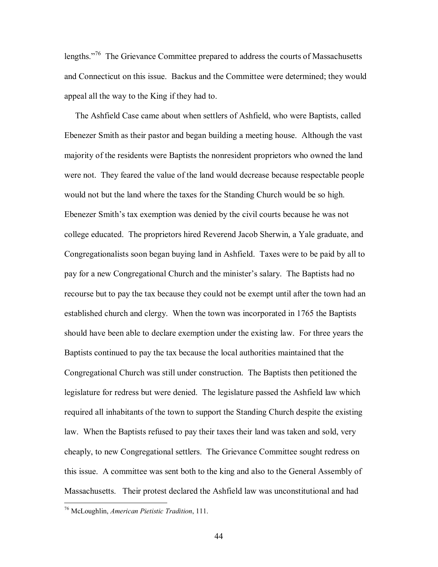lengths. $176$  The Grievance Committee prepared to address the courts of Massachusetts and Connecticut on this issue. Backus and the Committee were determined; they would appeal all the way to the King if they had to.

 The Ashfield Case came about when settlers of Ashfield, who were Baptists, called Ebenezer Smith as their pastor and began building a meeting house. Although the vast majority of the residents were Baptists the nonresident proprietors who owned the land were not. They feared the value of the land would decrease because respectable people would not but the land where the taxes for the Standing Church would be so high. Ebenezer Smith's tax exemption was denied by the civil courts because he was not college educated. The proprietors hired Reverend Jacob Sherwin, a Yale graduate, and Congregationalists soon began buying land in Ashfield. Taxes were to be paid by all to pay for a new Congregational Church and the minister's salary. The Baptists had no recourse but to pay the tax because they could not be exempt until after the town had an established church and clergy. When the town was incorporated in 1765 the Baptists should have been able to declare exemption under the existing law. For three years the Baptists continued to pay the tax because the local authorities maintained that the Congregational Church was still under construction. The Baptists then petitioned the legislature for redress but were denied. The legislature passed the Ashfield law which required all inhabitants of the town to support the Standing Church despite the existing law. When the Baptists refused to pay their taxes their land was taken and sold, very cheaply, to new Congregational settlers. The Grievance Committee sought redress on this issue. A committee was sent both to the king and also to the General Assembly of Massachusetts. Their protest declared the Ashfield law was unconstitutional and had

<sup>76</sup> McLoughlin, *American Pietistic Tradition*, 111.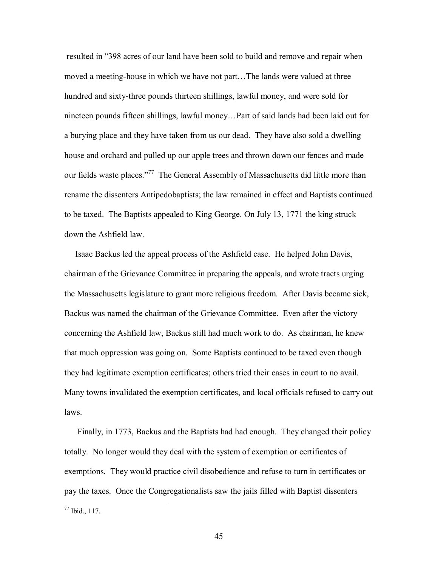resulted in "398 acres of our land have been sold to build and remove and repair when moved a meeting-house in which we have not part...The lands were valued at three hundred and sixty-three pounds thirteen shillings, lawful money, and were sold for nineteen pounds fifteen shillings, lawful money...Part of said lands had been laid out for a burying place and they have taken from us our dead. They have also sold a dwelling house and orchard and pulled up our apple trees and thrown down our fences and made our fields waste places.<sup>77</sup> The General Assembly of Massachusetts did little more than rename the dissenters Antipedobaptists; the law remained in effect and Baptists continued to be taxed. The Baptists appealed to King George. On July 13, 1771 the king struck down the Ashfield law.

 Isaac Backus led the appeal process of the Ashfield case. He helped John Davis, chairman of the Grievance Committee in preparing the appeals, and wrote tracts urging the Massachusetts legislature to grant more religious freedom. After Davis became sick, Backus was named the chairman of the Grievance Committee. Even after the victory concerning the Ashfield law, Backus still had much work to do. As chairman, he knew that much oppression was going on. Some Baptists continued to be taxed even though they had legitimate exemption certificates; others tried their cases in court to no avail. Many towns invalidated the exemption certificates, and local officials refused to carry out laws.

 Finally, in 1773, Backus and the Baptists had had enough. They changed their policy totally. No longer would they deal with the system of exemption or certificates of exemptions. They would practice civil disobedience and refuse to turn in certificates or pay the taxes. Once the Congregationalists saw the jails filled with Baptist dissenters

1

<sup>77</sup> Ibid., 117.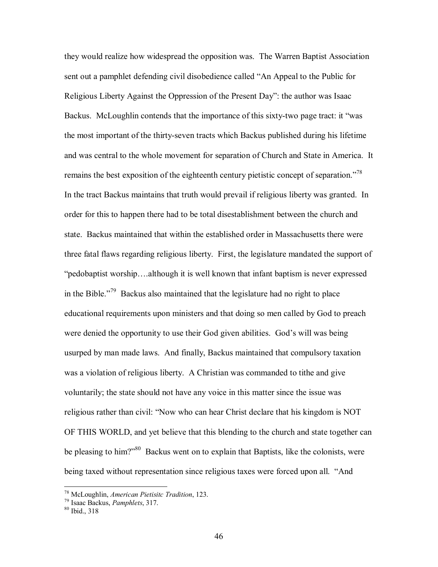they would realize how widespread the opposition was. The Warren Baptist Association sent out a pamphlet defending civil disobedience called "An Appeal to the Public for Religious Liberty Against the Oppression of the Present Day": the author was Isaac Backus. McLoughlin contends that the importance of this sixty-two page tract: it "was the most important of the thirty-seven tracts which Backus published during his lifetime and was central to the whole movement for separation of Church and State in America. It remains the best exposition of the eighteenth century pietistic concept of separation.<sup>778</sup> In the tract Backus maintains that truth would prevail if religious liberty was granted. In order for this to happen there had to be total disestablishment between the church and state. Backus maintained that within the established order in Massachusetts there were three fatal flaws regarding religious liberty. First, the legislature mandated the support of  $\phi$  ipedobaptist worship....although it is well known that infant baptism is never expressed in the Bible.<sup> $79$ </sup> Backus also maintained that the legislature had no right to place educational requirements upon ministers and that doing so men called by God to preach were denied the opportunity to use their God given abilities. God's will was being usurped by man made laws. And finally, Backus maintained that compulsory taxation was a violation of religious liberty. A Christian was commanded to tithe and give voluntarily; the state should not have any voice in this matter since the issue was religious rather than civil: "Now who can hear Christ declare that his kingdom is NOT OF THIS WORLD, and yet believe that this blending to the church and state together can be pleasing to him?" $80$  Backus went on to explain that Baptists, like the colonists, were being taxed without representation since religious taxes were forced upon all. "And

<sup>&</sup>lt;sup>78</sup> McLoughlin, *American Pietisitc Tradition*, 123.<br><sup>79</sup> Isaac Backus, *Pamphlets*, 317.<br><sup>80</sup> Ibid., 318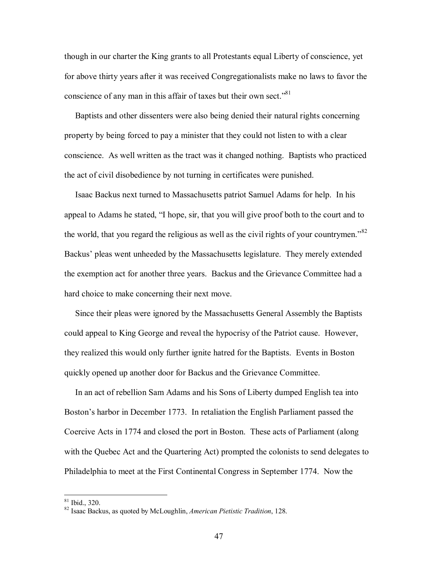though in our charter the King grants to all Protestants equal Liberty of conscience, yet for above thirty years after it was received Congregationalists make no laws to favor the conscience of any man in this affair of taxes but their own sect.<sup> $81$ </sup>

 Baptists and other dissenters were also being denied their natural rights concerning property by being forced to pay a minister that they could not listen to with a clear conscience. As well written as the tract was it changed nothing. Baptists who practiced the act of civil disobedience by not turning in certificates were punished.

 Isaac Backus next turned to Massachusetts patriot Samuel Adams for help. In his appeal to Adams he stated, "I hope, sir, that you will give proof both to the court and to the world, that you regard the religious as well as the civil rights of your countrymen.<sup>82</sup> Backus' pleas went unheeded by the Massachusetts legislature. They merely extended the exemption act for another three years. Backus and the Grievance Committee had a hard choice to make concerning their next move.

 Since their pleas were ignored by the Massachusetts General Assembly the Baptists could appeal to King George and reveal the hypocrisy of the Patriot cause. However, they realized this would only further ignite hatred for the Baptists. Events in Boston quickly opened up another door for Backus and the Grievance Committee.

 In an act of rebellion Sam Adams and his Sons of Liberty dumped English tea into Boston's harbor in December 1773. In retaliation the English Parliament passed the Coercive Acts in 1774 and closed the port in Boston. These acts of Parliament (along with the Quebec Act and the Quartering Act) prompted the colonists to send delegates to Philadelphia to meet at the First Continental Congress in September 1774. Now the

 $81$  Ibid., 320.

<sup>82</sup> Isaac Backus, as quoted by McLoughlin, *American Pietistic Tradition*, 128.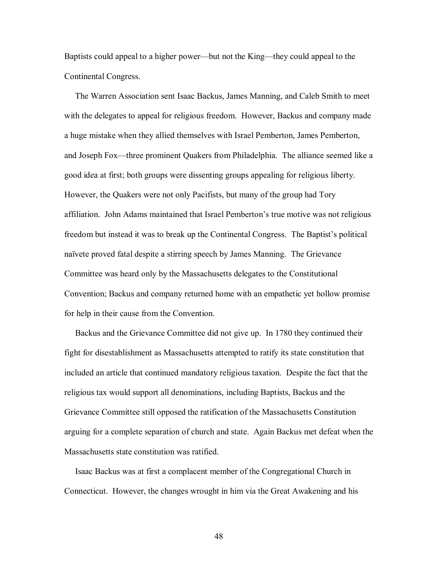Baptists could appeal to a higher power—but not the King—they could appeal to the Continental Congress.

 The Warren Association sent Isaac Backus, James Manning, and Caleb Smith to meet with the delegates to appeal for religious freedom. However, Backus and company made a huge mistake when they allied themselves with Israel Pemberton, James Pemberton, and Joseph Fox—three prominent Quakers from Philadelphia. The alliance seemed like a good idea at first; both groups were dissenting groups appealing for religious liberty. However, the Quakers were not only Pacifists, but many of the group had Tory affiliation. John Adams maintained that Israel Pemberton's true motive was not religious freedom but instead it was to break up the Continental Congress. The Baptist's political naïvete proved fatal despite a stirring speech by James Manning. The Grievance Committee was heard only by the Massachusetts delegates to the Constitutional Convention; Backus and company returned home with an empathetic yet hollow promise for help in their cause from the Convention.

 Backus and the Grievance Committee did not give up. In 1780 they continued their fight for disestablishment as Massachusetts attempted to ratify its state constitution that included an article that continued mandatory religious taxation. Despite the fact that the religious tax would support all denominations, including Baptists, Backus and the Grievance Committee still opposed the ratification of the Massachusetts Constitution arguing for a complete separation of church and state. Again Backus met defeat when the Massachusetts state constitution was ratified.

 Isaac Backus was at first a complacent member of the Congregational Church in Connecticut. However, the changes wrought in him via the Great Awakening and his

48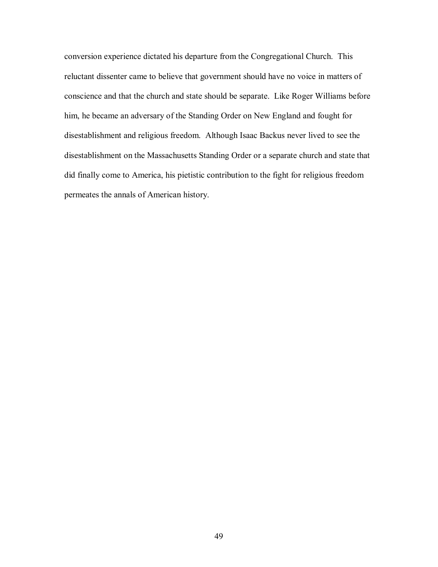conversion experience dictated his departure from the Congregational Church. This reluctant dissenter came to believe that government should have no voice in matters of conscience and that the church and state should be separate. Like Roger Williams before him, he became an adversary of the Standing Order on New England and fought for disestablishment and religious freedom. Although Isaac Backus never lived to see the disestablishment on the Massachusetts Standing Order or a separate church and state that did finally come to America, his pietistic contribution to the fight for religious freedom permeates the annals of American history.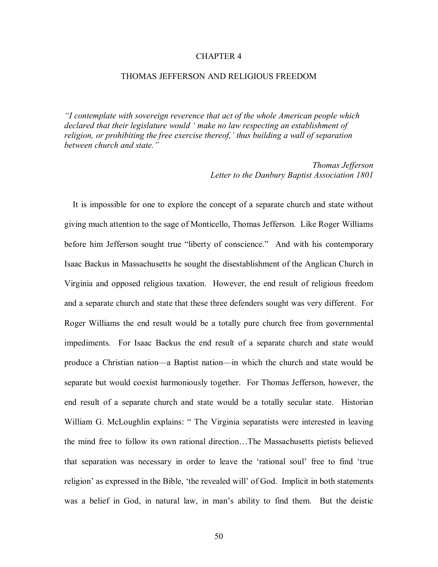## CHAPTER 4

#### THOMAS JEFFERSON AND RELIGIOUS FREEDOM

*ìI contemplate with sovereign reverence that act of the whole American people which declared that their legislature would ë make no law respecting an establishment of*  religion, or prohibiting the free exercise thereof, *thus building a wall of separation* between church and state.<sup>"</sup>

> *Thomas Jefferson Letter to the Danbury Baptist Association 1801*

It is impossible for one to explore the concept of a separate church and state without giving much attention to the sage of Monticello, Thomas Jefferson. Like Roger Williams before him Jefferson sought true "liberty of conscience." And with his contemporary Isaac Backus in Massachusetts he sought the disestablishment of the Anglican Church in Virginia and opposed religious taxation. However, the end result of religious freedom and a separate church and state that these three defenders sought was very different. For Roger Williams the end result would be a totally pure church free from governmental impediments. For Isaac Backus the end result of a separate church and state would produce a Christian nation—a Baptist nation—in which the church and state would be separate but would coexist harmoniously together. For Thomas Jefferson, however, the end result of a separate church and state would be a totally secular state. Historian William G. McLoughlin explains: "The Virginia separatists were interested in leaving the mind free to follow its own rational direction...The Massachusetts pietists believed that separation was necessary in order to leave the 'rational soul' free to find 'true religion' as expressed in the Bible, 'the revealed will' of God. Implicit in both statements was a belief in God, in natural law, in man's ability to find them. But the deistic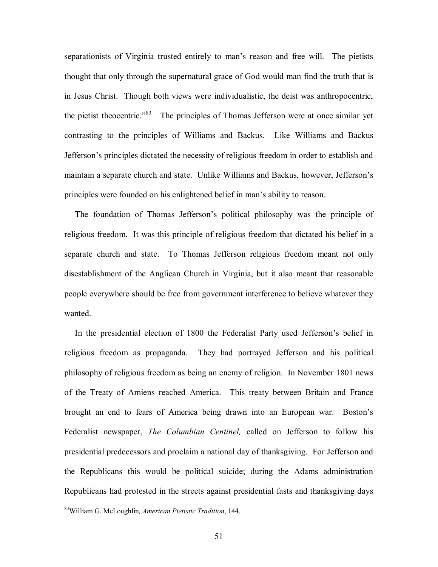separationists of Virginia trusted entirely to man's reason and free will. The pietists thought that only through the supernatural grace of God would man find the truth that is in Jesus Christ. Though both views were individualistic, the deist was anthropocentric, the pietist theocentric.<sup>83</sup> The principles of Thomas Jefferson were at once similar yet contrasting to the principles of Williams and Backus. Like Williams and Backus Jefferson's principles dictated the necessity of religious freedom in order to establish and maintain a separate church and state. Unlike Williams and Backus, however, Jefferson's principles were founded on his enlightened belief in man's ability to reason.

The foundation of Thomas Jefferson's political philosophy was the principle of religious freedom. It was this principle of religious freedom that dictated his belief in a separate church and state. To Thomas Jefferson religious freedom meant not only disestablishment of the Anglican Church in Virginia, but it also meant that reasonable people everywhere should be free from government interference to believe whatever they wanted.

In the presidential election of 1800 the Federalist Party used Jefferson's belief in religious freedom as propaganda. They had portrayed Jefferson and his political philosophy of religious freedom as being an enemy of religion. In November 1801 news of the Treaty of Amiens reached America. This treaty between Britain and France brought an end to fears of America being drawn into an European war. Bostonís Federalist newspaper, *The Columbian Centinel,* called on Jefferson to follow his presidential predecessors and proclaim a national day of thanksgiving. For Jefferson and the Republicans this would be political suicide; during the Adams administration Republicans had protested in the streets against presidential fasts and thanksgiving days

1

<sup>83</sup>William G. McLoughlin*, American Pietistic Tradition*, 144.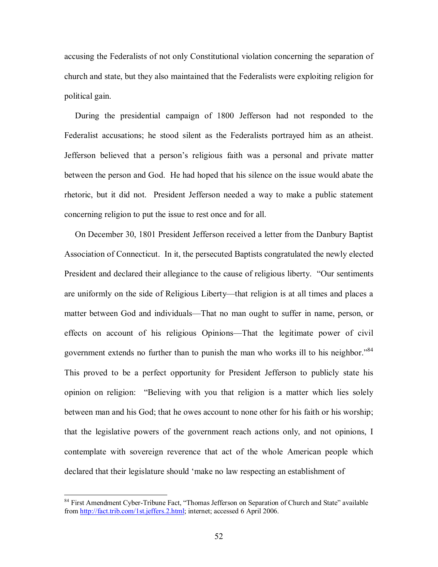accusing the Federalists of not only Constitutional violation concerning the separation of church and state, but they also maintained that the Federalists were exploiting religion for political gain.

 During the presidential campaign of 1800 Jefferson had not responded to the Federalist accusations; he stood silent as the Federalists portrayed him as an atheist. Jefferson believed that a person's religious faith was a personal and private matter between the person and God. He had hoped that his silence on the issue would abate the rhetoric, but it did not. President Jefferson needed a way to make a public statement concerning religion to put the issue to rest once and for all.

 On December 30, 1801 President Jefferson received a letter from the Danbury Baptist Association of Connecticut. In it, the persecuted Baptists congratulated the newly elected President and declared their allegiance to the cause of religious liberty. "Our sentiments are uniformly on the side of Religious Liberty—that religion is at all times and places a matter between God and individuals—That no man ought to suffer in name, person, or effects on account of his religious Opinions—That the legitimate power of civil government extends no further than to punish the man who works ill to his neighbor.<sup>84</sup> This proved to be a perfect opportunity for President Jefferson to publicly state his opinion on religion: "Believing with you that religion is a matter which lies solely between man and his God; that he owes account to none other for his faith or his worship; that the legislative powers of the government reach actions only, and not opinions, I contemplate with sovereign reverence that act of the whole American people which declared that their legislature should 'make no law respecting an establishment of

<sup>&</sup>lt;sup>84</sup> First Amendment Cyber-Tribune Fact, "Thomas Jefferson on Separation of Church and State" available from http://fact.trib.com/1st.jeffers.2.html; internet; accessed 6 April 2006.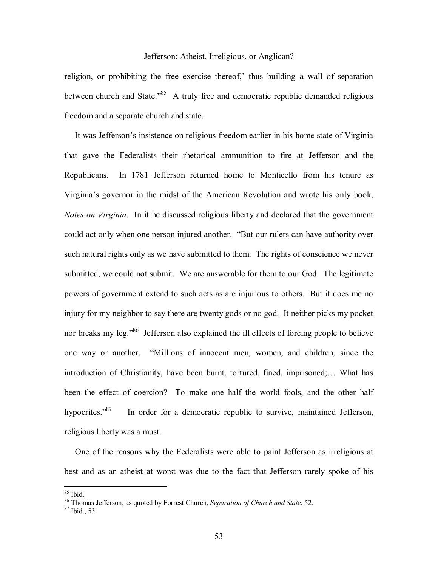## Jefferson: Atheist, Irreligious, or Anglican?

religion, or prohibiting the free exercise thereof, thus building a wall of separation between church and State.<sup>85</sup> A truly free and democratic republic demanded religious freedom and a separate church and state.

It was Jefferson's insistence on religious freedom earlier in his home state of Virginia that gave the Federalists their rhetorical ammunition to fire at Jefferson and the Republicans. In 1781 Jefferson returned home to Monticello from his tenure as Virginiaís governor in the midst of the American Revolution and wrote his only book, *Notes on Virginia*. In it he discussed religious liberty and declared that the government could act only when one person injured another. "But our rulers can have authority over such natural rights only as we have submitted to them. The rights of conscience we never submitted, we could not submit. We are answerable for them to our God. The legitimate powers of government extend to such acts as are injurious to others. But it does me no injury for my neighbor to say there are twenty gods or no god. It neither picks my pocket nor breaks my leg.<sup>86</sup> Jefferson also explained the ill effects of forcing people to believe one way or another. "Millions of innocent men, women, and children, since the introduction of Christianity, have been burnt, tortured, fined, imprisoned;... What has been the effect of coercion? To make one half the world fools, and the other half hypocrites. $187$  In order for a democratic republic to survive, maintained Jefferson, religious liberty was a must.

 One of the reasons why the Federalists were able to paint Jefferson as irreligious at best and as an atheist at worst was due to the fact that Jefferson rarely spoke of his

 $85$  Ibid.

<sup>&</sup>lt;sup>86</sup> Thomas Jefferson, as quoted by Forrest Church, *Separation of Church and State*, 52.<br><sup>87</sup> Ibid., 53.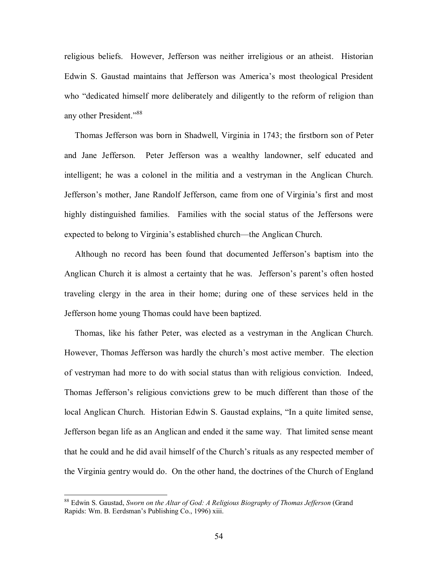religious beliefs. However, Jefferson was neither irreligious or an atheist. Historian Edwin S. Gaustad maintains that Jefferson was America's most theological President who "dedicated himself more deliberately and diligently to the reform of religion than any other President."<sup>88</sup>

 Thomas Jefferson was born in Shadwell, Virginia in 1743; the firstborn son of Peter and Jane Jefferson. Peter Jefferson was a wealthy landowner, self educated and intelligent; he was a colonel in the militia and a vestryman in the Anglican Church. Jeffersonís mother, Jane Randolf Jefferson, came from one of Virginiaís first and most highly distinguished families. Families with the social status of the Jeffersons were expected to belong to Virginia's established church—the Anglican Church.

Although no record has been found that documented Jefferson's baptism into the Anglican Church it is almost a certainty that he was. Jefferson's parent's often hosted traveling clergy in the area in their home; during one of these services held in the Jefferson home young Thomas could have been baptized.

 Thomas, like his father Peter, was elected as a vestryman in the Anglican Church. However, Thomas Jefferson was hardly the church's most active member. The election of vestryman had more to do with social status than with religious conviction. Indeed, Thomas Jefferson's religious convictions grew to be much different than those of the local Anglican Church. Historian Edwin S. Gaustad explains, "In a quite limited sense, Jefferson began life as an Anglican and ended it the same way. That limited sense meant that he could and he did avail himself of the Church's rituals as any respected member of the Virginia gentry would do. On the other hand, the doctrines of the Church of England

<sup>88</sup> Edwin S. Gaustad, *Sworn on the Altar of God: A Religious Biography of Thomas Jefferson* (Grand Rapids: Wm. B. Eerdsman's Publishing Co., 1996) xiii.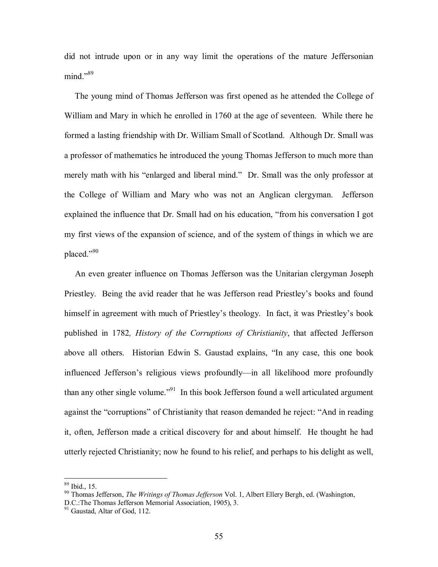did not intrude upon or in any way limit the operations of the mature Jeffersonian  $mind.$ <sup> $,89$ </sup>

 The young mind of Thomas Jefferson was first opened as he attended the College of William and Mary in which he enrolled in 1760 at the age of seventeen. While there he formed a lasting friendship with Dr. William Small of Scotland. Although Dr. Small was a professor of mathematics he introduced the young Thomas Jefferson to much more than merely math with his "enlarged and liberal mind." Dr. Small was the only professor at the College of William and Mary who was not an Anglican clergyman. Jefferson explained the influence that Dr. Small had on his education, "from his conversation I got my first views of the expansion of science, and of the system of things in which we are placed."90

 An even greater influence on Thomas Jefferson was the Unitarian clergyman Joseph Priestley. Being the avid reader that he was Jefferson read Priestley's books and found himself in agreement with much of Priestley's theology. In fact, it was Priestley's book published in 1782*, History of the Corruptions of Christianity*, that affected Jefferson above all others. Historian Edwin S. Gaustad explains, "In any case, this one book influenced Jefferson's religious views profoundly—in all likelihood more profoundly than any other single volume.<sup> $\frac{91}{1}$ </sup> In this book Jefferson found a well articulated argument against the "corruptions" of Christianity that reason demanded he reject: "And in reading it, often, Jefferson made a critical discovery for and about himself. He thought he had utterly rejected Christianity; now he found to his relief, and perhaps to his delight as well,

<sup>89</sup> Ibid., 15.

<sup>90</sup> Thomas Jefferson, *The Writings of Thomas Jefferson* Vol. 1, Albert Ellery Bergh, ed. (Washington, D.C.:The Thomas Jefferson Memorial Association, 1905), 3.

<sup>&</sup>lt;sup>91</sup> Gaustad, Altar of God, 112.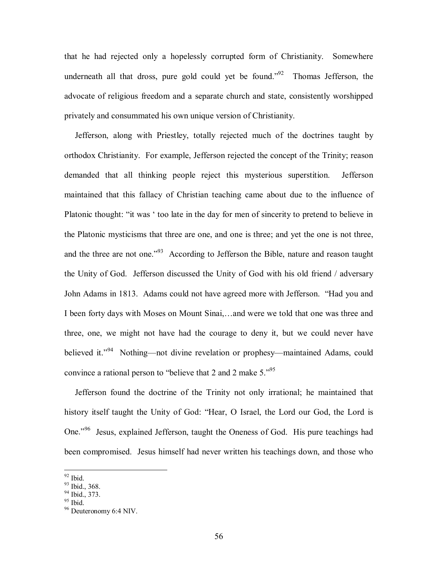that he had rejected only a hopelessly corrupted form of Christianity. Somewhere underneath all that dross, pure gold could yet be found.<sup> $92$ </sup> Thomas Jefferson, the advocate of religious freedom and a separate church and state, consistently worshipped privately and consummated his own unique version of Christianity.

 Jefferson, along with Priestley, totally rejected much of the doctrines taught by orthodox Christianity. For example, Jefferson rejected the concept of the Trinity; reason demanded that all thinking people reject this mysterious superstition. Jefferson maintained that this fallacy of Christian teaching came about due to the influence of Platonic thought: "it was ' too late in the day for men of sincerity to pretend to believe in the Platonic mysticisms that three are one, and one is three; and yet the one is not three, and the three are not one.<sup>793</sup> According to Jefferson the Bible, nature and reason taught the Unity of God. Jefferson discussed the Unity of God with his old friend / adversary John Adams in 1813. Adams could not have agreed more with Jefferson. "Had you and I been forty days with Moses on Mount Sinai,...and were we told that one was three and three, one, we might not have had the courage to deny it, but we could never have believed it.<sup>394</sup> Nothing—not divine revelation or prophesy—maintained Adams, could convince a rational person to "believe that 2 and 2 make  $5.^{95}$ "

 Jefferson found the doctrine of the Trinity not only irrational; he maintained that history itself taught the Unity of God: "Hear, O Israel, the Lord our God, the Lord is One.<sup>96</sup> Jesus, explained Jefferson, taught the Oneness of God. His pure teachings had been compromised. Jesus himself had never written his teachings down, and those who

 $92$  Ibid.

<sup>&</sup>lt;sup>93</sup> Ibid., 368.

 $94$  Ibid., 373.

 $95$  Ibid.

<sup>96</sup> Deuteronomy 6:4 NIV.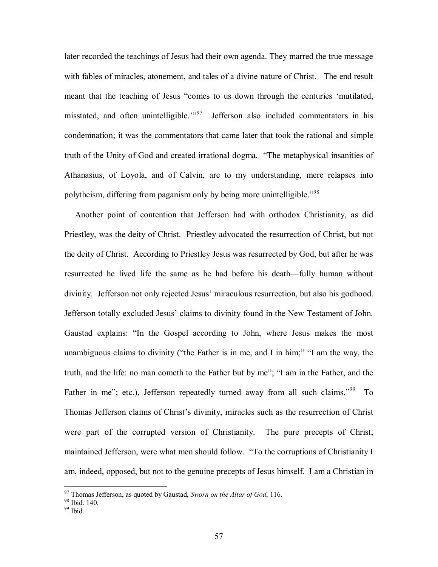later recorded the teachings of Jesus had their own agenda. They marred the true message with fables of miracles, atonement, and tales of a divine nature of Christ. The end result meant that the teaching of Jesus "comes to us down through the centuries 'mutilated, misstated, and often unintelligible.<sup>397</sup> Jefferson also included commentators in his condemnation; it was the commentators that came later that took the rational and simple truth of the Unity of God and created irrational dogma. "The metaphysical insanities of Athanasius, of Loyola, and of Calvin, are to my understanding, mere relapses into polytheism, differing from paganism only by being more unintelligible.<sup> $98$ </sup>

 Another point of contention that Jefferson had with orthodox Christianity, as did Priestley, was the deity of Christ. Priestley advocated the resurrection of Christ, but not the deity of Christ. According to Priestley Jesus was resurrected by God, but after he was resurrected he lived life the same as he had before his death—fully human without divinity. Jefferson not only rejected Jesus' miraculous resurrection, but also his godhood. Jefferson totally excluded Jesus' claims to divinity found in the New Testament of John. Gaustad explains: "In the Gospel according to John, where Jesus makes the most unambiguous claims to divinity ("the Father is in me, and I in him;"  $\degree$ I am the way, the truth, and the life: no man cometh to the Father but by me"; "I am in the Father, and the Father in me"; etc.), Jefferson repeatedly turned away from all such claims.<sup> $99$ </sup> To Thomas Jefferson claims of Christ's divinity, miracles such as the resurrection of Christ were part of the corrupted version of Christianity. The pure precepts of Christ, maintained Jefferson, were what men should follow. "To the corruptions of Christianity I am, indeed, opposed, but not to the genuine precepts of Jesus himself. I am a Christian in

 $^{97}$  Thomas Jefferson, as quoted by Gaustad, *Sworn on the Altar of God*, 116.  $^{98}$  Ibid. 140.

 $99$  Ibid.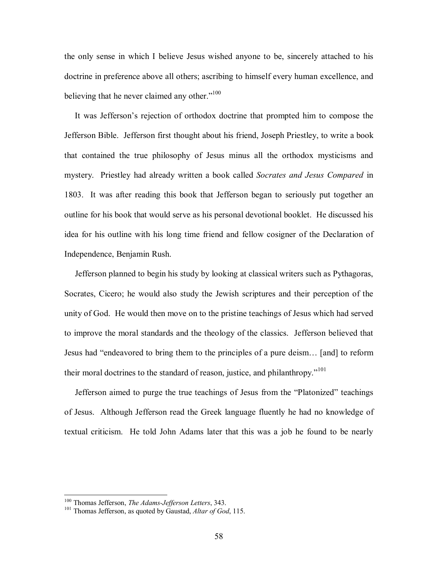the only sense in which I believe Jesus wished anyone to be, sincerely attached to his doctrine in preference above all others; ascribing to himself every human excellence, and believing that he never claimed any other.<sup> $100$ </sup>

It was Jefferson's rejection of orthodox doctrine that prompted him to compose the Jefferson Bible. Jefferson first thought about his friend, Joseph Priestley, to write a book that contained the true philosophy of Jesus minus all the orthodox mysticisms and mystery. Priestley had already written a book called *Socrates and Jesus Compared* in 1803. It was after reading this book that Jefferson began to seriously put together an outline for his book that would serve as his personal devotional booklet. He discussed his idea for his outline with his long time friend and fellow cosigner of the Declaration of Independence, Benjamin Rush.

 Jefferson planned to begin his study by looking at classical writers such as Pythagoras, Socrates, Cicero; he would also study the Jewish scriptures and their perception of the unity of God. He would then move on to the pristine teachings of Jesus which had served to improve the moral standards and the theology of the classics. Jefferson believed that Jesus had "endeavored to bring them to the principles of a pure deism... [and] to reform their moral doctrines to the standard of reason, justice, and philanthropy."<sup>101</sup>

Jefferson aimed to purge the true teachings of Jesus from the "Platonized" teachings of Jesus. Although Jefferson read the Greek language fluently he had no knowledge of textual criticism. He told John Adams later that this was a job he found to be nearly

<sup>&</sup>lt;sup>100</sup> Thomas Jefferson, *The Adams-Jefferson Letters*, 343.

<sup>&</sup>lt;sup>101</sup> Thomas Jefferson, as quoted by Gaustad, *Altar of God*, 115.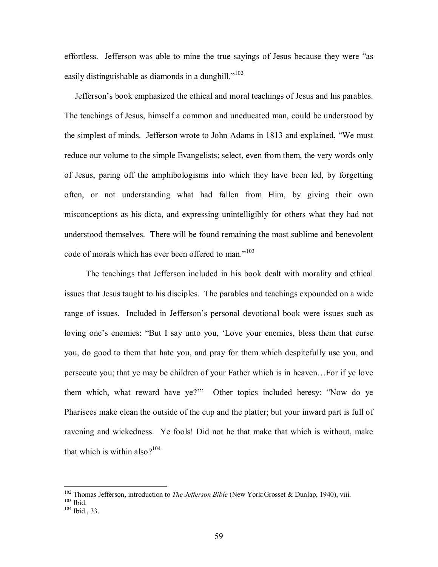effortless. Jefferson was able to mine the true sayings of Jesus because they were "as easily distinguishable as diamonds in a dunghill. $1102$ 

 Jeffersonís book emphasized the ethical and moral teachings of Jesus and his parables. The teachings of Jesus, himself a common and uneducated man, could be understood by the simplest of minds. Jefferson wrote to John Adams in 1813 and explained, "We must reduce our volume to the simple Evangelists; select, even from them, the very words only of Jesus, paring off the amphibologisms into which they have been led, by forgetting often, or not understanding what had fallen from Him, by giving their own misconceptions as his dicta, and expressing unintelligibly for others what they had not understood themselves. There will be found remaining the most sublime and benevolent code of morals which has ever been offered to man.<sup> $103$ </sup>

 The teachings that Jefferson included in his book dealt with morality and ethical issues that Jesus taught to his disciples. The parables and teachings expounded on a wide range of issues. Included in Jefferson's personal devotional book were issues such as loving one's enemies: "But I say unto you, 'Love your enemies, bless them that curse you, do good to them that hate you, and pray for them which despitefully use you, and persecute you; that ye may be children of your Father which is in heaven... For if ye love them which, what reward have ye?" Other topics included heresy: "Now do ye Pharisees make clean the outside of the cup and the platter; but your inward part is full of ravening and wickedness. Ye fools! Did not he that make that which is without, make that which is within also? $104$ 

<sup>&</sup>lt;sup>102</sup> Thomas Jefferson, introduction to *The Jefferson Bible* (New York:Grosset & Dunlap, 1940), viii. <sup>103</sup> Ibid., 33.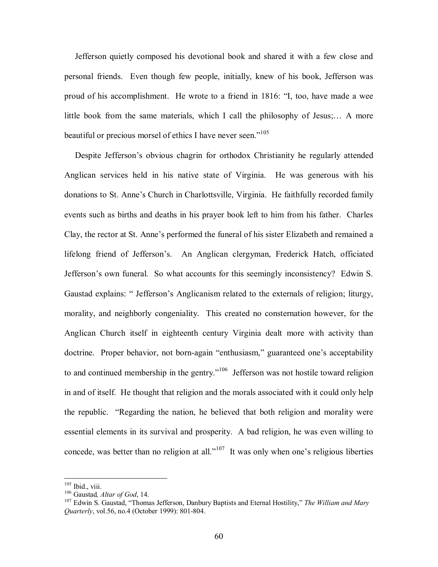Jefferson quietly composed his devotional book and shared it with a few close and personal friends. Even though few people, initially, knew of his book, Jefferson was proud of his accomplishment. He wrote to a friend in 1816: "I, too, have made a wee little book from the same materials, which I call the philosophy of Jesus;... A more beautiful or precious morsel of ethics I have never seen."<sup>105</sup>

Despite Jefferson's obvious chagrin for orthodox Christianity he regularly attended Anglican services held in his native state of Virginia. He was generous with his donations to St. Anne's Church in Charlottsville, Virginia. He faithfully recorded family events such as births and deaths in his prayer book left to him from his father. Charles Clay, the rector at St. Anne's performed the funeral of his sister Elizabeth and remained a lifelong friend of Jefferson's. An Anglican clergyman, Frederick Hatch, officiated Jefferson's own funeral. So what accounts for this seemingly inconsistency? Edwin S. Gaustad explains: "Jefferson's Anglicanism related to the externals of religion; liturgy, morality, and neighborly congeniality. This created no consternation however, for the Anglican Church itself in eighteenth century Virginia dealt more with activity than doctrine. Proper behavior, not born-again "enthusiasm," guaranteed one's acceptability to and continued membership in the gentry.<sup> $106$ </sup> Jefferson was not hostile toward religion in and of itself. He thought that religion and the morals associated with it could only help the republic. "Regarding the nation, he believed that both religion and morality were essential elements in its survival and prosperity. A bad religion, he was even willing to concede, was better than no religion at all.<sup> $107$ </sup> It was only when one's religious liberties

<sup>&</sup>lt;sup>105</sup> Ibid., viii.

<sup>&</sup>lt;sup>106</sup> Gaustad, *Altar of God*, 14.<br><sup>107</sup> Edwin S. Gaustad, "Thomas Jefferson, Danbury Baptists and Eternal Hostility," *The William and Mary Quarterly*, vol.56, no.4 (October 1999): 801-804.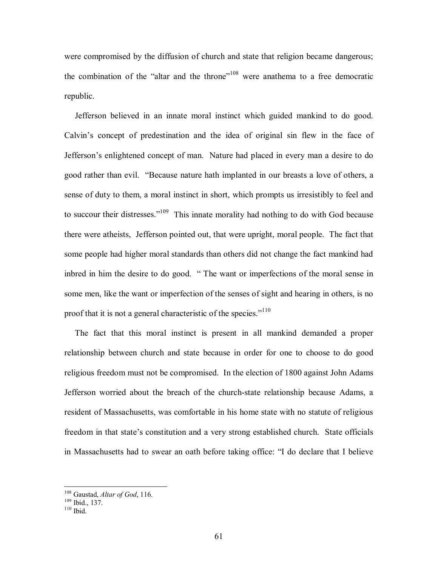were compromised by the diffusion of church and state that religion became dangerous; the combination of the "altar and the throne"<sup>108</sup> were anathema to a free democratic republic.

 Jefferson believed in an innate moral instinct which guided mankind to do good. Calvin's concept of predestination and the idea of original sin flew in the face of Jefferson's enlightened concept of man. Nature had placed in every man a desire to do good rather than evil. "Because nature hath implanted in our breasts a love of others, a sense of duty to them, a moral instinct in short, which prompts us irresistibly to feel and to succour their distresses."<sup>109</sup> This innate morality had nothing to do with God because there were atheists, Jefferson pointed out, that were upright, moral people. The fact that some people had higher moral standards than others did not change the fact mankind had inbred in him the desire to do good. " The want or imperfections of the moral sense in some men, like the want or imperfection of the senses of sight and hearing in others, is no proof that it is not a general characteristic of the species.<sup> $110$ </sup>

 The fact that this moral instinct is present in all mankind demanded a proper relationship between church and state because in order for one to choose to do good religious freedom must not be compromised. In the election of 1800 against John Adams Jefferson worried about the breach of the church-state relationship because Adams, a resident of Massachusetts, was comfortable in his home state with no statute of religious freedom in that state's constitution and a very strong established church. State officials in Massachusetts had to swear an oath before taking office: "I do declare that I believe

<sup>&</sup>lt;sup>108</sup> Gaustad, *Altar of God*, 116.<br><sup>109</sup> Ibid., 137.<br><sup>110</sup> Ibid.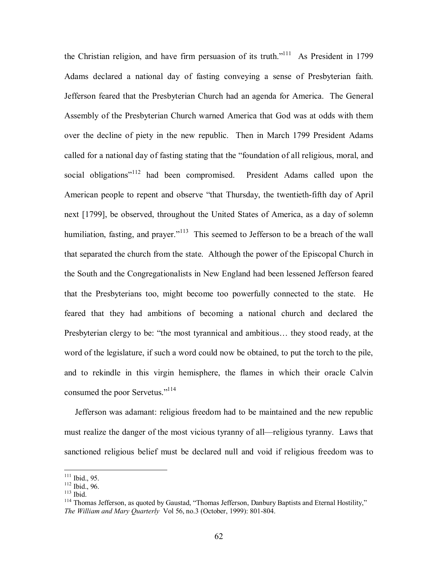the Christian religion, and have firm persuasion of its truth.<sup> $111$ </sup> As President in 1799 Adams declared a national day of fasting conveying a sense of Presbyterian faith. Jefferson feared that the Presbyterian Church had an agenda for America. The General Assembly of the Presbyterian Church warned America that God was at odds with them over the decline of piety in the new republic. Then in March 1799 President Adams called for a national day of fasting stating that the "foundation of all religious, moral, and social obligations<sup>"112</sup> had been compromised. President Adams called upon the American people to repent and observe "that Thursday, the twentieth-fifth day of April next [1799], be observed, throughout the United States of America, as a day of solemn humiliation, fasting, and prayer.<sup> $113$ </sup> This seemed to Jefferson to be a breach of the wall that separated the church from the state. Although the power of the Episcopal Church in the South and the Congregationalists in New England had been lessened Jefferson feared that the Presbyterians too, might become too powerfully connected to the state. He feared that they had ambitions of becoming a national church and declared the Presbyterian clergy to be: "the most tyrannical and ambitious... they stood ready, at the word of the legislature, if such a word could now be obtained, to put the torch to the pile, and to rekindle in this virgin hemisphere, the flames in which their oracle Calvin consumed the poor Servetus."<sup>114</sup>

 Jefferson was adamant: religious freedom had to be maintained and the new republic must realize the danger of the most vicious tyranny of all—religious tyranny. Laws that sanctioned religious belief must be declared null and void if religious freedom was to

 $111$  Ibid., 95.

<sup>112</sup> Ibid., 95.<br>
113 Ibid., 96.<br>
<sup>113</sup> Ibid.<br>
<sup>114</sup> Thomas Jefferson, as quoted by Gaustad, "Thomas Jefferson, Danbury Baptists and Eternal Hostility," *The William and Mary Quarterly* Vol 56, no.3 (October, 1999): 801-804.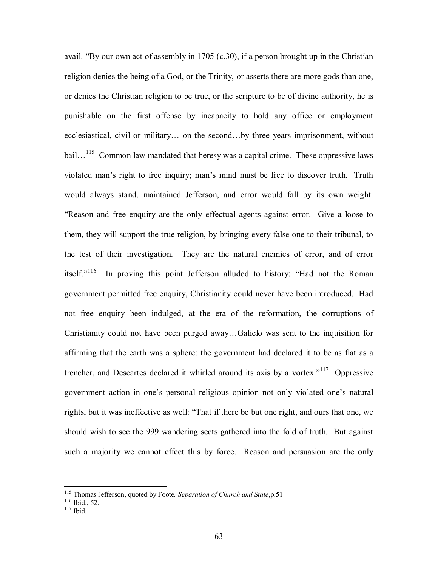avail. "By our own act of assembly in 1705 (c.30), if a person brought up in the Christian religion denies the being of a God, or the Trinity, or asserts there are more gods than one, or denies the Christian religion to be true, or the scripture to be of divine authority, he is punishable on the first offense by incapacity to hold any office or employment ecclesiastical, civil or military... on the second...by three years imprisonment, without bail...<sup>115</sup> Common law mandated that heresy was a capital crime. These oppressive laws violated man's right to free inquiry; man's mind must be free to discover truth. Truth would always stand, maintained Jefferson, and error would fall by its own weight. ìReason and free enquiry are the only effectual agents against error. Give a loose to them, they will support the true religion, by bringing every false one to their tribunal, to the test of their investigation. They are the natural enemies of error, and of error itself."<sup>116</sup> In proving this point Jefferson alluded to history: "Had not the Roman government permitted free enquiry, Christianity could never have been introduced. Had not free enquiry been indulged, at the era of the reformation, the corruptions of Christianity could not have been purged away...Galielo was sent to the inquisition for affirming that the earth was a sphere: the government had declared it to be as flat as a trencher, and Descartes declared it whirled around its axis by a vortex."<sup>117</sup> Oppressive government action in one's personal religious opinion not only violated one's natural rights, but it was ineffective as well: "That if there be but one right, and ours that one, we should wish to see the 999 wandering sects gathered into the fold of truth. But against such a majority we cannot effect this by force. Reason and persuasion are the only

<sup>&</sup>lt;sup>115</sup> Thomas Jefferson, quoted by Foote, *Separation of Church and State*,p.51<sup>116</sup> Ibid., 52.<br><sup>116</sup> Ibid.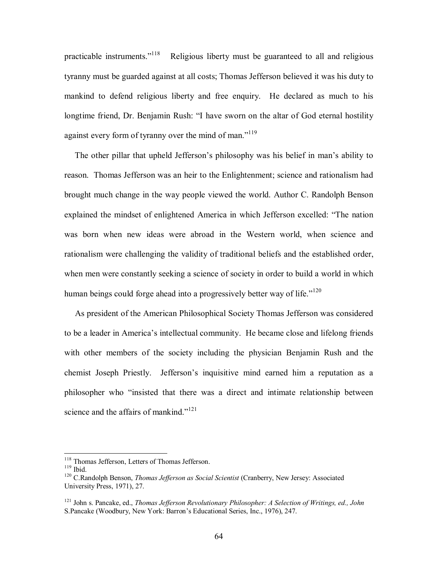practicable instruments.<sup> $118$ </sup> Religious liberty must be guaranteed to all and religious tyranny must be guarded against at all costs; Thomas Jefferson believed it was his duty to mankind to defend religious liberty and free enquiry. He declared as much to his longtime friend, Dr. Benjamin Rush: "I have sworn on the altar of God eternal hostility against every form of tyranny over the mind of man.<sup>7119</sup>

The other pillar that upheld Jefferson's philosophy was his belief in man's ability to reason. Thomas Jefferson was an heir to the Enlightenment; science and rationalism had brought much change in the way people viewed the world. Author C. Randolph Benson explained the mindset of enlightened America in which Jefferson excelled: "The nation was born when new ideas were abroad in the Western world, when science and rationalism were challenging the validity of traditional beliefs and the established order, when men were constantly seeking a science of society in order to build a world in which human beings could forge ahead into a progressively better way of life.<sup> $120$ </sup>

 As president of the American Philosophical Society Thomas Jefferson was considered to be a leader in Americaís intellectual community. He became close and lifelong friends with other members of the society including the physician Benjamin Rush and the chemist Joseph Priestly. Jefferson's inquisitive mind earned him a reputation as a philosopher who "insisted that there was a direct and intimate relationship between science and the affairs of mankind.<sup> $121$ </sup>

<sup>&</sup>lt;sup>118</sup> Thomas Jefferson, Letters of Thomas Jefferson.

<sup>119</sup> Thomas Jefferson, 2000 C. 2000 C. 2000 C.<br><sup>119</sup> Thomas Jefferson as Social Scientist (Cranberry, New Jersey: Associated <sup>120</sup> C.Randolph Benson, *Thomas Jefferson as Social Scientist* (Cranberry, New Jersey: Associated University Press, 1971), 27.

<sup>121</sup> John s. Pancake, ed., *Thomas Jefferson Revolutionary Philosopher: A Selection of Writings, ed., John* S.Pancake (Woodbury, New York: Barron's Educational Series, Inc., 1976), 247.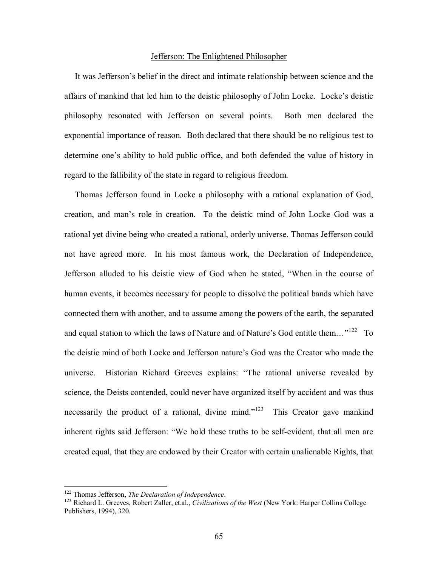#### Jefferson: The Enlightened Philosopher

It was Jefferson's belief in the direct and intimate relationship between science and the affairs of mankind that led him to the deistic philosophy of John Locke. Locke's deistic philosophy resonated with Jefferson on several points. Both men declared the exponential importance of reason. Both declared that there should be no religious test to determine one's ability to hold public office, and both defended the value of history in regard to the fallibility of the state in regard to religious freedom.

 Thomas Jefferson found in Locke a philosophy with a rational explanation of God, creation, and manís role in creation. To the deistic mind of John Locke God was a rational yet divine being who created a rational, orderly universe. Thomas Jefferson could not have agreed more. In his most famous work, the Declaration of Independence, Jefferson alluded to his deistic view of God when he stated, "When in the course of human events, it becomes necessary for people to dissolve the political bands which have connected them with another, and to assume among the powers of the earth, the separated and equal station to which the laws of Nature and of Nature's God entitle them... $n^{122}$  To the deistic mind of both Locke and Jefferson nature's God was the Creator who made the universe. Historian Richard Greeves explains: "The rational universe revealed by science, the Deists contended, could never have organized itself by accident and was thus necessarily the product of a rational, divine mind.<sup>n123</sup> This Creator gave mankind inherent rights said Jefferson: "We hold these truths to be self-evident, that all men are created equal, that they are endowed by their Creator with certain unalienable Rights, that

<sup>&</sup>lt;sup>122</sup> Thomas Jefferson, *The Declaration of Independence*.

<sup>&</sup>lt;sup>123</sup> Richard L. Greeves, Robert Zaller, et.al., *Civilizations of the West* (New York: Harper Collins College Publishers, 1994), 320.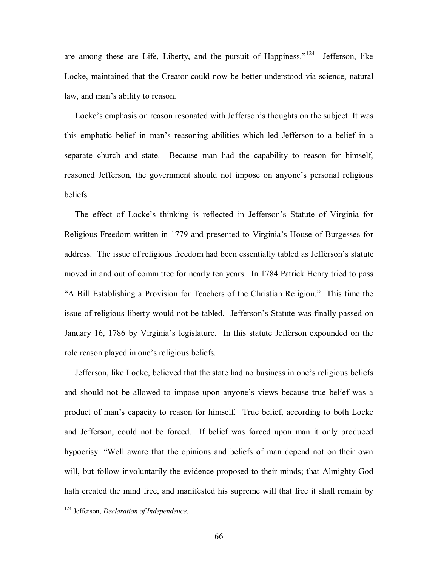are among these are Life, Liberty, and the pursuit of Happiness.<sup> $124$ </sup> Jefferson, like Locke, maintained that the Creator could now be better understood via science, natural law, and man's ability to reason.

Locke's emphasis on reason resonated with Jefferson's thoughts on the subject. It was this emphatic belief in manís reasoning abilities which led Jefferson to a belief in a separate church and state. Because man had the capability to reason for himself, reasoned Jefferson, the government should not impose on anyone's personal religious beliefs.

The effect of Locke's thinking is reflected in Jefferson's Statute of Virginia for Religious Freedom written in 1779 and presented to Virginiaís House of Burgesses for address. The issue of religious freedom had been essentially tabled as Jefferson's statute moved in and out of committee for nearly ten years. In 1784 Patrick Henry tried to pass "A Bill Establishing a Provision for Teachers of the Christian Religion." This time the issue of religious liberty would not be tabled. Jefferson's Statute was finally passed on January 16, 1786 by Virginia's legislature. In this statute Jefferson expounded on the role reason played in one's religious beliefs.

Jefferson, like Locke, believed that the state had no business in one's religious beliefs and should not be allowed to impose upon anyone's views because true belief was a product of manís capacity to reason for himself. True belief, according to both Locke and Jefferson, could not be forced. If belief was forced upon man it only produced hypocrisy. "Well aware that the opinions and beliefs of man depend not on their own will, but follow involuntarily the evidence proposed to their minds; that Almighty God hath created the mind free, and manifested his supreme will that free it shall remain by

<sup>124</sup> Jefferson, *Declaration of Independence*.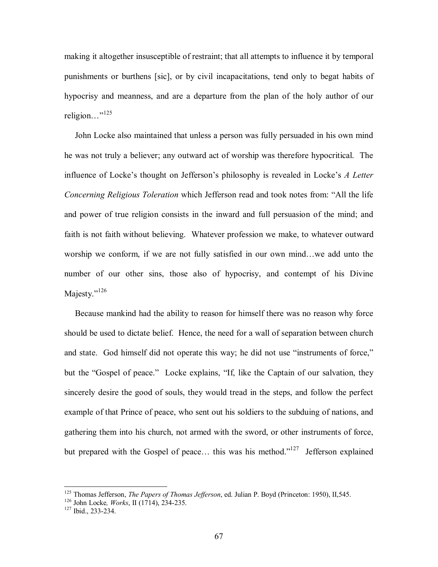making it altogether insusceptible of restraint; that all attempts to influence it by temporal punishments or burthens [sic], or by civil incapacitations, tend only to begat habits of hypocrisy and meanness, and are a departure from the plan of the holy author of our religion $\ldots$ <sup>"125</sup>

 John Locke also maintained that unless a person was fully persuaded in his own mind he was not truly a believer; any outward act of worship was therefore hypocritical. The influence of Locke's thought on Jefferson's philosophy is revealed in Locke's *A Letter Concerning Religious Toleration* which Jefferson read and took notes from: "All the life" and power of true religion consists in the inward and full persuasion of the mind; and faith is not faith without believing. Whatever profession we make, to whatever outward worship we conform, if we are not fully satisfied in our own mind...we add unto the number of our other sins, those also of hypocrisy, and contempt of his Divine Majesty. $126$ 

 Because mankind had the ability to reason for himself there was no reason why force should be used to dictate belief. Hence, the need for a wall of separation between church and state. God himself did not operate this way; he did not use "instruments of force," but the "Gospel of peace." Locke explains, "If, like the Captain of our salvation, they sincerely desire the good of souls, they would tread in the steps, and follow the perfect example of that Prince of peace, who sent out his soldiers to the subduing of nations, and gathering them into his church, not armed with the sword, or other instruments of force, but prepared with the Gospel of peace... this was his method.<sup> $127$ </sup> Jefferson explained

<sup>&</sup>lt;sup>125</sup> Thomas Jefferson, *The Papers of Thomas Jefferson*, ed. Julian P. Boyd (Princeton: 1950), II,545.<br><sup>126</sup> John Locke, *Works*, II (1714), 234-235. <sup>127</sup> Ibid., 233-234.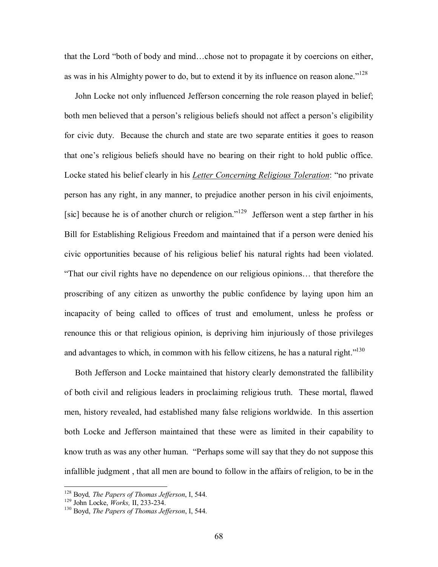that the Lord "both of body and mind...chose not to propagate it by coercions on either, as was in his Almighty power to do, but to extend it by its influence on reason alone.<sup> $128$ </sup>

 John Locke not only influenced Jefferson concerning the role reason played in belief; both men believed that a person's religious beliefs should not affect a person's eligibility for civic duty. Because the church and state are two separate entities it goes to reason that one's religious beliefs should have no bearing on their right to hold public office. Locke stated his belief clearly in his *Letter Concerning Religious Toleration*: "no private person has any right, in any manner, to prejudice another person in his civil enjoiments, [sic] because he is of another church or religion.<sup> $129$ </sup> Jefferson went a step farther in his Bill for Establishing Religious Freedom and maintained that if a person were denied his civic opportunities because of his religious belief his natural rights had been violated. "That our civil rights have no dependence on our religious opinions... that therefore the proscribing of any citizen as unworthy the public confidence by laying upon him an incapacity of being called to offices of trust and emolument, unless he profess or renounce this or that religious opinion, is depriving him injuriously of those privileges and advantages to which, in common with his fellow citizens, he has a natural right. $1130$ 

 Both Jefferson and Locke maintained that history clearly demonstrated the fallibility of both civil and religious leaders in proclaiming religious truth. These mortal, flawed men, history revealed, had established many false religions worldwide. In this assertion both Locke and Jefferson maintained that these were as limited in their capability to know truth as was any other human. "Perhaps some will say that they do not suppose this infallible judgment , that all men are bound to follow in the affairs of religion, to be in the

<sup>&</sup>lt;sup>128</sup> Boyd, *The Papers of Thomas Jefferson*, I, 544.<br><sup>129</sup> John Locke, *Works*, II, 233-234.<br><sup>130</sup> Boyd, *The Papers of Thomas Jefferson*, I, 544.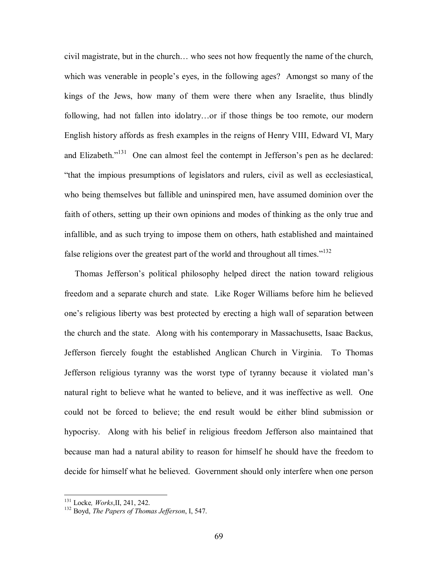civil magistrate, but in the church... who sees not how frequently the name of the church, which was venerable in people's eyes, in the following ages? Amongst so many of the kings of the Jews, how many of them were there when any Israelite, thus blindly following, had not fallen into idolatry...or if those things be too remote, our modern English history affords as fresh examples in the reigns of Henry VIII, Edward VI, Mary and Elizabeth.<sup> $131$ </sup> One can almost feel the contempt in Jefferson's pen as he declared: ìthat the impious presumptions of legislators and rulers, civil as well as ecclesiastical, who being themselves but fallible and uninspired men, have assumed dominion over the faith of others, setting up their own opinions and modes of thinking as the only true and infallible, and as such trying to impose them on others, hath established and maintained false religions over the greatest part of the world and throughout all times.<sup> $132$ </sup>

Thomas Jefferson's political philosophy helped direct the nation toward religious freedom and a separate church and state. Like Roger Williams before him he believed one's religious liberty was best protected by erecting a high wall of separation between the church and the state. Along with his contemporary in Massachusetts, Isaac Backus, Jefferson fiercely fought the established Anglican Church in Virginia. To Thomas Jefferson religious tyranny was the worst type of tyranny because it violated manís natural right to believe what he wanted to believe, and it was ineffective as well. One could not be forced to believe; the end result would be either blind submission or hypocrisy. Along with his belief in religious freedom Jefferson also maintained that because man had a natural ability to reason for himself he should have the freedom to decide for himself what he believed. Government should only interfere when one person

<sup>&</sup>lt;sup>131</sup> Locke, *Works*, II, 241, 242.

<sup>&</sup>lt;sup>132</sup> Boyd, *The Papers of Thomas Jefferson*, I, 547.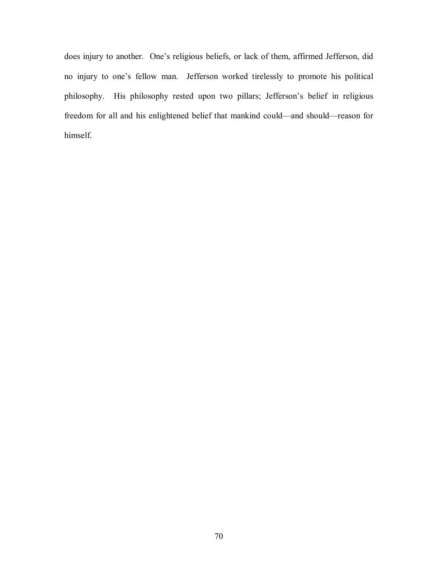does injury to another. One's religious beliefs, or lack of them, affirmed Jefferson, did no injury to one's fellow man. Jefferson worked tirelessly to promote his political philosophy. His philosophy rested upon two pillars; Jefferson's belief in religious freedom for all and his enlightened belief that mankind could—and should—reason for himself.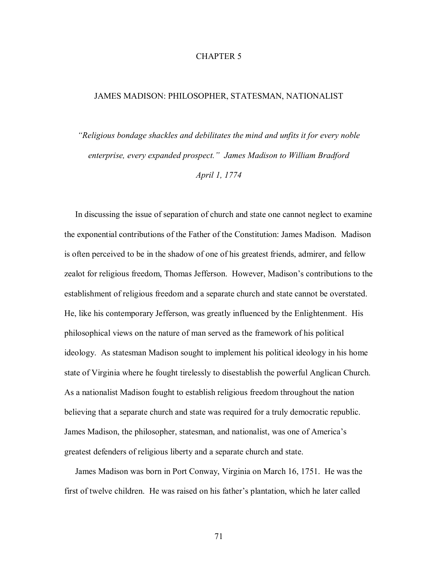# CHAPTER 5

## JAMES MADISON: PHILOSOPHER, STATESMAN, NATIONALIST

*ìReligious bondage shackles and debilitates the mind and unfits it for every noble*  enterprise, every expanded prospect." James Madison to William Bradford *April 1, 1774* 

 In discussing the issue of separation of church and state one cannot neglect to examine the exponential contributions of the Father of the Constitution: James Madison. Madison is often perceived to be in the shadow of one of his greatest friends, admirer, and fellow zealot for religious freedom, Thomas Jefferson. However, Madison's contributions to the establishment of religious freedom and a separate church and state cannot be overstated. He, like his contemporary Jefferson, was greatly influenced by the Enlightenment. His philosophical views on the nature of man served as the framework of his political ideology. As statesman Madison sought to implement his political ideology in his home state of Virginia where he fought tirelessly to disestablish the powerful Anglican Church. As a nationalist Madison fought to establish religious freedom throughout the nation believing that a separate church and state was required for a truly democratic republic. James Madison, the philosopher, statesman, and nationalist, was one of Americaís greatest defenders of religious liberty and a separate church and state.

 James Madison was born in Port Conway, Virginia on March 16, 1751. He was the first of twelve children. He was raised on his father's plantation, which he later called

71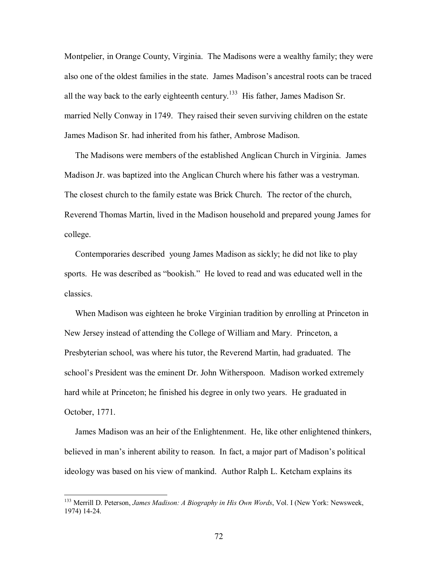Montpelier, in Orange County, Virginia. The Madisons were a wealthy family; they were also one of the oldest families in the state. James Madison's ancestral roots can be traced all the way back to the early eighteenth century.<sup>133</sup> His father, James Madison Sr. married Nelly Conway in 1749. They raised their seven surviving children on the estate James Madison Sr. had inherited from his father, Ambrose Madison.

 The Madisons were members of the established Anglican Church in Virginia. James Madison Jr. was baptized into the Anglican Church where his father was a vestryman. The closest church to the family estate was Brick Church. The rector of the church, Reverend Thomas Martin, lived in the Madison household and prepared young James for college.

 Contemporaries described young James Madison as sickly; he did not like to play sports. He was described as "bookish." He loved to read and was educated well in the classics.

 When Madison was eighteen he broke Virginian tradition by enrolling at Princeton in New Jersey instead of attending the College of William and Mary. Princeton, a Presbyterian school, was where his tutor, the Reverend Martin, had graduated. The school's President was the eminent Dr. John Witherspoon. Madison worked extremely hard while at Princeton; he finished his degree in only two years. He graduated in October, 1771.

 James Madison was an heir of the Enlightenment. He, like other enlightened thinkers, believed in man's inherent ability to reason. In fact, a major part of Madison's political ideology was based on his view of mankind. Author Ralph L. Ketcham explains its

<sup>133</sup> Merrill D. Peterson, *James Madison: A Biography in His Own Words*, Vol. I (New York: Newsweek, 1974) 14-24.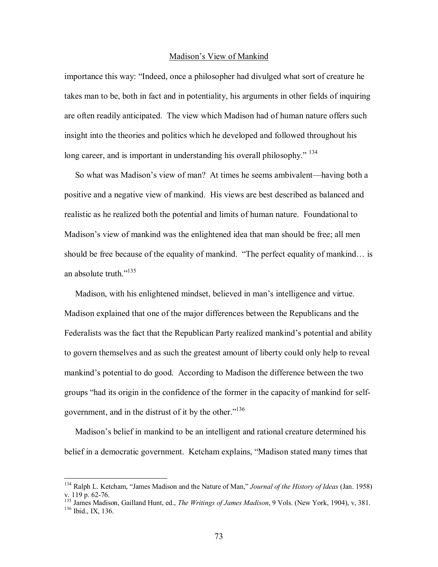#### Madison's View of Mankind

importance this way: "Indeed, once a philosopher had divulged what sort of creature he takes man to be, both in fact and in potentiality, his arguments in other fields of inquiring are often readily anticipated. The view which Madison had of human nature offers such insight into the theories and politics which he developed and followed throughout his long career, and is important in understanding his overall philosophy.<sup> $134$ </sup>

So what was Madison's view of man? At times he seems ambivalent—having both a positive and a negative view of mankind. His views are best described as balanced and realistic as he realized both the potential and limits of human nature. Foundational to Madison's view of mankind was the enlightened idea that man should be free; all men should be free because of the equality of mankind.  $\cdot$ The perfect equality of mankind $\cdot$  is an absolute truth. $i^{135}$ 

Madison, with his enlightened mindset, believed in man's intelligence and virtue. Madison explained that one of the major differences between the Republicans and the Federalists was the fact that the Republican Party realized mankind's potential and ability to govern themselves and as such the greatest amount of liberty could only help to reveal mankind's potential to do good. According to Madison the difference between the two groups "had its origin in the confidence of the former in the capacity of mankind for selfgovernment, and in the distrust of it by the other.<sup> $136$ </sup>

Madison's belief in mankind to be an intelligent and rational creature determined his belief in a democratic government. Ketcham explains, "Madison stated many times that

 $\overline{a}$ 

<sup>&</sup>lt;sup>134</sup> Ralph L. Ketcham, "James Madison and the Nature of Man," Journal of the History of Ideas (Jan. 1958) v. 119 p. 62-76.

<sup>&</sup>lt;sup>135</sup> James Madison, Gailland Hunt, ed., *The Writings of James Madison*, 9 Vols. (New York, 1904), v, 381. <sup>136</sup> Ibid., IX, 136.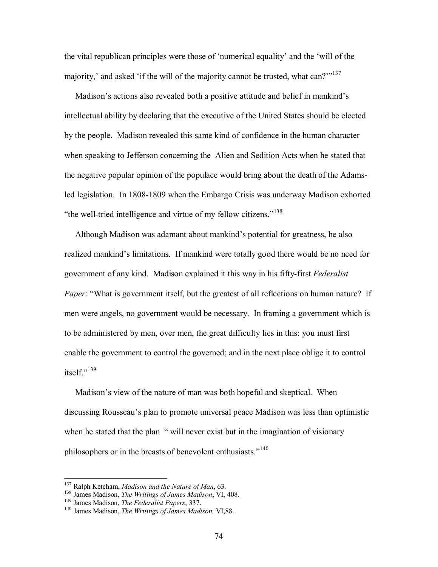the vital republican principles were those of 'numerical equality' and the 'will of the majority,' and asked 'if the will of the majority cannot be trusted, what can? $i^{137}$ 

Madison's actions also revealed both a positive attitude and belief in mankind's intellectual ability by declaring that the executive of the United States should be elected by the people. Madison revealed this same kind of confidence in the human character when speaking to Jefferson concerning the Alien and Sedition Acts when he stated that the negative popular opinion of the populace would bring about the death of the Adamsled legislation. In 1808-1809 when the Embargo Crisis was underway Madison exhorted "the well-tried intelligence and virtue of my fellow citizens."<sup>138</sup>

Although Madison was adamant about mankind's potential for greatness, he also realized mankind's limitations. If mankind were totally good there would be no need for government of any kind. Madison explained it this way in his fifty-first *Federalist Paper*: "What is government itself, but the greatest of all reflections on human nature? If men were angels, no government would be necessary. In framing a government which is to be administered by men, over men, the great difficulty lies in this: you must first enable the government to control the governed; and in the next place oblige it to control itself $\frac{139}{ }$ 

Madison's view of the nature of man was both hopeful and skeptical. When discussing Rousseau's plan to promote universal peace Madison was less than optimistic when he stated that the plan "will never exist but in the imagination of visionary philosophers or in the breasts of benevolent enthusiasts."<sup>140</sup>

<sup>&</sup>lt;sup>137</sup> Ralph Ketcham, *Madison and the Nature of Man*, 63.

<sup>&</sup>lt;sup>138</sup> James Madison, *The Writings of James Madison*, VI, 408.<br><sup>139</sup> James Madison, *The Federalist Papers*, 337.<br><sup>140</sup> James Madison. *The Writings of James Madison*, VI.88.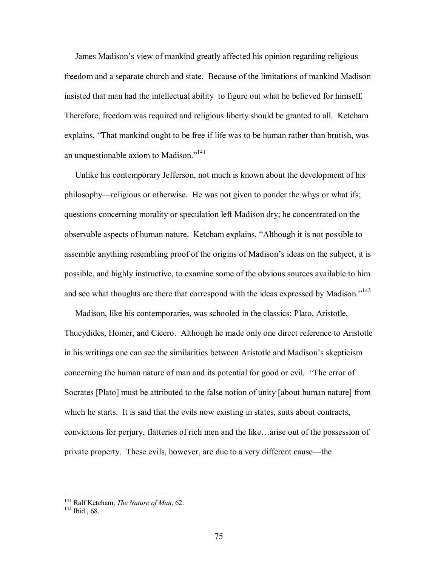James Madison's view of mankind greatly affected his opinion regarding religious freedom and a separate church and state. Because of the limitations of mankind Madison insisted that man had the intellectual ability to figure out what he believed for himself. Therefore, freedom was required and religious liberty should be granted to all. Ketcham explains, "That mankind ought to be free if life was to be human rather than brutish, was an unquestionable axiom to Madison.<sup> $141$ </sup>

 Unlike his contemporary Jefferson, not much is known about the development of his philosophy—religious or otherwise. He was not given to ponder the whys or what ifs; questions concerning morality or speculation left Madison dry; he concentrated on the observable aspects of human nature. Ketcham explains, "Although it is not possible to assemble anything resembling proof of the origins of Madison's ideas on the subject, it is possible, and highly instructive, to examine some of the obvious sources available to him and see what thoughts are there that correspond with the ideas expressed by Madison.<sup> $142$ </sup>

 Madison, like his contemporaries, was schooled in the classics: Plato, Aristotle, Thucydides, Homer, and Cicero. Although he made only one direct reference to Aristotle in his writings one can see the similarities between Aristotle and Madison's skepticism concerning the human nature of man and its potential for good or evil. "The error of Socrates [Plato] must be attributed to the false notion of unity [about human nature] from which he starts. It is said that the evils now existing in states, suits about contracts, convictions for perjury, flatteries of rich men and the like...arise out of the possession of private property. These evils, however, are due to a very different cause—the

<sup>&</sup>lt;sup>141</sup> Ralf Ketcham, *The Nature of Man*, 62.<br><sup>142</sup> Ibid., 68.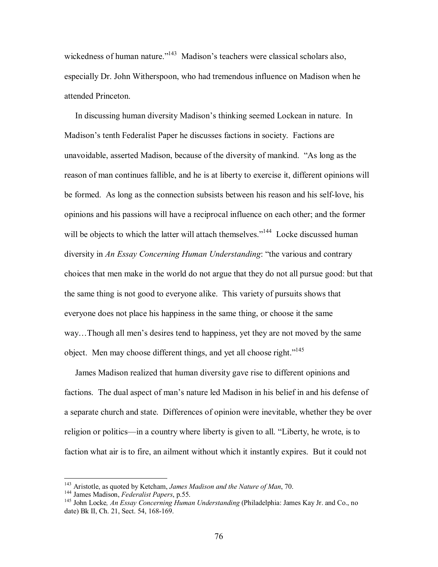wickedness of human nature.<sup>"143</sup> Madison's teachers were classical scholars also, especially Dr. John Witherspoon, who had tremendous influence on Madison when he attended Princeton.

In discussing human diversity Madison's thinking seemed Lockean in nature. In Madison's tenth Federalist Paper he discusses factions in society. Factions are unavoidable, asserted Madison, because of the diversity of mankind. "As long as the reason of man continues fallible, and he is at liberty to exercise it, different opinions will be formed. As long as the connection subsists between his reason and his self-love, his opinions and his passions will have a reciprocal influence on each other; and the former will be objects to which the latter will attach themselves."<sup>144</sup> Locke discussed human diversity in *An Essay Concerning Human Understanding*: "the various and contrary choices that men make in the world do not argue that they do not all pursue good: but that the same thing is not good to everyone alike. This variety of pursuits shows that everyone does not place his happiness in the same thing, or choose it the same way...Though all men's desires tend to happiness, yet they are not moved by the same object. Men may choose different things, and yet all choose right.<sup>7145</sup>

 James Madison realized that human diversity gave rise to different opinions and factions. The dual aspect of man's nature led Madison in his belief in and his defense of a separate church and state. Differences of opinion were inevitable, whether they be over religion or politics—in a country where liberty is given to all. "Liberty, he wrote, is to faction what air is to fire, an ailment without which it instantly expires. But it could not

 $143$  Aristotle, as quoted by Ketcham, James Madison and the Nature of Man, 70.

<sup>&</sup>lt;sup>144</sup> James Madison, *Federalist Papers*, p.55.<br><sup>145</sup> John Locke, *An Essay Concerning Human Understanding* (Philadelphia: James Kay Jr. and Co., no date) Bk II, Ch. 21, Sect. 54, 168-169.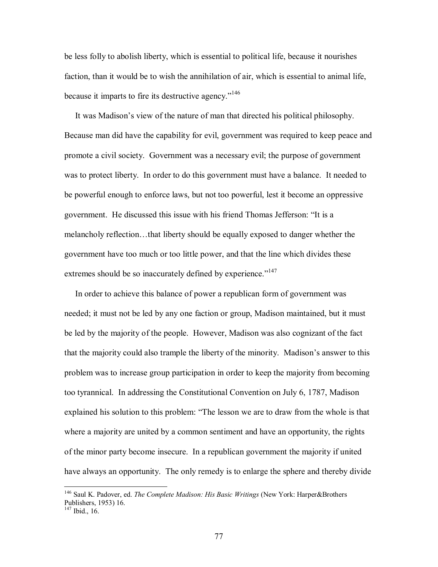be less folly to abolish liberty, which is essential to political life, because it nourishes faction, than it would be to wish the annihilation of air, which is essential to animal life, because it imparts to fire its destructive agency. $146$ 

It was Madison's view of the nature of man that directed his political philosophy. Because man did have the capability for evil, government was required to keep peace and promote a civil society. Government was a necessary evil; the purpose of government was to protect liberty. In order to do this government must have a balance. It needed to be powerful enough to enforce laws, but not too powerful, lest it become an oppressive government. He discussed this issue with his friend Thomas Jefferson: "It is a melancholy reflection...that liberty should be equally exposed to danger whether the government have too much or too little power, and that the line which divides these extremes should be so inaccurately defined by experience.<sup>"147</sup>

 In order to achieve this balance of power a republican form of government was needed; it must not be led by any one faction or group, Madison maintained, but it must be led by the majority of the people. However, Madison was also cognizant of the fact that the majority could also trample the liberty of the minority. Madison's answer to this problem was to increase group participation in order to keep the majority from becoming too tyrannical. In addressing the Constitutional Convention on July 6, 1787, Madison explained his solution to this problem: "The lesson we are to draw from the whole is that where a majority are united by a common sentiment and have an opportunity, the rights of the minor party become insecure. In a republican government the majority if united have always an opportunity. The only remedy is to enlarge the sphere and thereby divide

<sup>146</sup> Saul K. Padover, ed. *The Complete Madison: His Basic Writings* (New York: Harper&Brothers Publishers, 1953) 16.

 $147$  Ibid., 16.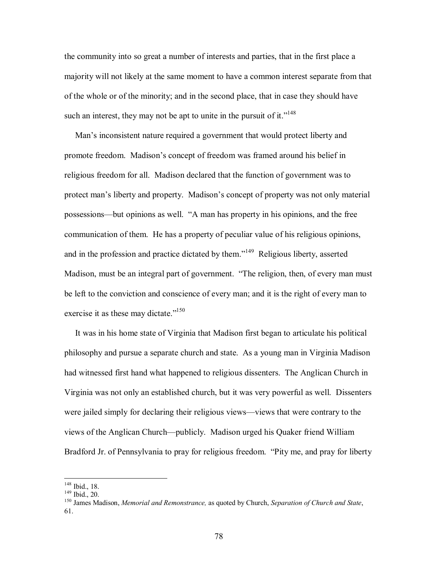the community into so great a number of interests and parties, that in the first place a majority will not likely at the same moment to have a common interest separate from that of the whole or of the minority; and in the second place, that in case they should have such an interest, they may not be apt to unite in the pursuit of it.<sup> $148$ </sup>

Man's inconsistent nature required a government that would protect liberty and promote freedom. Madison's concept of freedom was framed around his belief in religious freedom for all. Madison declared that the function of government was to protect man's liberty and property. Madison's concept of property was not only material possessions—but opinions as well. "A man has property in his opinions, and the free communication of them. He has a property of peculiar value of his religious opinions, and in the profession and practice dictated by them.<sup> $149$ </sup> Religious liberty, asserted Madison, must be an integral part of government. "The religion, then, of every man must be left to the conviction and conscience of every man; and it is the right of every man to exercise it as these may dictate.<sup> $150$ </sup>

 It was in his home state of Virginia that Madison first began to articulate his political philosophy and pursue a separate church and state. As a young man in Virginia Madison had witnessed first hand what happened to religious dissenters. The Anglican Church in Virginia was not only an established church, but it was very powerful as well. Dissenters were jailed simply for declaring their religious views—views that were contrary to the views of the Anglican Church—publicly. Madison urged his Quaker friend William Bradford Jr. of Pennsylvania to pray for religious freedom. "Pity me, and pray for liberty

<sup>&</sup>lt;sup>148</sup> Ibid., 18.

<sup>148</sup> Ibid., 18. 149 Ibid., 20. 150 James Madison, *Memorial and Remonstrance,* as quoted by Church, *Separation of Church and State*, 61.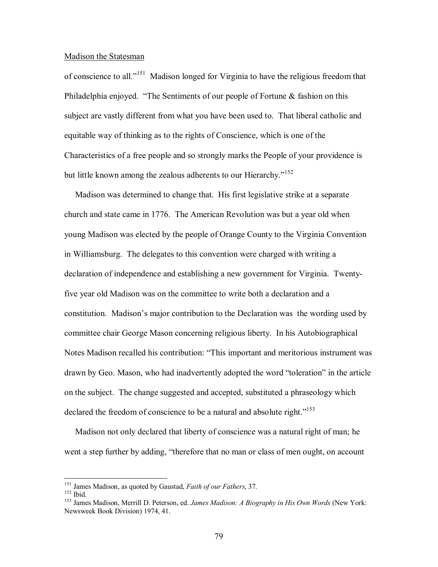### Madison the Statesman

of conscience to all.<sup>n151</sup> Madison longed for Virginia to have the religious freedom that Philadelphia enjoyed.  $\cdot$ The Sentiments of our people of Fortune & fashion on this subject are vastly different from what you have been used to. That liberal catholic and equitable way of thinking as to the rights of Conscience, which is one of the Characteristics of a free people and so strongly marks the People of your providence is but little known among the zealous adherents to our Hierarchy. $152$ 

 Madison was determined to change that. His first legislative strike at a separate church and state came in 1776. The American Revolution was but a year old when young Madison was elected by the people of Orange County to the Virginia Convention in Williamsburg. The delegates to this convention were charged with writing a declaration of independence and establishing a new government for Virginia. Twentyfive year old Madison was on the committee to write both a declaration and a constitution. Madison's major contribution to the Declaration was the wording used by committee chair George Mason concerning religious liberty. In his Autobiographical Notes Madison recalled his contribution: "This important and meritorious instrument was drawn by Geo. Mason, who had inadvertently adopted the word "toleration" in the article on the subject. The change suggested and accepted, substituted a phraseology which declared the freedom of conscience to be a natural and absolute right.<sup> $153$ </sup>

 Madison not only declared that liberty of conscience was a natural right of man; he went a step further by adding, "therefore that no man or class of men ought, on account

<sup>&</sup>lt;sup>151</sup> James Madison, as quoted by Gaustad, *Faith of our Fathers*, 37.

<sup>&</sup>lt;sup>152</sup> Ibid.<br><sup>152</sup> James Madison, Merrill D. Peterson, ed. *James Madison: A Biography in His Own Words* (New York: Newsweek Book Division) 1974, 41.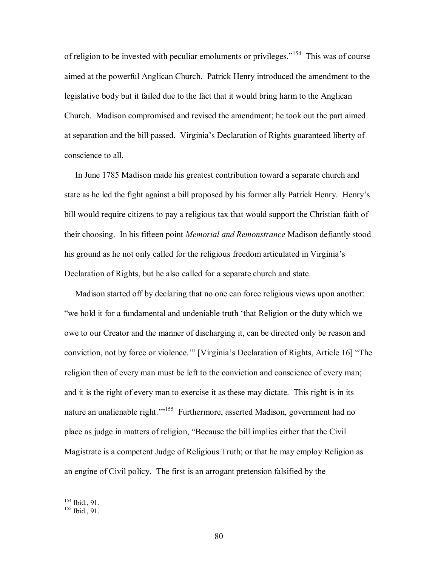of religion to be invested with peculiar emoluments or privileges.<sup> $154$ </sup> This was of course aimed at the powerful Anglican Church. Patrick Henry introduced the amendment to the legislative body but it failed due to the fact that it would bring harm to the Anglican Church. Madison compromised and revised the amendment; he took out the part aimed at separation and the bill passed. Virginiaís Declaration of Rights guaranteed liberty of conscience to all.

 In June 1785 Madison made his greatest contribution toward a separate church and state as he led the fight against a bill proposed by his former ally Patrick Henry. Henryís bill would require citizens to pay a religious tax that would support the Christian faith of their choosing. In his fifteen point *Memorial and Remonstrance* Madison defiantly stood his ground as he not only called for the religious freedom articulated in Virginia's Declaration of Rights, but he also called for a separate church and state.

 Madison started off by declaring that no one can force religious views upon another: ìwe hold it for a fundamental and undeniable truth ëthat Religion or the duty which we owe to our Creator and the manner of discharging it, can be directed only be reason and conviction, not by force or violence." [Virginia's Declaration of Rights, Article 16] "The religion then of every man must be left to the conviction and conscience of every man; and it is the right of every man to exercise it as these may dictate. This right is in its nature an unalienable right.<sup>1155</sup> Furthermore, asserted Madison, government had no place as judge in matters of religion, "Because the bill implies either that the Civil Magistrate is a competent Judge of Religious Truth; or that he may employ Religion as an engine of Civil policy. The first is an arrogant pretension falsified by the

<sup>&</sup>lt;sup>154</sup> Ibid., 91.

 $155$  Ibid., 91.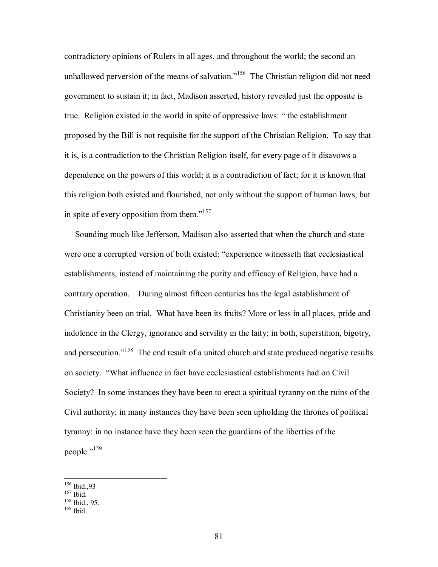contradictory opinions of Rulers in all ages, and throughout the world; the second an unhallowed perversion of the means of salvation."<sup>156</sup> The Christian religion did not need government to sustain it; in fact, Madison asserted, history revealed just the opposite is true. Religion existed in the world in spite of oppressive laws: "the establishment proposed by the Bill is not requisite for the support of the Christian Religion. To say that it is, is a contradiction to the Christian Religion itself, for every page of it disavows a dependence on the powers of this world; it is a contradiction of fact; for it is known that this religion both existed and flourished, not only without the support of human laws, but in spite of every opposition from them.<sup> $157$ </sup>

 Sounding much like Jefferson, Madison also asserted that when the church and state were one a corrupted version of both existed: "experience witnesseth that ecclesiastical establishments, instead of maintaining the purity and efficacy of Religion, have had a contrary operation. During almost fifteen centuries has the legal establishment of Christianity been on trial. What have been its fruits? More or less in all places, pride and indolence in the Clergy, ignorance and servility in the laity; in both, superstition, bigotry, and persecution.<sup>7158</sup> The end result of a united church and state produced negative results on society. "What influence in fact have ecclesiastical establishments had on Civil Society? In some instances they have been to erect a spiritual tyranny on the ruins of the Civil authority; in many instances they have been seen upholding the thrones of political tyranny: in no instance have they been seen the guardians of the liberties of the people."<sup>159</sup>

<sup>&</sup>lt;sup>156</sup> Ibid.,93

 $\frac{157}{158}$  Ibid., 95.<br> $\frac{158}{159}$  Ibid.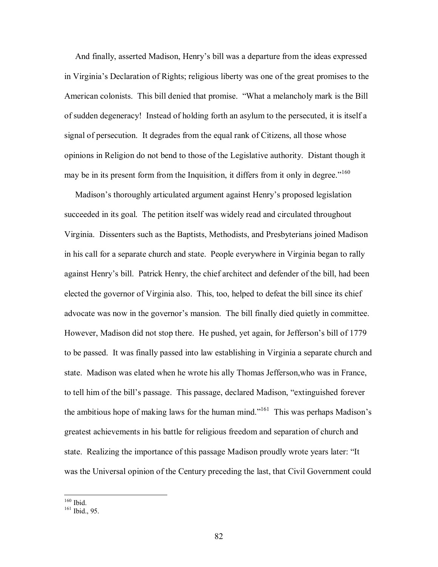And finally, asserted Madison, Henry's bill was a departure from the ideas expressed in Virginia's Declaration of Rights; religious liberty was one of the great promises to the American colonists. This bill denied that promise. "What a melancholy mark is the Bill of sudden degeneracy! Instead of holding forth an asylum to the persecuted, it is itself a signal of persecution. It degrades from the equal rank of Citizens, all those whose opinions in Religion do not bend to those of the Legislative authority. Distant though it may be in its present form from the Inquisition, it differs from it only in degree.<sup> $160$ </sup>

Madison's thoroughly articulated argument against Henry's proposed legislation succeeded in its goal. The petition itself was widely read and circulated throughout Virginia. Dissenters such as the Baptists, Methodists, and Presbyterians joined Madison in his call for a separate church and state. People everywhere in Virginia began to rally against Henryís bill. Patrick Henry, the chief architect and defender of the bill, had been elected the governor of Virginia also. This, too, helped to defeat the bill since its chief advocate was now in the governor's mansion. The bill finally died quietly in committee. However, Madison did not stop there. He pushed, yet again, for Jefferson's bill of 1779 to be passed. It was finally passed into law establishing in Virginia a separate church and state. Madison was elated when he wrote his ally Thomas Jefferson,who was in France, to tell him of the bill's passage. This passage, declared Madison, "extinguished forever the ambitious hope of making laws for the human mind.<sup> $161$ </sup> This was perhaps Madison's greatest achievements in his battle for religious freedom and separation of church and state. Realizing the importance of this passage Madison proudly wrote years later: "It was the Universal opinion of the Century preceding the last, that Civil Government could

 $160$  Ibid.

 $161$  Ibid., 95.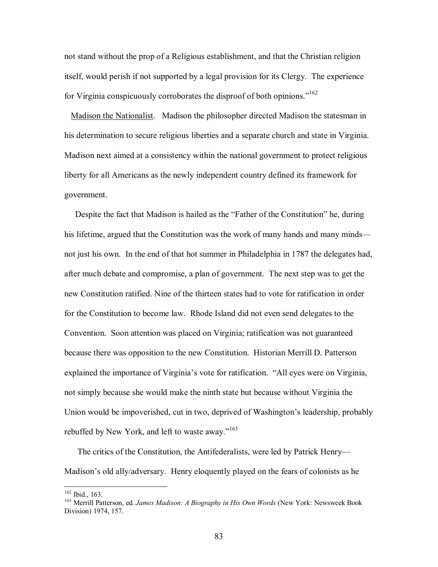not stand without the prop of a Religious establishment, and that the Christian religion itself, would perish if not supported by a legal provision for its Clergy. The experience for Virginia conspicuously corroborates the disproof of both opinions.<sup> $162$ </sup>

 Madison the Nationalist. Madison the philosopher directed Madison the statesman in his determination to secure religious liberties and a separate church and state in Virginia. Madison next aimed at a consistency within the national government to protect religious liberty for all Americans as the newly independent country defined its framework for government.

Despite the fact that Madison is hailed as the "Father of the Constitution" he, during his lifetime, argued that the Constitution was the work of many hands and many minds not just his own. In the end of that hot summer in Philadelphia in 1787 the delegates had, after much debate and compromise, a plan of government. The next step was to get the new Constitution ratified. Nine of the thirteen states had to vote for ratification in order for the Constitution to become law. Rhode Island did not even send delegates to the Convention. Soon attention was placed on Virginia; ratification was not guaranteed because there was opposition to the new Constitution. Historian Merrill D. Patterson explained the importance of Virginia's vote for ratification. "All eyes were on Virginia, not simply because she would make the ninth state but because without Virginia the Union would be impoverished, cut in two, deprived of Washington's leadership, probably rebuffed by New York, and left to waste away." $163$ 

The critics of the Constitution, the Antifederalists, were led by Patrick Henry— Madison's old ally/adversary. Henry eloquently played on the fears of colonists as he

<sup>&</sup>lt;sup>162</sup> Ibid., 163.<br><sup>163</sup> Merrill Patterson, ed. *James Madison: A Biography in His Own Words* (New York: Newsweek Book Division) 1974, 157.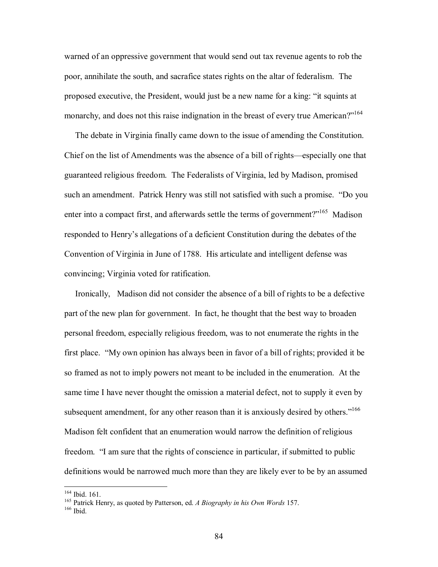warned of an oppressive government that would send out tax revenue agents to rob the poor, annihilate the south, and sacrafice states rights on the altar of federalism. The proposed executive, the President, would just be a new name for a king: "it squints at monarchy, and does not this raise indignation in the breast of every true American? $i^{164}$ 

 The debate in Virginia finally came down to the issue of amending the Constitution. Chief on the list of Amendments was the absence of a bill of rights—especially one that guaranteed religious freedom. The Federalists of Virginia, led by Madison, promised such an amendment. Patrick Henry was still not satisfied with such a promise. *"Do you* enter into a compact first, and afterwards settle the terms of government?"<sup>165</sup> Madison responded to Henryís allegations of a deficient Constitution during the debates of the Convention of Virginia in June of 1788. His articulate and intelligent defense was convincing; Virginia voted for ratification.

 Ironically, Madison did not consider the absence of a bill of rights to be a defective part of the new plan for government. In fact, he thought that the best way to broaden personal freedom, especially religious freedom, was to not enumerate the rights in the first place. "My own opinion has always been in favor of a bill of rights; provided it be so framed as not to imply powers not meant to be included in the enumeration. At the same time I have never thought the omission a material defect, not to supply it even by subsequent amendment, for any other reason than it is anxiously desired by others."<sup>166</sup> Madison felt confident that an enumeration would narrow the definition of religious freedom. "I am sure that the rights of conscience in particular, if submitted to public definitions would be narrowed much more than they are likely ever to be by an assumed

<sup>&</sup>lt;sup>164</sup> Ibid. 161.

<sup>&</sup>lt;sup>165</sup> Patrick Henry, as quoted by Patterson, ed. *A Biography in his Own Words* 157.<br><sup>166</sup> Ibid.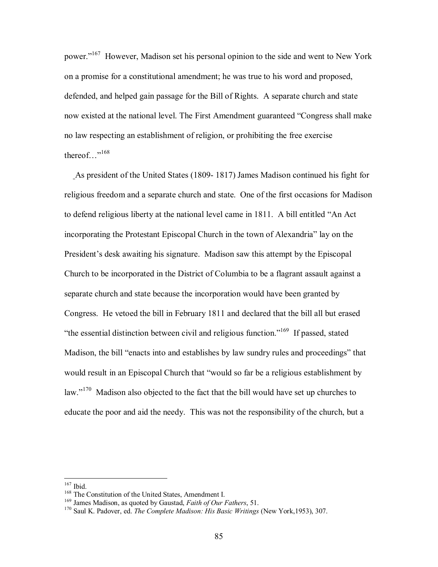power.<sup>"167</sup> However, Madison set his personal opinion to the side and went to New York on a promise for a constitutional amendment; he was true to his word and proposed, defended, and helped gain passage for the Bill of Rights. A separate church and state now existed at the national level. The First Amendment guaranteed "Congress shall make no law respecting an establishment of religion, or prohibiting the free exercise thereof..."<sup>168</sup>

 As president of the United States (1809- 1817) James Madison continued his fight for religious freedom and a separate church and state. One of the first occasions for Madison to defend religious liberty at the national level came in  $1811$ . A bill entitled "An Act" incorporating the Protestant Episcopal Church in the town of Alexandria" lay on the President's desk awaiting his signature. Madison saw this attempt by the Episcopal Church to be incorporated in the District of Columbia to be a flagrant assault against a separate church and state because the incorporation would have been granted by Congress. He vetoed the bill in February 1811 and declared that the bill all but erased  $\cdot$  the essential distinction between civil and religious function.<sup> $169$ </sup> If passed, stated Madison, the bill "enacts into and establishes by law sundry rules and proceedings" that would result in an Episcopal Church that "would so far be a religious establishment by law.<sup> $170$ </sup> Madison also objected to the fact that the bill would have set up churches to educate the poor and aid the needy. This was not the responsibility of the church, but a

 $167$  Ibid.

<sup>&</sup>lt;sup>168</sup> The Constitution of the United States, Amendment I.<br><sup>169</sup> James Madison, as quoted by Gaustad, *Faith of Our Fathers*, 51.<br><sup>170</sup> Saul K. Padover. ed. *The Complete Madison: His Basic Writings* (New York, 1953), 307.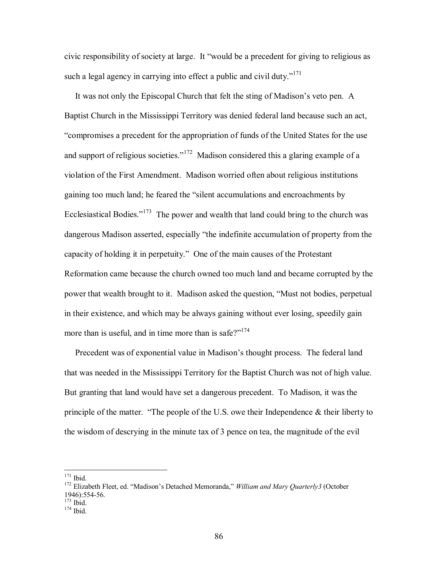civic responsibility of society at large. It "would be a precedent for giving to religious as such a legal agency in carrying into effect a public and civil duty. $171$ 

It was not only the Episcopal Church that felt the sting of Madison's veto pen. A Baptist Church in the Mississippi Territory was denied federal land because such an act, ìcompromises a precedent for the appropriation of funds of the United States for the use and support of religious societies.<sup> $172$ </sup> Madison considered this a glaring example of a violation of the First Amendment. Madison worried often about religious institutions gaining too much land; he feared the "silent accumulations and encroachments by Ecclesiastical Bodies. $1173$  The power and wealth that land could bring to the church was dangerous Madison asserted, especially "the indefinite accumulation of property from the capacity of holding it in perpetuity." One of the main causes of the Protestant Reformation came because the church owned too much land and became corrupted by the power that wealth brought to it. Madison asked the question, "Must not bodies, perpetual in their existence, and which may be always gaining without ever losing, speedily gain more than is useful, and in time more than is safe? $i^{174}$ 

Precedent was of exponential value in Madison's thought process. The federal land that was needed in the Mississippi Territory for the Baptist Church was not of high value. But granting that land would have set a dangerous precedent. To Madison, it was the principle of the matter.  $\cdot$ The people of the U.S. owe their Independence & their liberty to the wisdom of descrying in the minute tax of 3 pence on tea, the magnitude of the evil

 $171$  Ibid.

<sup>&</sup>lt;sup>172</sup> Elizabeth Fleet, ed. "Madison's Detached Memoranda," *William and Mary Quarterly3* (October 1946):554-56.<br><sup>173</sup> Ibid.

 $174$  Ibid.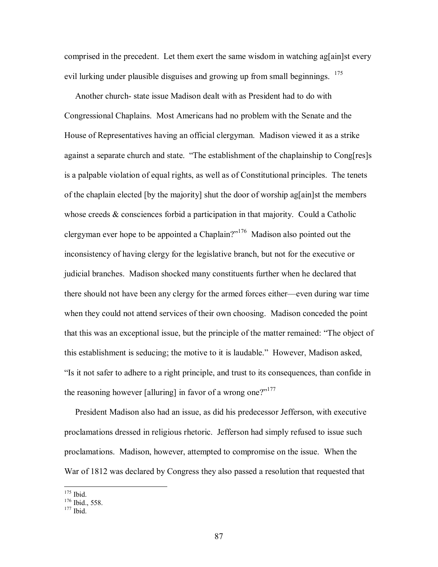comprised in the precedent. Let them exert the same wisdom in watching again st every evil lurking under plausible disguises and growing up from small beginnings. <sup>175</sup>

 Another church- state issue Madison dealt with as President had to do with Congressional Chaplains. Most Americans had no problem with the Senate and the House of Representatives having an official clergyman. Madison viewed it as a strike against a separate church and state. "The establishment of the chaplainship to Cong[res]s is a palpable violation of equal rights, as well as of Constitutional principles. The tenets of the chaplain elected [by the majority] shut the door of worship ag[ain]st the members whose creeds & consciences forbid a participation in that majority. Could a Catholic clergyman ever hope to be appointed a Chaplain? $176$  Madison also pointed out the inconsistency of having clergy for the legislative branch, but not for the executive or judicial branches. Madison shocked many constituents further when he declared that there should not have been any clergy for the armed forces either—even during war time when they could not attend services of their own choosing. Madison conceded the point that this was an exceptional issue, but the principle of the matter remained: "The object of this establishment is seducing; the motive to it is laudable." However, Madison asked, "Is it not safer to adhere to a right principle, and trust to its consequences, than confide in the reasoning however [alluring] in favor of a wrong one? $i^{177}$ 

 President Madison also had an issue, as did his predecessor Jefferson, with executive proclamations dressed in religious rhetoric. Jefferson had simply refused to issue such proclamations. Madison, however, attempted to compromise on the issue. When the War of 1812 was declared by Congress they also passed a resolution that requested that

 $\frac{^{175}}{^{176}}$  Ibid., 558.<br> $\frac{^{177}}{^{177}}$  Ibid.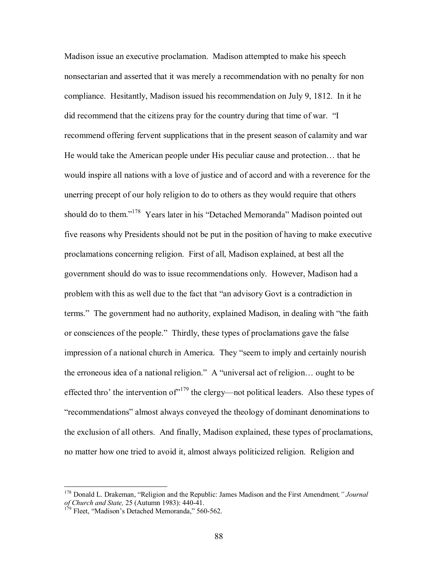Madison issue an executive proclamation. Madison attempted to make his speech nonsectarian and asserted that it was merely a recommendation with no penalty for non compliance. Hesitantly, Madison issued his recommendation on July 9, 1812. In it he did recommend that the citizens pray for the country during that time of war. <sup>"</sup>I recommend offering fervent supplications that in the present season of calamity and war He would take the American people under His peculiar cause and protection... that he would inspire all nations with a love of justice and of accord and with a reverence for the unerring precept of our holy religion to do to others as they would require that others should do to them."<sup>178</sup> Years later in his "Detached Memoranda" Madison pointed out five reasons why Presidents should not be put in the position of having to make executive proclamations concerning religion. First of all, Madison explained, at best all the government should do was to issue recommendations only. However, Madison had a problem with this as well due to the fact that "an advisory Govt is a contradiction in terms." The government had no authority, explained Madison, in dealing with "the faith or consciences of the people." Thirdly, these types of proclamations gave the false impression of a national church in America. They "seem to imply and certainly nourish the erroneous idea of a national religion." A "universal act of religion $\ldots$  ought to be effected thro' the intervention of $n^{179}$  the clergy—not political leaders. Also these types of ìrecommendationsî almost always conveyed the theology of dominant denominations to the exclusion of all others. And finally, Madison explained, these types of proclamations, no matter how one tried to avoid it, almost always politicized religion. Religion and

<sup>&</sup>lt;sup>178</sup> Donald L. Drakeman, "Religion and the Republic: James Madison and the First Amendment, "Journal *of Church and State,* 25 (Autumn 1983): 440-41.<br><sup>179</sup> Fleet, "Madison's Detached Memoranda," 560-562.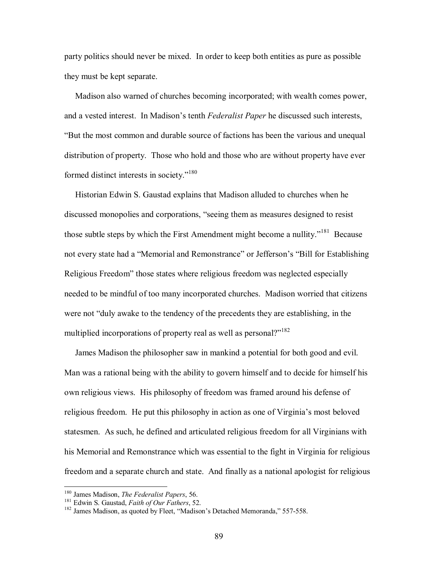party politics should never be mixed. In order to keep both entities as pure as possible they must be kept separate.

 Madison also warned of churches becoming incorporated; with wealth comes power, and a vested interest. In Madison's tenth *Federalist Paper* he discussed such interests, ìBut the most common and durable source of factions has been the various and unequal distribution of property. Those who hold and those who are without property have ever formed distinct interests in society. $180$ 

 Historian Edwin S. Gaustad explains that Madison alluded to churches when he discussed monopolies and corporations, "seeing them as measures designed to resist those subtle steps by which the First Amendment might become a nullity.<sup> $181$ </sup> Because not every state had a "Memorial and Remonstrance" or Jefferson's "Bill for Establishing Religious Freedomî those states where religious freedom was neglected especially needed to be mindful of too many incorporated churches. Madison worried that citizens were not "duly awake to the tendency of the precedents they are establishing, in the multiplied incorporations of property real as well as personal?"<sup>182</sup>

 James Madison the philosopher saw in mankind a potential for both good and evil. Man was a rational being with the ability to govern himself and to decide for himself his own religious views. His philosophy of freedom was framed around his defense of religious freedom. He put this philosophy in action as one of Virginia's most beloved statesmen. As such, he defined and articulated religious freedom for all Virginians with his Memorial and Remonstrance which was essential to the fight in Virginia for religious freedom and a separate church and state. And finally as a national apologist for religious

 $\overline{a}$ 

<sup>&</sup>lt;sup>180</sup> James Madison, *The Federalist Papers*, 56.<br><sup>181</sup> Edwin S. Gaustad, *Faith of Our Fathers*, 52.<br><sup>182</sup> James Madison, as quoted by Fleet, "Madison's Detached Memoranda," 557-558.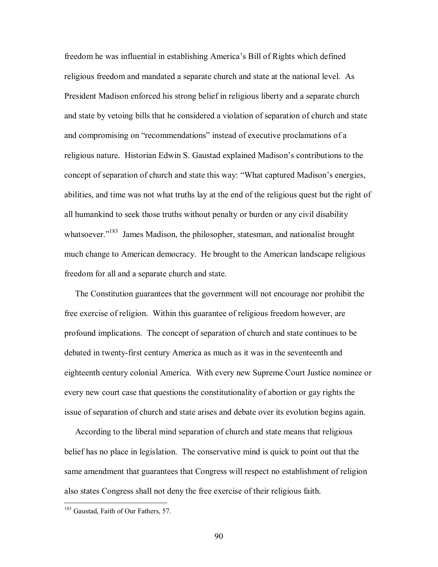freedom he was influential in establishing Americaís Bill of Rights which defined religious freedom and mandated a separate church and state at the national level. As President Madison enforced his strong belief in religious liberty and a separate church and state by vetoing bills that he considered a violation of separation of church and state and compromising on "recommendations" instead of executive proclamations of a religious nature. Historian Edwin S. Gaustad explained Madison's contributions to the concept of separation of church and state this way: "What captured Madison's energies, abilities, and time was not what truths lay at the end of the religious quest but the right of all humankind to seek those truths without penalty or burden or any civil disability whatsoever."<sup>183</sup> James Madison, the philosopher, statesman, and nationalist brought much change to American democracy. He brought to the American landscape religious freedom for all and a separate church and state.

 The Constitution guarantees that the government will not encourage nor prohibit the free exercise of religion. Within this guarantee of religious freedom however, are profound implications. The concept of separation of church and state continues to be debated in twenty-first century America as much as it was in the seventeenth and eighteenth century colonial America. With every new Supreme Court Justice nominee or every new court case that questions the constitutionality of abortion or gay rights the issue of separation of church and state arises and debate over its evolution begins again.

 According to the liberal mind separation of church and state means that religious belief has no place in legislation. The conservative mind is quick to point out that the same amendment that guarantees that Congress will respect no establishment of religion also states Congress shall not deny the free exercise of their religious faith.

 $\overline{a}$ 

<sup>&</sup>lt;sup>183</sup> Gaustad, Faith of Our Fathers, 57.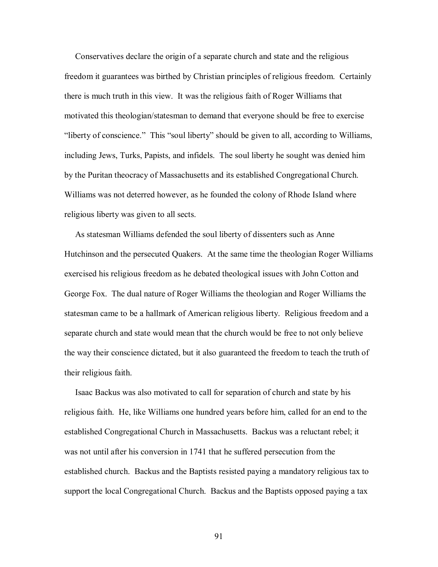Conservatives declare the origin of a separate church and state and the religious freedom it guarantees was birthed by Christian principles of religious freedom. Certainly there is much truth in this view. It was the religious faith of Roger Williams that motivated this theologian/statesman to demand that everyone should be free to exercise "liberty of conscience." This "soul liberty" should be given to all, according to Williams, including Jews, Turks, Papists, and infidels. The soul liberty he sought was denied him by the Puritan theocracy of Massachusetts and its established Congregational Church. Williams was not deterred however, as he founded the colony of Rhode Island where religious liberty was given to all sects.

 As statesman Williams defended the soul liberty of dissenters such as Anne Hutchinson and the persecuted Quakers. At the same time the theologian Roger Williams exercised his religious freedom as he debated theological issues with John Cotton and George Fox. The dual nature of Roger Williams the theologian and Roger Williams the statesman came to be a hallmark of American religious liberty. Religious freedom and a separate church and state would mean that the church would be free to not only believe the way their conscience dictated, but it also guaranteed the freedom to teach the truth of their religious faith.

 Isaac Backus was also motivated to call for separation of church and state by his religious faith. He, like Williams one hundred years before him, called for an end to the established Congregational Church in Massachusetts. Backus was a reluctant rebel; it was not until after his conversion in 1741 that he suffered persecution from the established church. Backus and the Baptists resisted paying a mandatory religious tax to support the local Congregational Church. Backus and the Baptists opposed paying a tax

91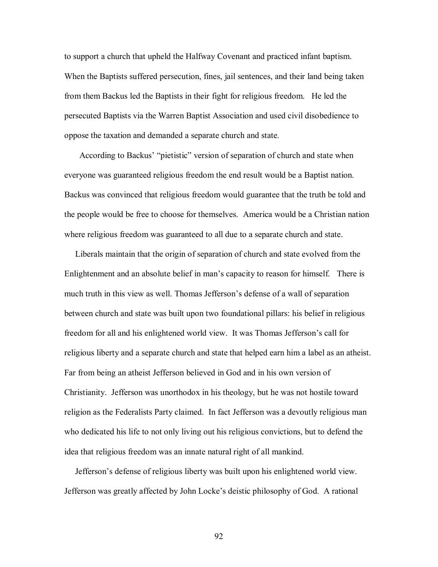to support a church that upheld the Halfway Covenant and practiced infant baptism. When the Baptists suffered persecution, fines, jail sentences, and their land being taken from them Backus led the Baptists in their fight for religious freedom. He led the persecuted Baptists via the Warren Baptist Association and used civil disobedience to oppose the taxation and demanded a separate church and state.

According to Backus' "pietistic" version of separation of church and state when everyone was guaranteed religious freedom the end result would be a Baptist nation. Backus was convinced that religious freedom would guarantee that the truth be told and the people would be free to choose for themselves. America would be a Christian nation where religious freedom was guaranteed to all due to a separate church and state.

 Liberals maintain that the origin of separation of church and state evolved from the Enlightenment and an absolute belief in man's capacity to reason for himself. There is much truth in this view as well. Thomas Jefferson's defense of a wall of separation between church and state was built upon two foundational pillars: his belief in religious freedom for all and his enlightened world view. It was Thomas Jefferson's call for religious liberty and a separate church and state that helped earn him a label as an atheist. Far from being an atheist Jefferson believed in God and in his own version of Christianity. Jefferson was unorthodox in his theology, but he was not hostile toward religion as the Federalists Party claimed. In fact Jefferson was a devoutly religious man who dedicated his life to not only living out his religious convictions, but to defend the idea that religious freedom was an innate natural right of all mankind.

 Jeffersonís defense of religious liberty was built upon his enlightened world view. Jefferson was greatly affected by John Locke's deistic philosophy of God. A rational

92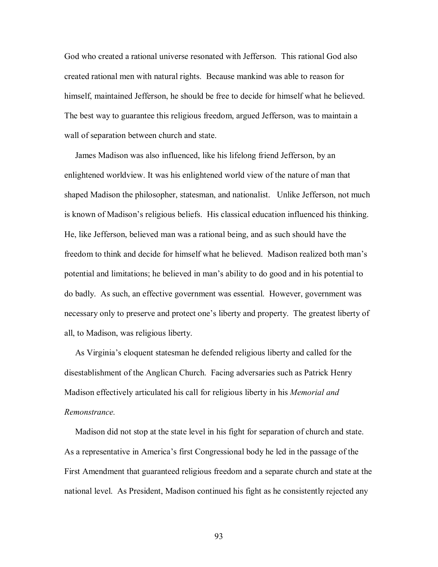God who created a rational universe resonated with Jefferson. This rational God also created rational men with natural rights. Because mankind was able to reason for himself, maintained Jefferson, he should be free to decide for himself what he believed. The best way to guarantee this religious freedom, argued Jefferson, was to maintain a wall of separation between church and state.

 James Madison was also influenced, like his lifelong friend Jefferson, by an enlightened worldview. It was his enlightened world view of the nature of man that shaped Madison the philosopher, statesman, and nationalist. Unlike Jefferson, not much is known of Madison's religious beliefs. His classical education influenced his thinking. He, like Jefferson, believed man was a rational being, and as such should have the freedom to think and decide for himself what he believed. Madison realized both manís potential and limitations; he believed in manís ability to do good and in his potential to do badly. As such, an effective government was essential. However, government was necessary only to preserve and protect one's liberty and property. The greatest liberty of all, to Madison, was religious liberty.

As Virginia's eloquent statesman he defended religious liberty and called for the disestablishment of the Anglican Church. Facing adversaries such as Patrick Henry Madison effectively articulated his call for religious liberty in his *Memorial and Remonstrance.* 

Madison did not stop at the state level in his fight for separation of church and state. As a representative in America's first Congressional body he led in the passage of the First Amendment that guaranteed religious freedom and a separate church and state at the national level. As President, Madison continued his fight as he consistently rejected any

93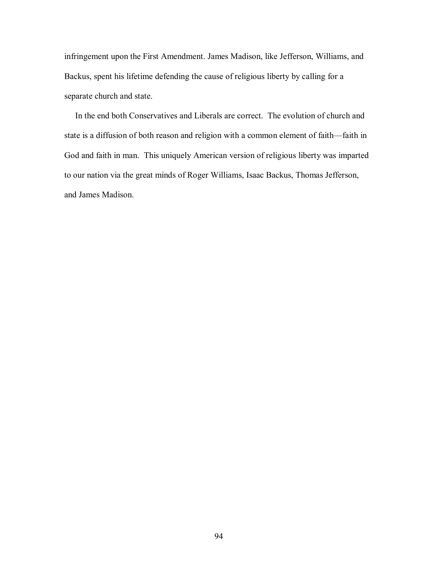infringement upon the First Amendment. James Madison, like Jefferson, Williams, and Backus, spent his lifetime defending the cause of religious liberty by calling for a separate church and state.

 In the end both Conservatives and Liberals are correct. The evolution of church and state is a diffusion of both reason and religion with a common element of faith-faith in God and faith in man. This uniquely American version of religious liberty was imparted to our nation via the great minds of Roger Williams, Isaac Backus, Thomas Jefferson, and James Madison.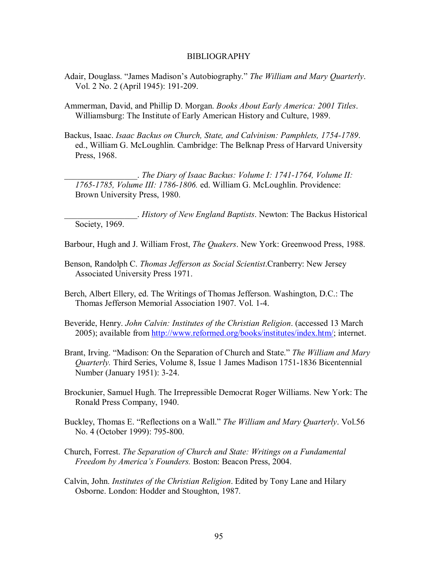### BIBLIOGRAPHY

- Adair, Douglass. "James Madison's Autobiography." The William and Mary Quarterly. Vol. 2 No. 2 (April 1945): 191-209.
- Ammerman, David, and Phillip D. Morgan. *Books About Early America: 2001 Titles*. Williamsburg: The Institute of Early American History and Culture, 1989.
- Backus, Isaac. *Isaac Backus on Church, State, and Calvinism: Pamphlets, 1754-1789*. ed., William G. McLoughlin. Cambridge: The Belknap Press of Harvard University Press, 1968.

\_\_\_\_\_\_\_\_\_\_\_\_\_\_\_\_\_. *The Diary of Isaac Backus: Volume I: 1741-1764, Volume II: 1765-1785, Volume III: 1786-1806.* ed. William G. McLoughlin. Providence: Brown University Press, 1980.

\_\_\_\_\_\_\_\_\_\_\_\_\_\_\_\_\_. *History of New England Baptists*. Newton: The Backus Historical Society, 1969.

- Barbour, Hugh and J. William Frost, *The Quakers*. New York: Greenwood Press, 1988.
- Benson, Randolph C. *Thomas Jefferson as Social Scientist*.Cranberry: New Jersey Associated University Press 1971.

Berch, Albert Ellery, ed. The Writings of Thomas Jefferson. Washington, D.C.: The Thomas Jefferson Memorial Association 1907. Vol. 1-4.

- Beveride, Henry. *John Calvin: Institutes of the Christian Religion*. (accessed 13 March 2005); available from http://www.reformed.org/books/institutes/index.htm/; internet.
- Brant, Irving. "Madison: On the Separation of Church and State." *The William and Mary Quarterly.* Third Series, Volume 8, Issue 1 James Madison 1751-1836 Bicentennial Number (January 1951): 3-24.
- Brockunier, Samuel Hugh. The Irrepressible Democrat Roger Williams. New York: The Ronald Press Company, 1940.
- Buckley, Thomas E. "Reflections on a Wall." *The William and Mary Quarterly*. Vol.56 No. 4 (October 1999): 795-800.
- Church, Forrest. *The Separation of Church and State: Writings on a Fundamental Freedom by Americaís Founders.* Boston: Beacon Press, 2004.
- Calvin, John. *Institutes of the Christian Religion*. Edited by Tony Lane and Hilary Osborne. London: Hodder and Stoughton, 1987.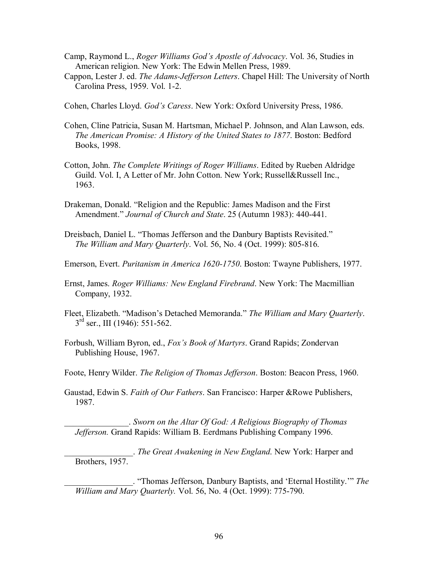- Camp, Raymond L., *Roger Williams Godís Apostle of Advocacy*. Vol. 36, Studies in American religion. New York: The Edwin Mellen Press, 1989.
- Cappon, Lester J. ed. *The Adams-Jefferson Letters*. Chapel Hill: The University of North Carolina Press, 1959. Vol. 1-2.
- Cohen, Charles Lloyd. *Godís Caress*. New York: Oxford University Press, 1986.
- Cohen, Cline Patricia, Susan M. Hartsman, Michael P. Johnson, and Alan Lawson, eds. *The American Promise: A History of the United States to 1877*. Boston: Bedford Books, 1998.
- Cotton, John. *The Complete Writings of Roger Williams*. Edited by Rueben Aldridge Guild. Vol. I, A Letter of Mr. John Cotton. New York; Russell&Russell Inc., 1963.
- Drakeman, Donald. "Religion and the Republic: James Madison and the First Amendment." *Journal of Church and State*. 25 (Autumn 1983): 440-441.
- Dreisbach, Daniel L. "Thomas Jefferson and the Danbury Baptists Revisited." *The William and Mary Quarterly*. Vol. 56, No. 4 (Oct. 1999): 805-816.
- Emerson, Evert. *Puritanism in America 1620-1750*. Boston: Twayne Publishers, 1977.
- Ernst, James. *Roger Williams: New England Firebrand*. New York: The Macmillian Company, 1932.
- Fleet, Elizabeth. "Madison's Detached Memoranda." The William and Mary Quarterly.  $3<sup>rd</sup>$  ser., III (1946): 551-562.
- Forbush, William Byron, ed., *Foxís Book of Martyrs*. Grand Rapids; Zondervan Publishing House, 1967.
- Foote, Henry Wilder. *The Religion of Thomas Jefferson*. Boston: Beacon Press, 1960.
- Gaustad, Edwin S. *Faith of Our Fathers*. San Francisco: Harper &Rowe Publishers, 1987.

\_\_\_\_\_\_\_\_\_\_\_\_\_\_\_. *Sworn on the Altar Of God: A Religious Biography of Thomas Jefferson.* Grand Rapids: William B. Eerdmans Publishing Company 1996.

\_\_\_\_\_\_\_\_\_\_\_\_\_\_\_\_. *The Great Awakening in New England*. New York: Harper and Brothers, 1957.

\_\_\_\_\_\_\_\_\_\_\_\_\_\_\_\_. ìThomas Jefferson, Danbury Baptists, and ëEternal Hostility.íî *The William and Mary Quarterly.* Vol. 56, No. 4 (Oct. 1999): 775-790.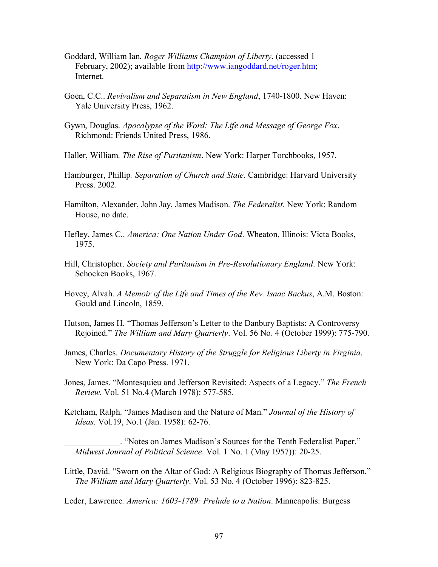- Goddard, William Ian*. Roger Williams Champion of Liberty*. (accessed 1 February, 2002); available from http://www.iangoddard.net/roger.htm; Internet.
- Goen, C.C.. *Revivalism and Separatism in New England*, 1740-1800. New Haven: Yale University Press, 1962.
- Gywn, Douglas. *Apocalypse of the Word: The Life and Message of George Fox*. Richmond: Friends United Press, 1986.
- Haller, William. *The Rise of Puritanism*. New York: Harper Torchbooks, 1957.
- Hamburger, Phillip*. Separation of Church and State*. Cambridge: Harvard University Press. 2002.
- Hamilton, Alexander, John Jay, James Madison. *The Federalist*. New York: Random House, no date.
- Hefley, James C.. *America: One Nation Under God*. Wheaton, Illinois: Victa Books, 1975.
- Hill, Christopher. *Society and Puritanism in Pre-Revolutionary England*. New York: Schocken Books, 1967.
- Hovey, Alvah. *A Memoir of the Life and Times of the Rev. Isaac Backus*, A.M. Boston: Gould and Lincoln, 1859.
- Hutson, James H. "Thomas Jefferson's Letter to the Danbury Baptists: A Controversy Rejoined.î *The William and Mary Quarterly*. Vol. 56 No. 4 (October 1999): 775-790.
- James, Charles. *Documentary History of the Struggle for Religious Liberty in Virginia*. New York: Da Capo Press. 1971.
- Jones, James. "Montesquieu and Jefferson Revisited: Aspects of a Legacy." *The French Review.* Vol. 51 No.4 (March 1978): 577-585.
- Ketcham, Ralph. "James Madison and the Nature of Man." *Journal of the History of Ideas.* Vol.19, No.1 (Jan. 1958): 62-76.

. "Notes on James Madison's Sources for the Tenth Federalist Paper."  *Midwest Journal of Political Science*. Vol. 1 No. 1 (May 1957)): 20-25.

Little, David. "Sworn on the Altar of God: A Religious Biography of Thomas Jefferson."  *The William and Mary Quarterly*. Vol. 53 No. 4 (October 1996): 823-825.

Leder, Lawrence*. America: 1603-1789: Prelude to a Nation*. Minneapolis: Burgess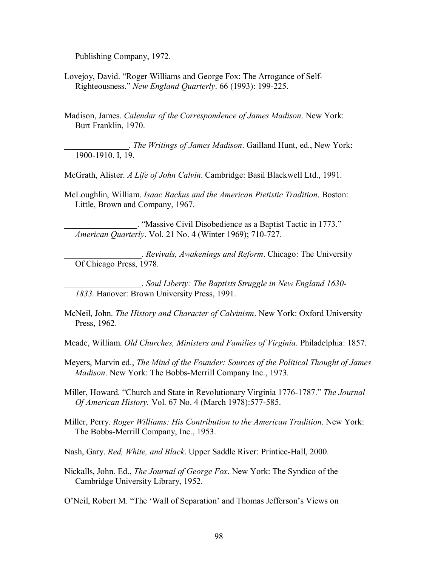Publishing Company, 1972.

Lovejoy, David. "Roger Williams and George Fox: The Arrogance of Self-Righteousness.î *New England Quarterly*. 66 (1993): 199-225.

Madison, James. *Calendar of the Correspondence of James Madison*. New York: Burt Franklin, 1970.

\_\_\_\_\_\_\_\_\_\_\_\_\_\_\_. *The Writings of James Madison*. Gailland Hunt, ed., New York: 1900-1910. I, 19.

McGrath, Alister. *A Life of John Calvin*. Cambridge: Basil Blackwell Ltd., 1991.

McLoughlin, William. *Isaac Backus and the American Pietistic Tradition*. Boston: Little, Brown and Company, 1967.

. "Massive Civil Disobedience as a Baptist Tactic in 1773." *American Quarterly*. Vol. 21 No. 4 (Winter 1969); 710-727.

\_\_\_\_\_\_\_\_\_\_\_\_\_\_\_\_\_\_. *Revivals, Awakenings and Reform*. Chicago: The University Of Chicago Press, 1978.

\_\_\_\_\_\_\_\_\_\_\_\_\_\_\_\_\_\_. *Soul Liberty: The Baptists Struggle in New England 1630- 1833.* Hanover: Brown University Press, 1991.

McNeil, John. *The History and Character of Calvinism*. New York: Oxford University Press, 1962.

Meade, William. *Old Churches, Ministers and Families of Virginia*. Philadelphia: 1857.

Meyers, Marvin ed., *The Mind of the Founder: Sources of the Political Thought of James Madison*. New York: The Bobbs-Merrill Company Inc., 1973.

Miller, Howard. "Church and State in Revolutionary Virginia 1776-1787." *The Journal Of American History.* Vol. 67 No. 4 (March 1978):577-585.

- Miller, Perry. *Roger Williams: His Contribution to the American Tradition*. New York: The Bobbs-Merrill Company, Inc., 1953.
- Nash, Gary. *Red, White, and Black*. Upper Saddle River: Printice-Hall, 2000.
- Nickalls, John. Ed., *The Journal of George Fox*. New York: The Syndico of the Cambridge University Library, 1952.

O'Neil, Robert M. "The 'Wall of Separation' and Thomas Jefferson's Views on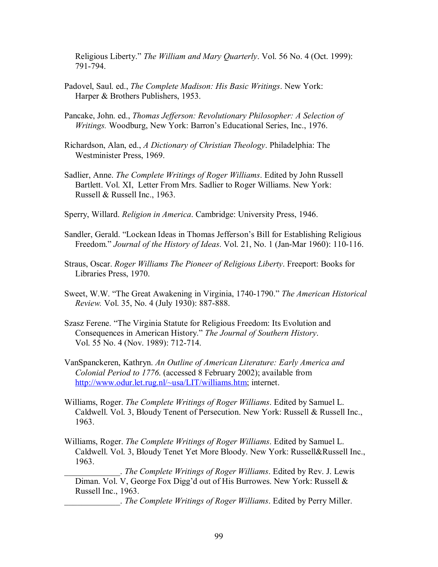Religious Liberty." *The William and Mary Ouarterly*. Vol. 56 No. 4 (Oct. 1999): 791-794.

- Padovel, Saul. ed., *The Complete Madison: His Basic Writings*. New York: Harper & Brothers Publishers, 1953.
- Pancake, John. ed., *Thomas Jefferson: Revolutionary Philosopher: A Selection of Writings.* Woodburg, New York: Barron's Educational Series, Inc., 1976.
- Richardson, Alan, ed., *A Dictionary of Christian Theology*. Philadelphia: The Westminister Press, 1969.
- Sadlier, Anne. *The Complete Writings of Roger Williams*. Edited by John Russell Bartlett. Vol. XI, Letter From Mrs. Sadlier to Roger Williams. New York: Russell & Russell Inc., 1963.
- Sperry, Willard. *Religion in America*. Cambridge: University Press, 1946.
- Sandler, Gerald. "Lockean Ideas in Thomas Jefferson's Bill for Establishing Religious Freedom.î *Journal of the History of Ideas*. Vol. 21, No. 1 (Jan-Mar 1960): 110-116.
- Straus, Oscar. *Roger Williams The Pioneer of Religious Liberty*. Freeport: Books for Libraries Press, 1970.
- Sweet, W.W. "The Great Awakening in Virginia, 1740-1790." *The American Historical Review.* Vol. 35, No. 4 (July 1930): 887-888.
- Szasz Ferene. "The Virginia Statute for Religious Freedom: Its Evolution and Consequences in American History." *The Journal of Southern History*. Vol. 55 No. 4 (Nov. 1989): 712-714.
- VanSpanckeren, Kathryn. *An Outline of American Literature: Early America and Colonial Period to 1776*. (accessed 8 February 2002); available from http://www.odur.let.rug.nl/~usa/LIT/williams.htm; internet.
- Williams, Roger. *The Complete Writings of Roger Williams*. Edited by Samuel L. Caldwell. Vol. 3, Bloudy Tenent of Persecution. New York: Russell & Russell Inc., 1963.
- Williams, Roger. *The Complete Writings of Roger Williams*. Edited by Samuel L. Caldwell. Vol. 3, Bloudy Tenet Yet More Bloody. New York: Russell&Russell Inc., 1963.

\_\_\_\_\_\_\_\_\_\_\_\_\_. *The Complete Writings of Roger Williams*. Edited by Rev. J. Lewis Diman. Vol. V, George Fox Digg'd out of His Burrowes. New York: Russell & Russell Inc., 1963.

\_\_\_\_\_\_\_\_\_\_\_\_\_. *The Complete Writings of Roger Williams*. Edited by Perry Miller.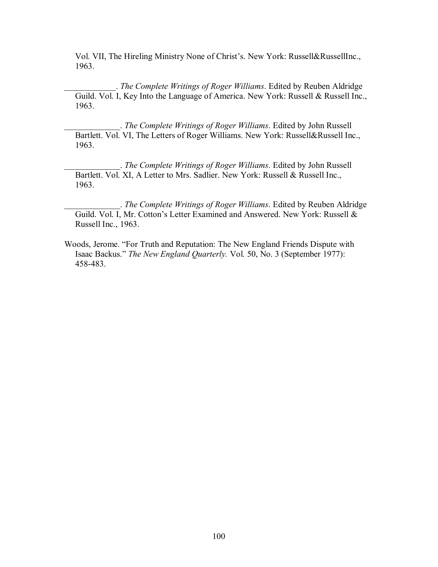Vol. VII, The Hireling Ministry None of Christ's. New York: Russell&RussellInc., 1963.

\_\_\_\_\_\_\_\_\_\_\_\_. *The Complete Writings of Roger Williams*. Edited by Reuben Aldridge Guild. Vol. I, Key Into the Language of America. New York: Russell & Russell Inc., 1963.

\_\_\_\_\_\_\_\_\_\_\_\_\_. *The Complete Writings of Roger Williams*. Edited by John Russell Bartlett. Vol. VI, The Letters of Roger Williams. New York: Russell&Russell Inc., 1963.

\_\_\_\_\_\_\_\_\_\_\_\_\_. *The Complete Writings of Roger Williams*. Edited by John Russell Bartlett. Vol. XI, A Letter to Mrs. Sadlier. New York: Russell & Russell Inc., 1963.

\_\_\_\_\_\_\_\_\_\_\_\_\_. *The Complete Writings of Roger Williams*. Edited by Reuben Aldridge Guild. Vol. I, Mr. Cotton's Letter Examined and Answered. New York: Russell & Russell Inc., 1963.

Woods, Jerome. "For Truth and Reputation: The New England Friends Dispute with Isaac Backus.î *The New England Quarterly.* Vol. 50, No. 3 (September 1977): 458-483.